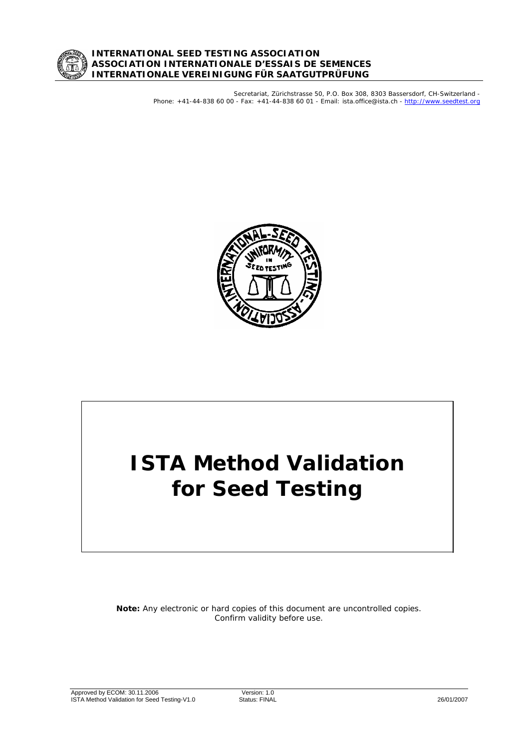

### **INTERNATIONAL SEED TESTING ASSOCIATION ASSOCIATION INTERNATIONALE D'ESSAIS DE SEMENCES INTERNATIONALE VEREINIGUNG FÜR SAATGUTPRÜFUNG**

Secretariat, Zürichstrasse 50, P.O. Box 308, 8303 Bassersdorf, CH-Switzerland - Phone: +41-44-838 60 00 - Fax: +41-44-838 60 01 - Email: ista.office@ista.ch - http://www.seedtest.org



# **ISTA Method Validation for Seed Testing**

**Note:** Any electronic or hard copies of this document are uncontrolled copies. Confirm validity before use.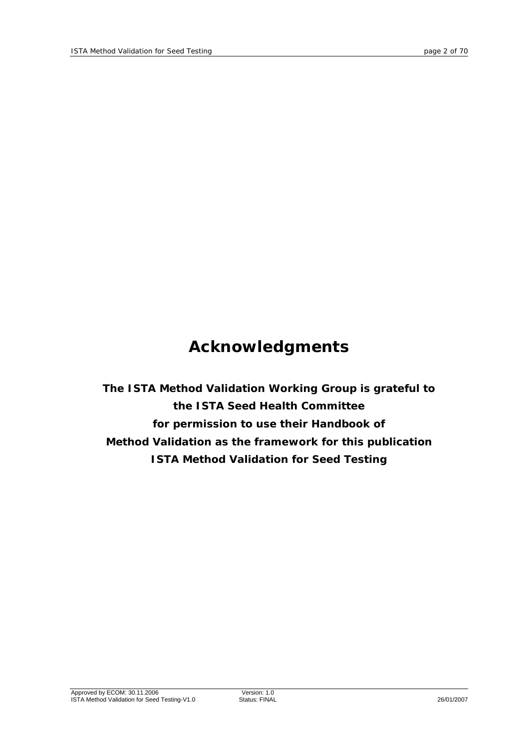## **Acknowledgments**

**The ISTA Method Validation Working Group is grateful to the ISTA Seed Health Committee for permission to use their Handbook of Method Validation as the framework for this publication ISTA Method Validation for Seed Testing**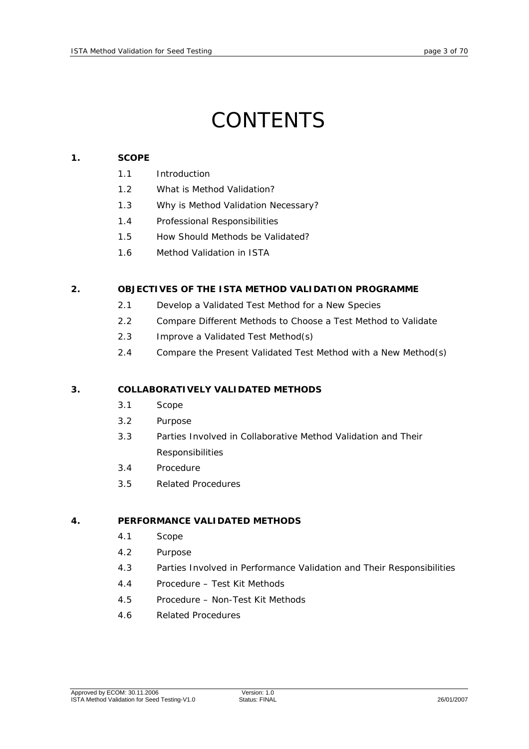# **CONTENTS**

### **1. SCOPE**

- 1.1 Introduction
- 1.2 What is Method Validation?
- 1.3 Why is Method Validation Necessary?
- 1.4 Professional Responsibilities
- 1.5 How Should Methods be Validated?
- 1.6 Method Validation in ISTA

### **2. OBJECTIVES OF THE ISTA METHOD VALIDATION PROGRAMME**

- 2.1 Develop a Validated Test Method for a New Species
- 2.2 Compare Different Methods to Choose a Test Method to Validate
- 2.3 Improve a Validated Test Method(s)
- 2.4 Compare the Present Validated Test Method with a New Method(s)

### **3. COLLABORATIVELY VALIDATED METHODS**

- 3.1 Scope
- 3.2 Purpose
- 3.3 Parties Involved in Collaborative Method Validation and Their **Responsibilities**
- 3.4 Procedure
- 3.5 Related Procedures

### **4. PERFORMANCE VALIDATED METHODS**

- 4.1 Scope
- 4.2 Purpose
- 4.3 Parties Involved in Performance Validation and Their Responsibilities
- 4.4 Procedure Test Kit Methods
- 4.5 Procedure Non-Test Kit Methods
- 4.6 Related Procedures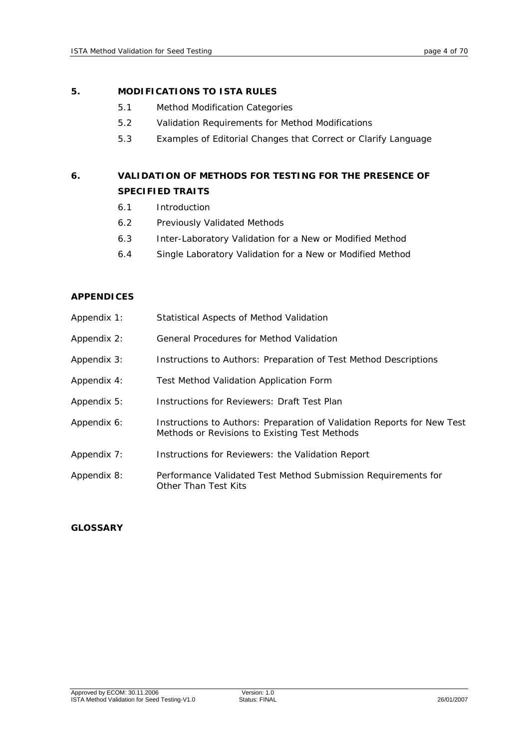### **5. MODIFICATIONS TO ISTA RULES**

- 5.1 Method Modification Categories
- 5.2 Validation Requirements for Method Modifications
- 5.3 Examples of Editorial Changes that Correct or Clarify Language

### **6. VALIDATION OF METHODS FOR TESTING FOR THE PRESENCE OF SPECIFIED TRAITS**

- 6.1 Introduction
- 6.2 Previously Validated Methods
- 6.3 Inter-Laboratory Validation for a New or Modified Method
- 6.4 Single Laboratory Validation for a New or Modified Method

### **APPENDICES**

| Appendix 1: | Statistical Aspects of Method Validation                                                                                 |
|-------------|--------------------------------------------------------------------------------------------------------------------------|
| Appendix 2: | General Procedures for Method Validation                                                                                 |
| Appendix 3: | Instructions to Authors: Preparation of Test Method Descriptions                                                         |
| Appendix 4: | Test Method Validation Application Form                                                                                  |
| Appendix 5: | Instructions for Reviewers: Draft Test Plan                                                                              |
| Appendix 6: | Instructions to Authors: Preparation of Validation Reports for New Test<br>Methods or Revisions to Existing Test Methods |
| Appendix 7: | Instructions for Reviewers: the Validation Report                                                                        |
| Appendix 8: | Performance Validated Test Method Submission Requirements for<br>Other Than Test Kits                                    |

### **GLOSSARY**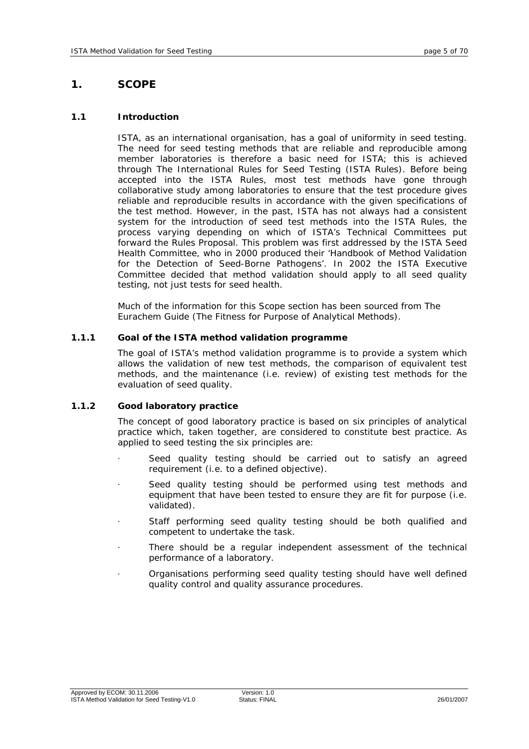### **1. SCOPE**

### **1.1 Introduction**

ISTA, as an international organisation, has a goal of uniformity in seed testing. The need for seed testing methods that are reliable and reproducible among member laboratories is therefore a basic need for ISTA; this is achieved through The International Rules for Seed Testing (ISTA Rules). Before being accepted into the ISTA Rules, most test methods have gone through collaborative study among laboratories to ensure that the test procedure gives reliable and reproducible results in accordance with the given specifications of the test method. However, in the past, ISTA has not always had a consistent system for the introduction of seed test methods into the ISTA Rules, the process varying depending on which of ISTA's Technical Committees put forward the Rules Proposal. This problem was first addressed by the ISTA Seed Health Committee, who in 2000 produced their 'Handbook of Method Validation for the Detection of Seed-Borne Pathogens'. In 2002 the ISTA Executive Committee decided that method validation should apply to all seed quality testing, not just tests for seed health.

Much of the information for this Scope section has been sourced from The Eurachem Guide (The Fitness for Purpose of Analytical Methods).

### **1.1.1 Goal of the ISTA method validation programme**

The goal of ISTA's method validation programme is to provide a system which allows the validation of new test methods, the comparison of equivalent test methods, and the maintenance (i.e. review) of existing test methods for the evaluation of seed quality.

### **1.1.2 Good laboratory practice**

The concept of good laboratory practice is based on six principles of analytical practice which, taken together, are considered to constitute best practice. As applied to seed testing the six principles are:

- Seed quality testing should be carried out to satisfy an agreed requirement (i.e. to a defined objective).
- Seed quality testing should be performed using test methods and equipment that have been tested to ensure they are fit for purpose (i.e. validated).
- Staff performing seed quality testing should be both qualified and competent to undertake the task.
- There should be a regular independent assessment of the technical performance of a laboratory.
- · Organisations performing seed quality testing should have well defined quality control and quality assurance procedures.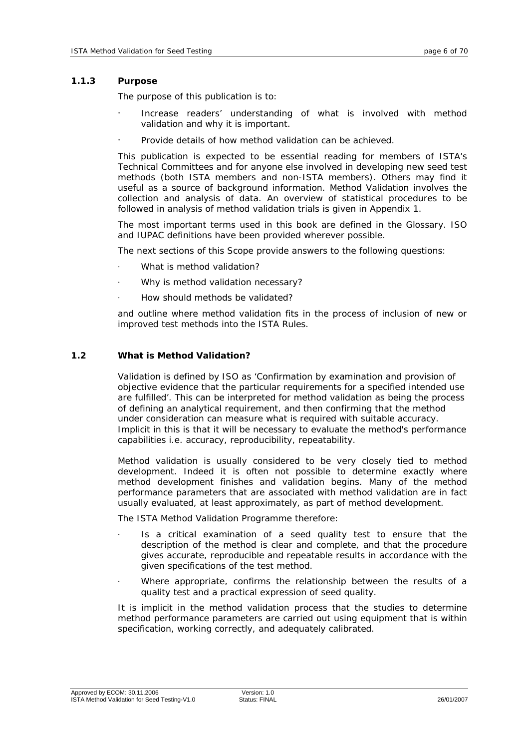### **1.1.3 Purpose**

The purpose of this publication is to:

- Increase readers' understanding of what is involved with method validation and why it is important.
- Provide details of how method validation can be achieved.

This publication is expected to be essential reading for members of ISTA's Technical Committees and for anyone else involved in developing new seed test methods (both ISTA members and non-ISTA members). Others may find it useful as a source of background information. Method Validation involves the collection and analysis of data. An overview of statistical procedures to be followed in analysis of method validation trials is given in Appendix 1.

The most important terms used in this book are defined in the Glossary. ISO and IUPAC definitions have been provided wherever possible.

The next sections of this Scope provide answers to the following questions:

- What is method validation?
- Why is method validation necessary?
- · How should methods be validated?

and outline where method validation fits in the process of inclusion of new or improved test methods into the ISTA Rules.

### **1.2 What is Method Validation?**

Validation is defined by ISO as *'Confirmation by examination and provision of objective evidence that the particular requirements for a specified intended use are fulfilled'*. This can be interpreted for method validation as being the process of defining an analytical requirement, and then confirming that the method under consideration can measure what is required with suitable accuracy. Implicit in this is that it will be necessary to evaluate the method's performance capabilities i.e. accuracy, reproducibility, repeatability.

Method validation is usually considered to be very closely tied to method development. Indeed it is often not possible to determine exactly where method development finishes and validation begins. Many of the method performance parameters that are associated with method validation are in fact usually evaluated, at least approximately, as part of method development.

The ISTA Method Validation Programme therefore:

- · Is a critical examination of a seed quality test to ensure that the description of the method is clear and complete, and that the procedure gives accurate, reproducible and repeatable results in accordance with the given specifications of the test method.
- · Where appropriate, confirms the relationship between the results of a quality test and a practical expression of seed quality.

It is implicit in the method validation process that the studies to determine method performance parameters are carried out using equipment that is within specification, working correctly, and adequately calibrated.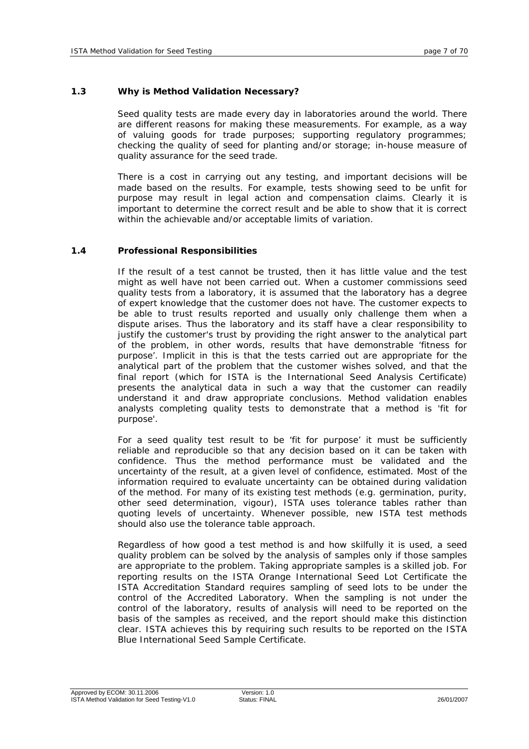### **1.3 Why is Method Validation Necessary?**

Seed quality tests are made every day in laboratories around the world. There are different reasons for making these measurements. For example, as a way of valuing goods for trade purposes; supporting regulatory programmes; checking the quality of seed for planting and/or storage; in-house measure of quality assurance for the seed trade.

There is a cost in carrying out any testing, and important decisions will be made based on the results. For example, tests showing seed to be unfit for purpose may result in legal action and compensation claims. Clearly it is important to determine the correct result and be able to show that it is correct within the achievable and/or acceptable limits of variation.

### **1.4 Professional Responsibilities**

If the result of a test cannot be trusted, then it has little value and the test might as well have not been carried out. When a customer commissions seed quality tests from a laboratory, it is assumed that the laboratory has a degree of expert knowledge that the customer does not have. The customer expects to be able to trust results reported and usually only challenge them when a dispute arises. Thus the laboratory and its staff have a clear responsibility to justify the customer's trust by providing the right answer to the analytical part of the problem, in other words, results that have demonstrable 'fitness for purpose'. Implicit in this is that the tests carried out are appropriate for the analytical part of the problem that the customer wishes solved, and that the final report (which for ISTA is the International Seed Analysis Certificate) presents the analytical data in such a way that the customer can readily understand it and draw appropriate conclusions. Method validation enables analysts completing quality tests to demonstrate that a method is 'fit for purpose'.

For a seed quality test result to be 'fit for purpose' it must be sufficiently reliable and reproducible so that any decision based on it can be taken with confidence. Thus the method performance must be validated and the uncertainty of the result, at a given level of confidence, estimated. Most of the information required to evaluate uncertainty can be obtained during validation of the method. For many of its existing test methods (e.g. germination, purity, other seed determination, vigour), ISTA uses tolerance tables rather than quoting levels of uncertainty. Whenever possible, new ISTA test methods should also use the tolerance table approach.

Regardless of how good a test method is and how skilfully it is used, a seed quality problem can be solved by the analysis of samples only if those samples are appropriate to the problem. Taking appropriate samples is a skilled job. For reporting results on the ISTA Orange International Seed Lot Certificate the ISTA Accreditation Standard requires sampling of seed lots to be under the control of the Accredited Laboratory. When the sampling is not under the control of the laboratory, results of analysis will need to be reported on the basis of the samples as received, and the report should make this distinction clear. ISTA achieves this by requiring such results to be reported on the ISTA Blue International Seed Sample Certificate.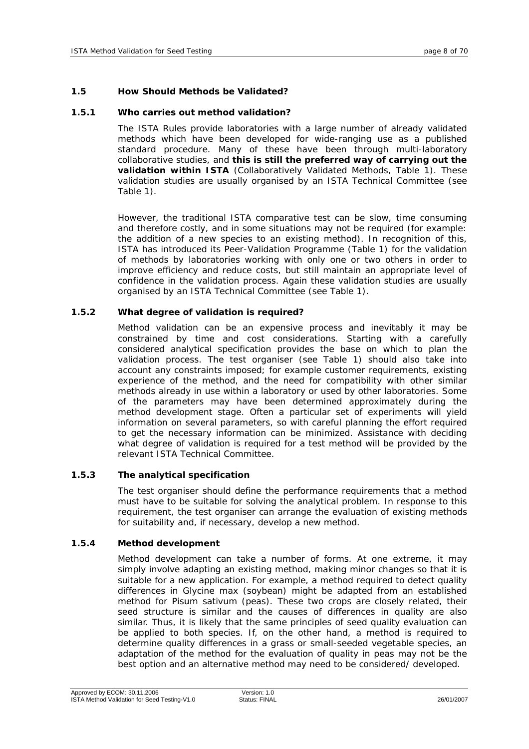### **1.5 How Should Methods be Validated?**

### **1.5.1 Who carries out method validation?**

The ISTA Rules provide laboratories with a large number of already validated methods which have been developed for wide-ranging use as a published standard procedure. Many of these have been through multi-laboratory collaborative studies, and **this is still the preferred way of carrying out the validation within ISTA** (Collaboratively Validated Methods, Table 1). These validation studies are usually organised by an ISTA Technical Committee (see Table 1).

However, the traditional ISTA comparative test can be slow, time consuming and therefore costly, and in some situations may not be required (for example: the addition of a new species to an existing method). In recognition of this, ISTA has introduced its Peer-Validation Programme (Table 1) for the validation of methods by laboratories working with only one or two others in order to improve efficiency and reduce costs, but still maintain an appropriate level of confidence in the validation process. Again these validation studies are usually organised by an ISTA Technical Committee (see Table 1).

### **1.5.2 What degree of validation is required?**

Method validation can be an expensive process and inevitably it may be constrained by time and cost considerations. Starting with a carefully considered analytical specification provides the base on which to plan the validation process. The test organiser (see Table 1) should also take into account any constraints imposed; for example customer requirements, existing experience of the method, and the need for compatibility with other similar methods already in use within a laboratory or used by other laboratories. Some of the parameters may have been determined approximately during the method development stage. Often a particular set of experiments will yield information on several parameters, so with careful planning the effort required to get the necessary information can be minimized. Assistance with deciding what degree of validation is required for a test method will be provided by the relevant ISTA Technical Committee.

### **1.5.3 The analytical specification**

The test organiser should define the performance requirements that a method must have to be suitable for solving the analytical problem. In response to this requirement, the test organiser can arrange the evaluation of existing methods for suitability and, if necessary, develop a new method.

### **1.5.4 Method development**

Method development can take a number of forms. At one extreme, it may simply involve adapting an existing method, making minor changes so that it is suitable for a new application. For example, a method required to detect quality differences in *Glycine max* (soybean) might be adapted from an established method for *Pisum sativum* (peas). These two crops are closely related, their seed structure is similar and the causes of differences in quality are also similar. Thus, it is likely that the same principles of seed quality evaluation can be applied to both species. If, on the other hand, a method is required to determine quality differences in a grass or small-seeded vegetable species, an adaptation of the method for the evaluation of quality in peas may not be the best option and an alternative method may need to be considered/ developed.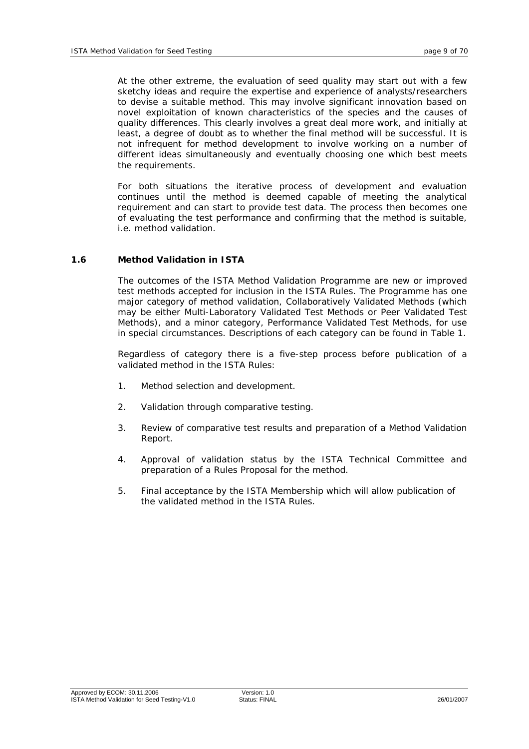At the other extreme, the evaluation of seed quality may start out with a few sketchy ideas and require the expertise and experience of analysts/researchers to devise a suitable method. This may involve significant innovation based on novel exploitation of known characteristics of the species and the causes of quality differences. This clearly involves a great deal more work, and initially at least, a degree of doubt as to whether the final method will be successful. It is not infrequent for method development to involve working on a number of different ideas simultaneously and eventually choosing one which best meets the requirements.

For both situations the iterative process of development and evaluation continues until the method is deemed capable of meeting the analytical requirement and can start to provide test data. The process then becomes one of evaluating the test performance and confirming that the method is suitable, i.e. method validation.

### **1.6 Method Validation in ISTA**

The outcomes of the ISTA Method Validation Programme are new or improved test methods accepted for inclusion in the ISTA Rules. The Programme has one major category of method validation, Collaboratively Validated Methods (which may be either Multi-Laboratory Validated Test Methods or Peer Validated Test Methods), and a minor category, Performance Validated Test Methods, for use in special circumstances. Descriptions of each category can be found in Table 1.

Regardless of category there is a five-step process before publication of a validated method in the ISTA Rules:

- 1. Method selection and development.
- 2. Validation through comparative testing.
- 3. Review of comparative test results and preparation of a Method Validation Report.
- 4. Approval of validation status by the ISTA Technical Committee and preparation of a Rules Proposal for the method.
- 5. Final acceptance by the ISTA Membership which will allow publication of the validated method in the ISTA Rules.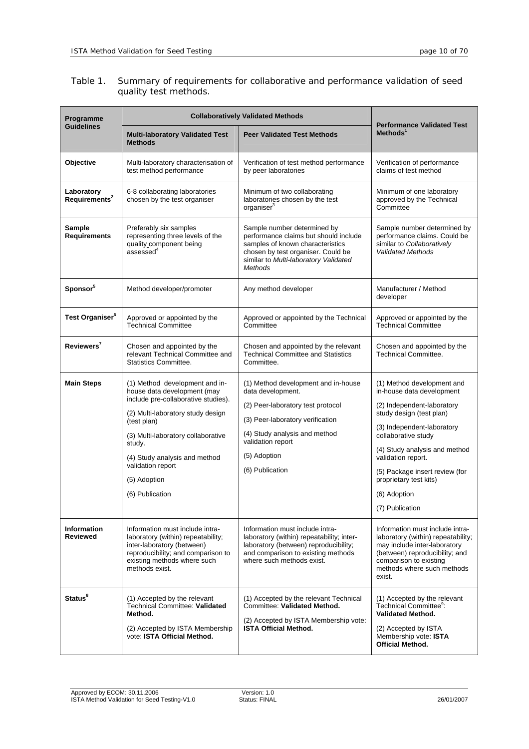| Table 1. Summary of requirements for collaborative and performance validation of seed |
|---------------------------------------------------------------------------------------|
| quality test methods.                                                                 |

| Programme                                                  | <b>Collaboratively Validated Methods</b>                                                                                                                                                                                                                                                                                                                                                                 |                                                                                                                                                                                                                                                                                                                                                     |                                                                                                                                                                                                                                                                                                                                                                                                                                       |
|------------------------------------------------------------|----------------------------------------------------------------------------------------------------------------------------------------------------------------------------------------------------------------------------------------------------------------------------------------------------------------------------------------------------------------------------------------------------------|-----------------------------------------------------------------------------------------------------------------------------------------------------------------------------------------------------------------------------------------------------------------------------------------------------------------------------------------------------|---------------------------------------------------------------------------------------------------------------------------------------------------------------------------------------------------------------------------------------------------------------------------------------------------------------------------------------------------------------------------------------------------------------------------------------|
| <b>Guidelines</b>                                          | <b>Multi-laboratory Validated Test</b><br><b>Methods</b>                                                                                                                                                                                                                                                                                                                                                 | <b>Peer Validated Test Methods</b>                                                                                                                                                                                                                                                                                                                  | <b>Performance Validated Test</b><br>$Methods^1$                                                                                                                                                                                                                                                                                                                                                                                      |
| Objective                                                  | Multi-laboratory characterisation of<br>test method performance                                                                                                                                                                                                                                                                                                                                          | Verification of test method performance<br>by peer laboratories                                                                                                                                                                                                                                                                                     | Verification of performance<br>claims of test method                                                                                                                                                                                                                                                                                                                                                                                  |
| Laboratory<br>Requirements <sup>2</sup>                    | 6-8 collaborating laboratories<br>chosen by the test organiser                                                                                                                                                                                                                                                                                                                                           | Minimum of two collaborating<br>laboratories chosen by the test<br>organiser <sup>3</sup>                                                                                                                                                                                                                                                           | Minimum of one laboratory<br>approved by the Technical<br>Committee                                                                                                                                                                                                                                                                                                                                                                   |
| Sample<br><b>Requirements</b>                              | Preferably six samples<br>representing three levels of the<br>quality_component being<br>assessed <sup>4</sup>                                                                                                                                                                                                                                                                                           | Sample number determined by<br>performance claims but should include<br>samples of known characteristics<br>chosen by test organiser. Could be<br>similar to Multi-laboratory Validated<br><b>Methods</b>                                                                                                                                           | Sample number determined by<br>performance claims. Could be<br>similar to Collaboratively<br><b>Validated Methods</b>                                                                                                                                                                                                                                                                                                                 |
| Sponsor <sup>5</sup>                                       | Method developer/promoter                                                                                                                                                                                                                                                                                                                                                                                | Any method developer                                                                                                                                                                                                                                                                                                                                | Manufacturer / Method<br>developer                                                                                                                                                                                                                                                                                                                                                                                                    |
| Test Organiser <sup>6</sup>                                | Approved or appointed by the<br><b>Technical Committee</b>                                                                                                                                                                                                                                                                                                                                               | Approved or appointed by the Technical<br>Committee                                                                                                                                                                                                                                                                                                 | Approved or appointed by the<br><b>Technical Committee</b>                                                                                                                                                                                                                                                                                                                                                                            |
| Reviewers <sup>7</sup>                                     | Chosen and appointed by the<br>relevant Technical Committee and<br>Statistics Committee.                                                                                                                                                                                                                                                                                                                 | Chosen and appointed by the relevant<br><b>Technical Committee and Statistics</b><br>Committee.                                                                                                                                                                                                                                                     | Chosen and appointed by the<br><b>Technical Committee.</b>                                                                                                                                                                                                                                                                                                                                                                            |
| <b>Main Steps</b><br><b>Information</b><br><b>Reviewed</b> | (1) Method development and in-<br>house data development (may<br>include pre-collaborative studies).<br>(2) Multi-laboratory study design<br>(test plan)<br>(3) Multi-laboratory collaborative<br>study.<br>(4) Study analysis and method<br>validation report<br>(5) Adoption<br>(6) Publication<br>Information must include intra-<br>laboratory (within) repeatability;<br>inter-laboratory (between) | (1) Method development and in-house<br>data development.<br>(2) Peer-laboratory test protocol<br>(3) Peer-laboratory verification<br>(4) Study analysis and method<br>validation report<br>(5) Adoption<br>(6) Publication<br>Information must include intra-<br>laboratory (within) repeatability; inter-<br>laboratory (between) reproducibility; | (1) Method development and<br>in-house data development<br>(2) Independent-laboratory<br>study design (test plan)<br>(3) Independent-laboratory<br>collaborative study<br>(4) Study analysis and method<br>validation report.<br>(5) Package insert review (for<br>proprietary test kits)<br>(6) Adoption<br>(7) Publication<br>Information must include intra-<br>laboratory (within) repeatability;<br>may include inter-laboratory |
|                                                            | reproducibility; and comparison to<br>existing methods where such<br>methods exist.                                                                                                                                                                                                                                                                                                                      | and comparison to existing methods<br>where such methods exist.                                                                                                                                                                                                                                                                                     | (between) reproducibility; and<br>comparison to existing<br>methods where such methods<br>exist.                                                                                                                                                                                                                                                                                                                                      |
| <b>Status</b> <sup>8</sup>                                 | (1) Accepted by the relevant<br>Technical Committee: Validated<br>Method.<br>(2) Accepted by ISTA Membership<br>vote: ISTA Official Method.                                                                                                                                                                                                                                                              | (1) Accepted by the relevant Technical<br>Committee: Validated Method.<br>(2) Accepted by ISTA Membership vote:<br><b>ISTA Official Method.</b>                                                                                                                                                                                                     | (1) Accepted by the relevant<br>Technical Committee <sup>9</sup> :<br><b>Validated Method.</b><br>(2) Accepted by ISTA<br>Membership vote: ISTA<br><b>Official Method.</b>                                                                                                                                                                                                                                                            |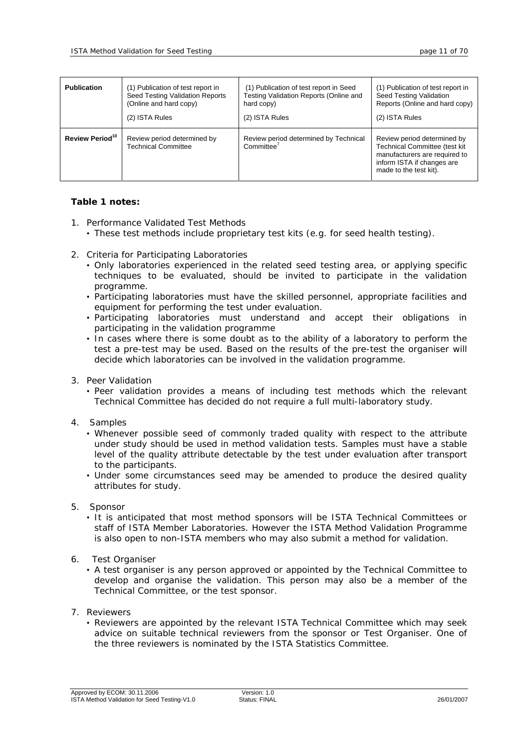| <b>Publication</b>          | (1) Publication of test report in                         | (1) Publication of test report in Seed              | (1) Publication of test report in                                                                                                                            |
|-----------------------------|-----------------------------------------------------------|-----------------------------------------------------|--------------------------------------------------------------------------------------------------------------------------------------------------------------|
|                             | Seed Testing Validation Reports                           | Testing Validation Reports (Online and              | Seed Testing Validation                                                                                                                                      |
|                             | (Online and hard copy)                                    | hard copy)                                          | Reports (Online and hard copy)                                                                                                                               |
|                             | (2) ISTA Rules                                            | (2) ISTA Rules                                      | (2) ISTA Rules                                                                                                                                               |
| Review Period <sup>10</sup> | Review period determined by<br><b>Technical Committee</b> | Review period determined by Technical<br>Committee' | Review period determined by<br><b>Technical Committee (test kit</b><br>manufacturers are required to<br>inform ISTA if changes are<br>made to the test kit). |

### **Table 1 notes:**

- 1. Performance Validated Test Methods
	- These test methods include proprietary test kits (e.g. for seed health testing).
- 2. Criteria for Participating Laboratories
	- Only laboratories experienced in the related seed testing area, or applying specific techniques to be evaluated, should be invited to participate in the validation programme.
	- Participating laboratories must have the skilled personnel, appropriate facilities and equipment for performing the test under evaluation.
	- Participating laboratories must understand and accept their obligations in participating in the validation programme
	- In cases where there is some doubt as to the ability of a laboratory to perform the test a *pre-test* may be used. Based on the results of the pre-test the organiser will decide which laboratories can be involved in the validation programme.
- 3. Peer Validation
	- Peer validation provides a means of including test methods which the relevant Technical Committee has decided do not require a full multi-laboratory study.
- 4. Samples
	- Whenever possible seed of commonly traded quality with respect to the attribute under study should be used in method validation tests. Samples must have a stable level of the quality attribute detectable by the test under evaluation after transport to the participants.
	- Under some circumstances seed may be amended to produce the desired quality attributes for study.
- 5. Sponsor
	- It is anticipated that most method sponsors will be ISTA Technical Committees or staff of ISTA Member Laboratories. However the ISTA Method Validation Programme is also open to non-ISTA members who may also submit a method for validation.
- 6. Test Organiser
	- A test organiser is any person approved or appointed by the Technical Committee to develop and organise the validation. This person may also be a member of the Technical Committee, or the test sponsor.
- 7. Reviewers
	- Reviewers are appointed by the relevant ISTA Technical Committee which may seek advice on suitable technical reviewers from the sponsor or Test Organiser. One of the three reviewers is nominated by the ISTA Statistics Committee.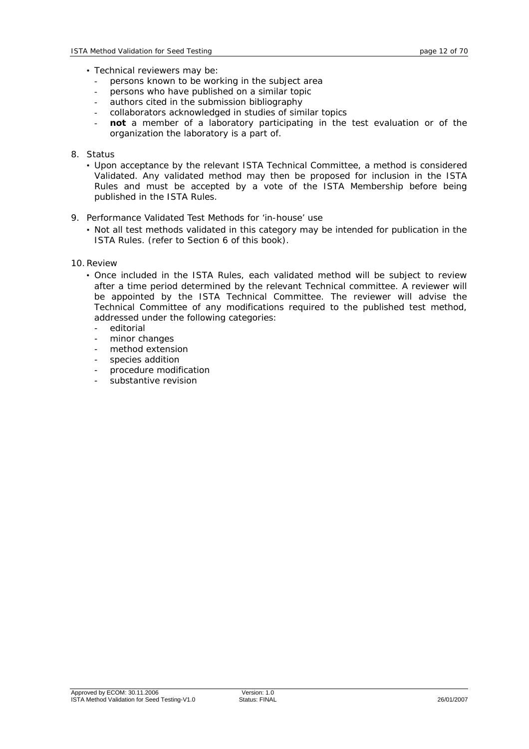- Technical reviewers may be:
	- persons known to be working in the subject area
	- persons who have published on a similar topic
	- authors cited in the submission bibliography
	- collaborators acknowledged in studies of similar topics
	- **not** a member of a laboratory participating in the test evaluation or of the organization the laboratory is a part of.

### 8. Status

- Upon acceptance by the relevant ISTA Technical Committee, a method is considered Validated. Any validated method may then be proposed for inclusion in the ISTA Rules and must be accepted by a vote of the ISTA Membership before being published in the ISTA Rules.
- 9. Performance Validated Test Methods for 'in-house' use
	- Not all test methods validated in this category may be intended for publication in the ISTA Rules. (refer to Section 6 of this book).
- 10.Review
	- Once included in the ISTA Rules, each validated method will be subject to review after a time period determined by the relevant Technical committee. A reviewer will be appointed by the ISTA Technical Committee. The reviewer will advise the Technical Committee of any modifications required to the published test method, addressed under the following categories:
		- editorial
		- minor changes
		- method extension
		- species addition
		- procedure modification
		- substantive revision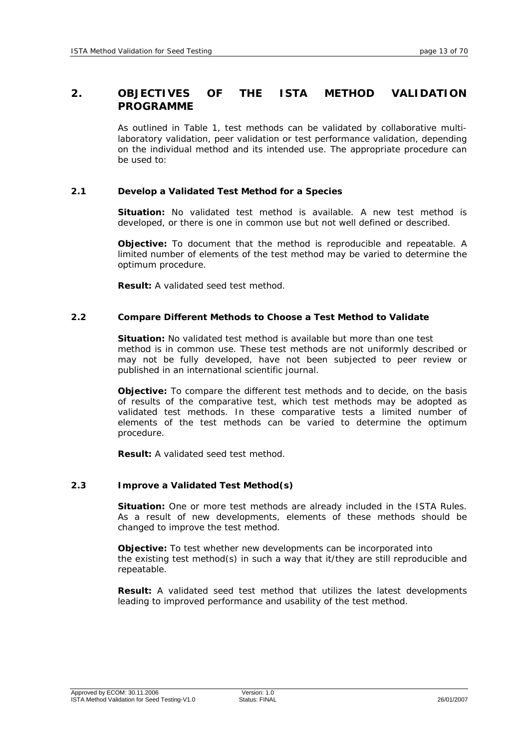### **2. OBJECTIVES OF THE ISTA METHOD VALIDATION PROGRAMME**

As outlined in Table 1, test methods can be validated by collaborative multilaboratory validation, peer validation or test performance validation, depending on the individual method and its intended use. The appropriate procedure can be used to:

### **2.1 Develop a Validated Test Method for a Species**

**Situation:** No validated test method is available. A new test method is developed, or there is one in common use but not well defined or described.

**Objective:** To document that the method is reproducible and repeatable. A limited number of elements of the test method may be varied to determine the optimum procedure.

 **Result:** A validated seed test method.

### **2.2 Compare Different Methods to Choose a Test Method to Validate**

 **Situation:** No validated test method is available but more than one test method is in common use. These test methods are not uniformly described or may not be fully developed, have not been subjected to peer review or published in an international scientific journal.

**Objective:** To compare the different test methods and to decide, on the basis of results of the comparative test, which test methods may be adopted as validated test methods. In these comparative tests a limited number of elements of the test methods can be varied to determine the optimum procedure.

 **Result:** A validated seed test method.

### **2.3 Improve a Validated Test Method(s)**

**Situation:** One or more test methods are already included in the ISTA Rules. As a result of new developments, elements of these methods should be changed to improve the test method.

 **Objective:** To test whether new developments can be incorporated into the existing test method(s) in such a way that it/they are still reproducible and repeatable.

 **Result:** A validated seed test method that utilizes the latest developments leading to improved performance and usability of the test method.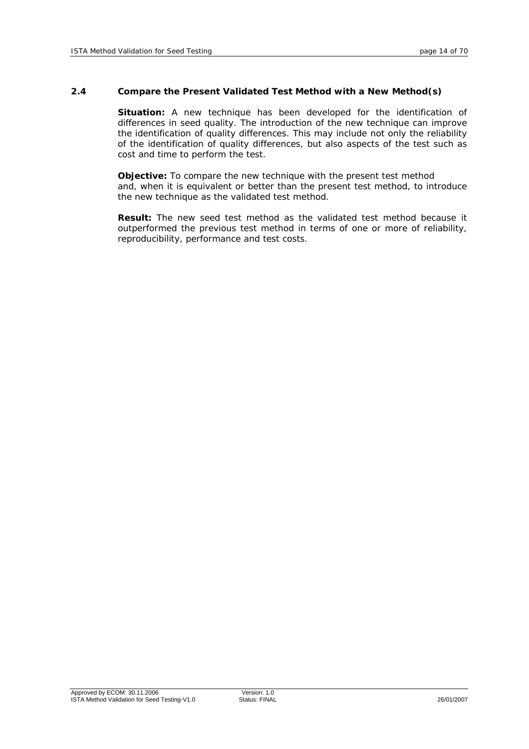### **2.4 Compare the Present Validated Test Method with a New Method(s)**

**Situation:** A new technique has been developed for the identification of differences in seed quality. The introduction of the new technique can improve the identification of quality differences. This may include not only the reliability of the identification of quality differences, but also aspects of the test such as cost and time to perform the test.

 **Objective:** To compare the new technique with the present test method and, when it is equivalent or better than the present test method, to introduce the new technique as the validated test method.

 **Result:** The new seed test method as the validated test method because it outperformed the previous test method in terms of one or more of reliability, reproducibility, performance and test costs.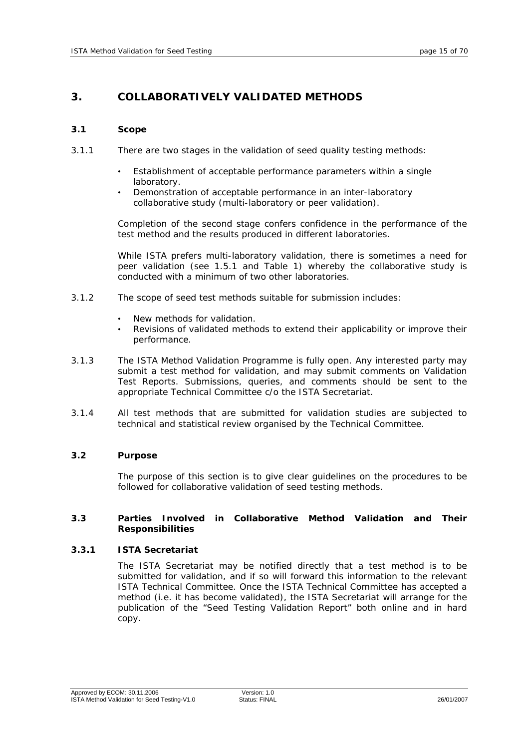### **3. COLLABORATIVELY VALIDATED METHODS**

### **3.1 Scope**

- 3.1.1 There are two stages in the validation of seed quality testing methods:
	- Establishment of acceptable performance parameters within a single laboratory.
	- Demonstration of acceptable performance in an inter-laboratory collaborative study (multi-laboratory or peer validation).

Completion of the second stage confers confidence in the performance of the test method and the results produced in different laboratories.

While ISTA prefers multi-laboratory validation, there is sometimes a need for peer validation (see 1.5.1 and Table 1) whereby the collaborative study is conducted with a minimum of two other laboratories.

- 3.1.2 The scope of seed test methods suitable for submission includes:
	- New methods for validation.
	- Revisions of validated methods to extend their applicability or improve their performance.
- 3.1.3 The ISTA Method Validation Programme is fully open. Any interested party may submit a test method for validation, and may submit comments on Validation Test Reports. Submissions, queries, and comments should be sent to the appropriate Technical Committee c/o the ISTA Secretariat.
- 3.1.4 All test methods that are submitted for validation studies are subjected to technical and statistical review organised by the Technical Committee.

### **3.2 Purpose**

 The purpose of this section is to give clear guidelines on the procedures to be followed for collaborative validation of seed testing methods.

### **3.3 Parties Involved in Collaborative Method Validation and Their Responsibilities**

### **3.3.1 ISTA Secretariat**

The ISTA Secretariat may be notified directly that a test method is to be submitted for validation, and if so will forward this information to the relevant ISTA Technical Committee. Once the ISTA Technical Committee has accepted a method (i.e. it has become validated), the ISTA Secretariat will arrange for the publication of the "Seed Testing Validation Report" both online and in hard copy.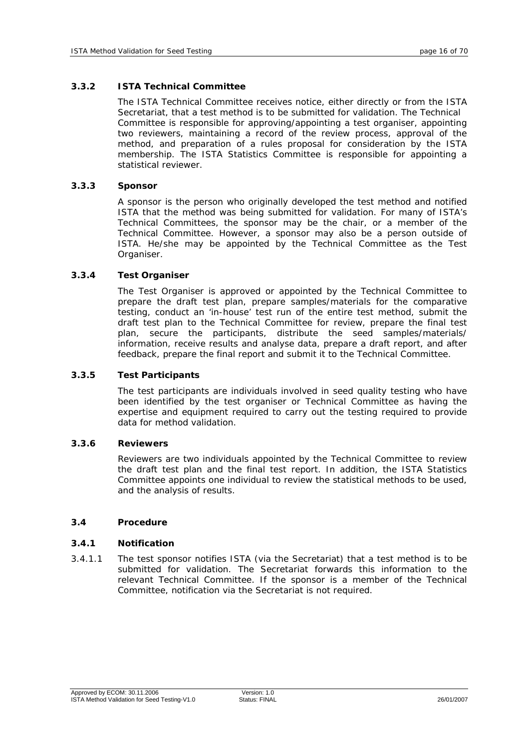### **3.3.2 ISTA Technical Committee**

The ISTA Technical Committee receives notice, either directly or from the ISTA Secretariat, that a test method is to be submitted for validation. The Technical Committee is responsible for approving/appointing a test organiser, appointing two reviewers, maintaining a record of the review process, approval of the method, and preparation of a rules proposal for consideration by the ISTA membership. The ISTA Statistics Committee is responsible for appointing a statistical reviewer.

### **3.3.3 Sponsor**

A sponsor is the person who originally developed the test method and notified ISTA that the method was being submitted for validation. For many of ISTA's Technical Committees, the sponsor may be the chair, or a member of the Technical Committee. However, a sponsor may also be a person outside of ISTA. He/she may be appointed by the Technical Committee as the Test Organiser.

### **3.3.4 Test Organiser**

The Test Organiser is approved or appointed by the Technical Committee to prepare the draft test plan, prepare samples/materials for the comparative testing, conduct an 'in-house' test run of the entire test method, submit the draft test plan to the Technical Committee for review, prepare the final test plan, secure the participants, distribute the seed samples/materials/ information, receive results and analyse data, prepare a draft report, and after feedback, prepare the final report and submit it to the Technical Committee.

### **3.3.5 Test Participants**

The test participants are individuals involved in seed quality testing who have been identified by the test organiser or Technical Committee as having the expertise and equipment required to carry out the testing required to provide data for method validation.

### **3.3.6 Reviewers**

Reviewers are two individuals appointed by the Technical Committee to review the draft test plan and the final test report. In addition, the ISTA Statistics Committee appoints one individual to review the statistical methods to be used, and the analysis of results.

### **3.4 Procedure**

### **3.4.1 Notification**

3.4.1.1 The test sponsor notifies ISTA (via the Secretariat) that a test method is to be submitted for validation. The Secretariat forwards this information to the relevant Technical Committee. If the sponsor is a member of the Technical Committee, notification via the Secretariat is not required.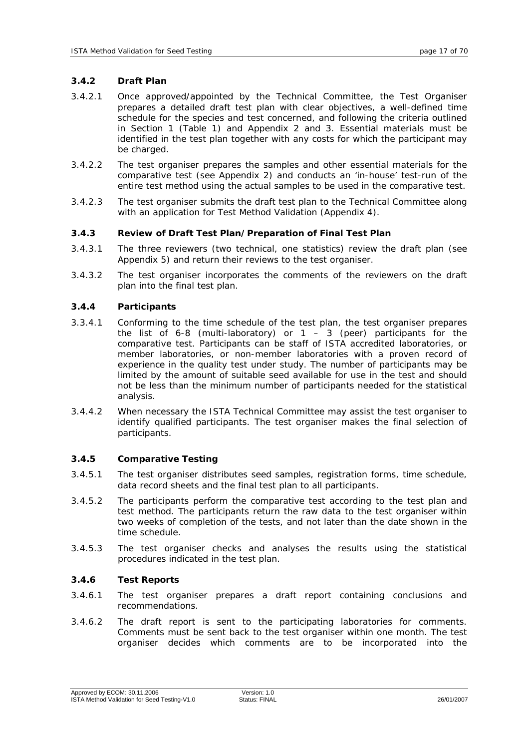### **3.4.2 Draft Plan**

- 3.4.2.1 Once approved/appointed by the Technical Committee, the Test Organiser prepares a detailed draft test plan with clear objectives, a well-defined time schedule for the species and test concerned, and following the criteria outlined in Section 1 (Table 1) and Appendix 2 and 3. Essential materials must be identified in the test plan together with any costs for which the participant may be charged.
- 3.4.2.2 The test organiser prepares the samples and other essential materials for the comparative test (see Appendix 2) and conducts an 'in-house' test-run of the entire test method using the actual samples to be used in the comparative test.
- 3.4.2.3 The test organiser submits the draft test plan to the Technical Committee along with an application for Test Method Validation (Appendix 4).

### **3.4.3 Review of Draft Test Plan/Preparation of Final Test Plan**

- 3.4.3.1 The three reviewers (two technical, one statistics) review the draft plan (see Appendix 5) and return their reviews to the test organiser.
- 3.4.3.2 The test organiser incorporates the comments of the reviewers on the draft plan into the final test plan.

### **3.4.4 Participants**

- 3.3.4.1 Conforming to the time schedule of the test plan, the test organiser prepares the list of 6-8 (multi-laboratory) or  $1 - 3$  (peer) participants for the comparative test. Participants can be staff of ISTA accredited laboratories, or member laboratories, or non-member laboratories with a proven record of experience in the quality test under study. The number of participants may be limited by the amount of suitable seed available for use in the test and should not be less than the minimum number of participants needed for the statistical analysis.
- 3.4.4.2 When necessary the ISTA Technical Committee may assist the test organiser to identify qualified participants. The test organiser makes the final selection of participants.

### **3.4.5 Comparative Testing**

- 3.4.5.1 The test organiser distributes seed samples, registration forms, time schedule, data record sheets and the final test plan to all participants.
- 3.4.5.2 The participants perform the comparative test according to the test plan and test method. The participants return the raw data to the test organiser within two weeks of completion of the tests, and not later than the date shown in the time schedule.
- 3.4.5.3 The test organiser checks and analyses the results using the statistical procedures indicated in the test plan.

### **3.4.6 Test Reports**

- 3.4.6.1 The test organiser prepares a draft report containing conclusions and recommendations.
- 3.4.6.2 The draft report is sent to the participating laboratories for comments. Comments must be sent back to the test organiser within one month. The test organiser decides which comments are to be incorporated into the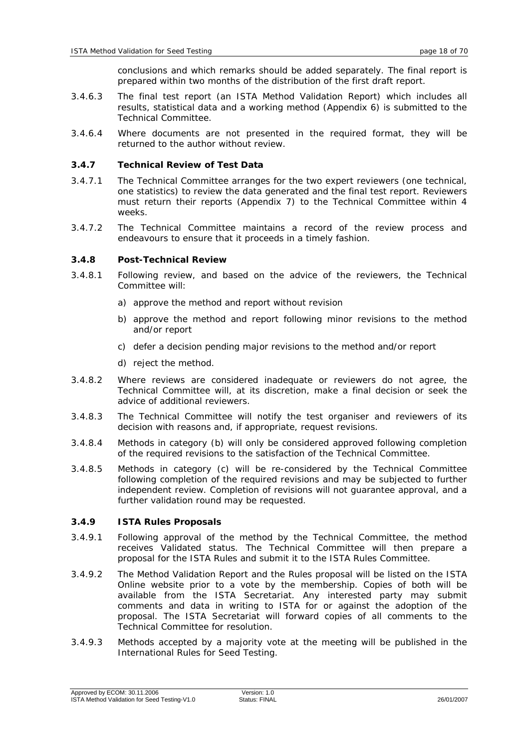conclusions and which remarks should be added separately. The final report is prepared within two months of the distribution of the first draft report.

- 3.4.6.3 The final test report (an ISTA Method Validation Report) which includes all results, statistical data and a working method (Appendix 6) is submitted to the Technical Committee.
- 3.4.6.4 Where documents are not presented in the required format, they will be returned to the author without review.

### **3.4.7 Technical Review of Test Data**

- 3.4.7.1 The Technical Committee arranges for the two expert reviewers (one technical, one statistics) to review the data generated and the final test report. Reviewers must return their reports (Appendix 7) to the Technical Committee within 4 weeks.
- 3.4.7.2 The Technical Committee maintains a record of the review process and endeavours to ensure that it proceeds in a timely fashion.

### **3.4.8 Post-Technical Review**

- 3.4.8.1 Following review, and based on the advice of the reviewers, the Technical Committee will:
	- a) approve the method and report without revision
	- b) approve the method and report following minor revisions to the method and/or report
	- c) defer a decision pending major revisions to the method and/or report
	- d) reject the method.
- 3.4.8.2 Where reviews are considered inadequate or reviewers do not agree, the Technical Committee will, at its discretion, make a final decision or seek the advice of additional reviewers.
- 3.4.8.3 The Technical Committee will notify the test organiser and reviewers of its decision with reasons and, if appropriate, request revisions.
- 3.4.8.4 Methods in category (b) will only be considered approved following completion of the required revisions to the satisfaction of the Technical Committee.
- 3.4.8.5 Methods in category (c) will be re-considered by the Technical Committee following completion of the required revisions and may be subjected to further independent review. Completion of revisions will not guarantee approval, and a further validation round may be requested.

### **3.4.9 ISTA Rules Proposals**

- 3.4.9.1 Following approval of the method by the Technical Committee, the method receives Validated status. The Technical Committee will then prepare a proposal for the ISTA Rules and submit it to the ISTA Rules Committee.
- 3.4.9.2 The Method Validation Report and the Rules proposal will be listed on the ISTA Online website prior to a vote by the membership. Copies of both will be available from the ISTA Secretariat. Any interested party may submit comments and data in writing to ISTA for or against the adoption of the proposal. The ISTA Secretariat will forward copies of all comments to the Technical Committee for resolution.
- 3.4.9.3 Methods accepted by a majority vote at the meeting will be published in the International Rules for Seed Testing.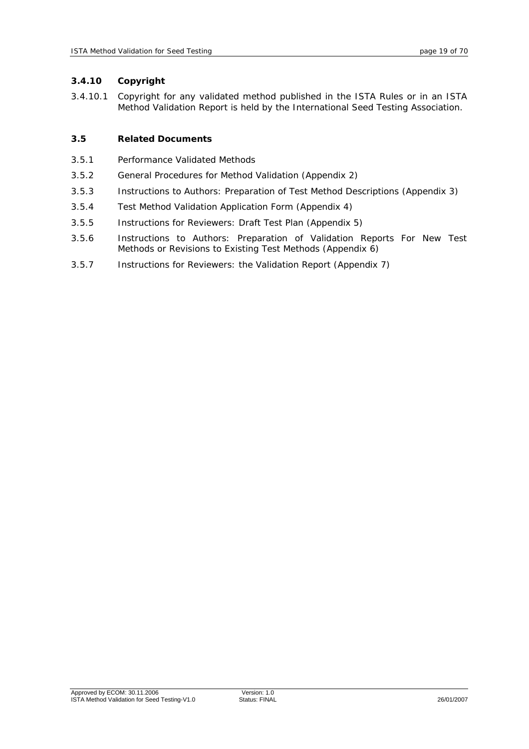### **3.4.10 Copyright**

3.4.10.1 Copyright for any validated method published in the ISTA Rules or in an ISTA Method Validation Report is held by the International Seed Testing Association.

### **3.5 Related Documents**

- 3.5.1 Performance Validated Methods
- 3.5.2 General Procedures for Method Validation (Appendix 2)
- 3.5.3 Instructions to Authors: Preparation of Test Method Descriptions (Appendix 3)
- 3.5.4 Test Method Validation Application Form (Appendix 4)
- 3.5.5 Instructions for Reviewers: Draft Test Plan (Appendix 5)
- 3.5.6 Instructions to Authors: Preparation of Validation Reports For New Test Methods or Revisions to Existing Test Methods (Appendix 6)
- 3.5.7 Instructions for Reviewers: the Validation Report (Appendix 7)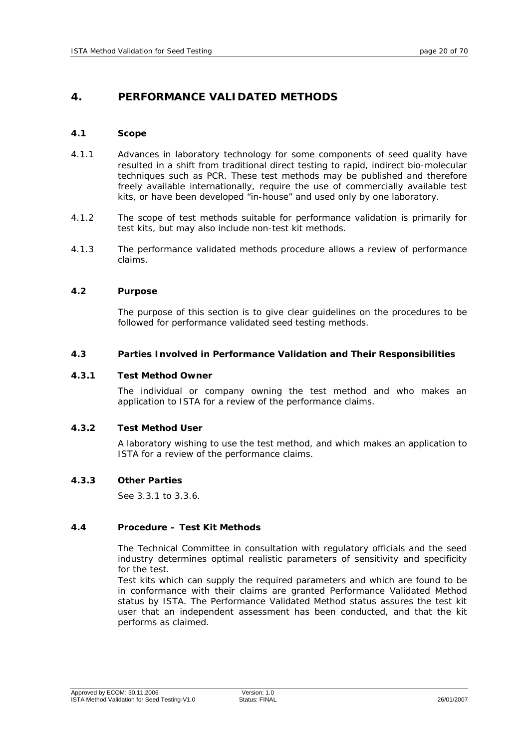### **4. PERFORMANCE VALIDATED METHODS**

### **4.1 Scope**

- 4.1.1 Advances in laboratory technology for some components of seed quality have resulted in a shift from traditional direct testing to rapid, indirect bio-molecular techniques such as PCR. These test methods may be published and therefore freely available internationally, require the use of commercially available test kits, or have been developed "in-house" and used only by one laboratory.
- 4.1.2 The scope of test methods suitable for performance validation is primarily for test kits, but may also include non-test kit methods.
- 4.1.3 The performance validated methods procedure allows a review of performance claims.

### **4.2 Purpose**

 The purpose of this section is to give clear guidelines on the procedures to be followed for performance validated seed testing methods.

### **4.3 Parties Involved in Performance Validation and Their Responsibilities**

### **4.3.1 Test Method Owner**

 The individual or company owning the test method and who makes an application to ISTA for a review of the performance claims.

### **4.3.2 Test Method User**

 A laboratory wishing to use the test method, and which makes an application to ISTA for a review of the performance claims.

### **4.3.3 Other Parties**

See 3.3.1 to 3.3.6.

### **4.4 Procedure – Test Kit Methods**

 The Technical Committee in consultation with regulatory officials and the seed industry determines optimal realistic parameters of sensitivity and specificity for the test.

 Test kits which can supply the required parameters and which are found to be in conformance with their claims are granted Performance Validated Method status by ISTA. The Performance Validated Method status assures the test kit user that an independent assessment has been conducted, and that the kit performs as claimed.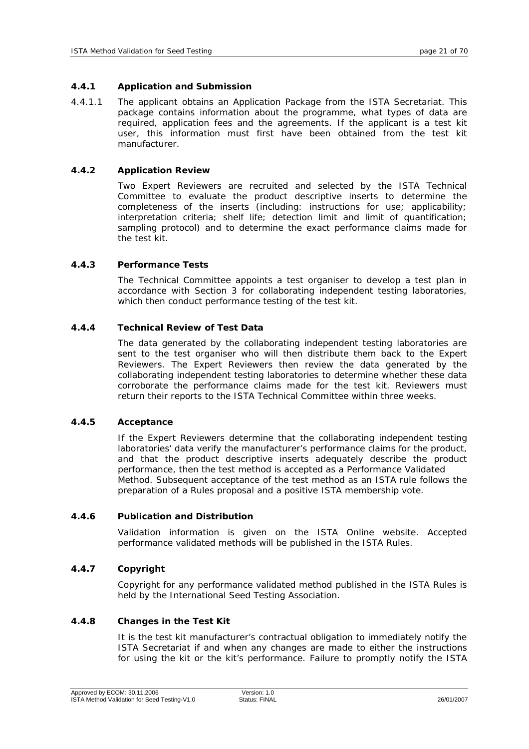### **4.4.1 Application and Submission**

4.4.1.1 The applicant obtains an Application Package from the ISTA Secretariat. This package contains information about the programme, what types of data are required, application fees and the agreements. If the applicant is a test kit user, this information must first have been obtained from the test kit manufacturer.

### **4.4.2 Application Review**

 Two Expert Reviewers are recruited and selected by the ISTA Technical Committee to evaluate the product descriptive inserts to determine the completeness of the inserts (including: instructions for use; applicability; interpretation criteria; shelf life; detection limit and limit of quantification; sampling protocol) and to determine the exact performance claims made for the test kit.

### **4.4.3 Performance Tests**

 The Technical Committee appoints a test organiser to develop a test plan in accordance with Section 3 for collaborating independent testing laboratories, which then conduct performance testing of the test kit.

### **4.4.4 Technical Review of Test Data**

 The data generated by the collaborating independent testing laboratories are sent to the test organiser who will then distribute them back to the Expert Reviewers. The Expert Reviewers then review the data generated by the collaborating independent testing laboratories to determine whether these data corroborate the performance claims made for the test kit. Reviewers must return their reports to the ISTA Technical Committee within three weeks.

### **4.4.5 Acceptance**

 If the Expert Reviewers determine that the collaborating independent testing laboratories' data verify the manufacturer's performance claims for the product, and that the product descriptive inserts adequately describe the product performance, then the test method is accepted as a Performance Validated Method. Subsequent acceptance of the test method as an ISTA rule follows the preparation of a Rules proposal and a positive ISTA membership vote.

### **4.4.6 Publication and Distribution**

 Validation information is given on the ISTA Online website. Accepted performance validated methods will be published in the ISTA Rules.

### **4.4.7 Copyright**

 Copyright for any performance validated method published in the ISTA Rules is held by the International Seed Testing Association.

### **4.4.8 Changes in the Test Kit**

 It is the test kit manufacturer's contractual obligation to immediately notify the ISTA Secretariat if and when any changes are made to either the instructions for using the kit or the kit's performance. Failure to promptly notify the ISTA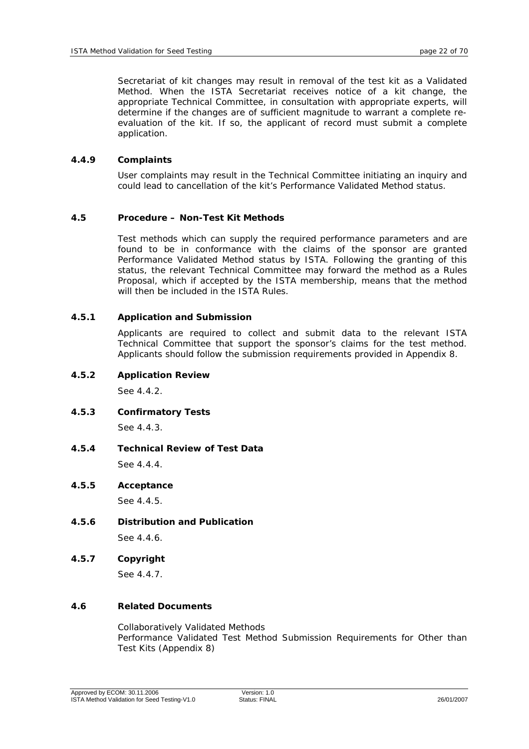Secretariat of kit changes may result in removal of the test kit as a Validated Method. When the ISTA Secretariat receives notice of a kit change, the appropriate Technical Committee, in consultation with appropriate experts, will determine if the changes are of sufficient magnitude to warrant a complete reevaluation of the kit. If so, the applicant of record must submit a complete application.

### **4.4.9 Complaints**

 User complaints may result in the Technical Committee initiating an inquiry and could lead to cancellation of the kit's Performance Validated Method status.

### **4.5 Procedure – Non-Test Kit Methods**

 Test methods which can supply the required performance parameters and are found to be in conformance with the claims of the sponsor are granted Performance Validated Method status by ISTA. Following the granting of this status, the relevant Technical Committee may forward the method as a Rules Proposal, which if accepted by the ISTA membership, means that the method will then be included in the ISTA Rules.

### **4.5.1 Application and Submission**

 Applicants are required to collect and submit data to the relevant ISTA Technical Committee that support the sponsor's claims for the test method. Applicants should follow the submission requirements provided in Appendix 8.

### **4.5.2 Application Review**

See 4.4.2.

**4.5.3 Confirmatory Tests** 

See 4.4.3.

### **4.5.4 Technical Review of Test Data**

See 4.4.4.

### **4.5.5 Acceptance**

See 4.4.5.

**4.5.6 Distribution and Publication**

See 4.4.6.

**4.5.7 Copyright** 

See 4.4.7.

### **4.6 Related Documents**

 Collaboratively Validated Methods Performance Validated Test Method Submission Requirements for Other than Test Kits (Appendix 8)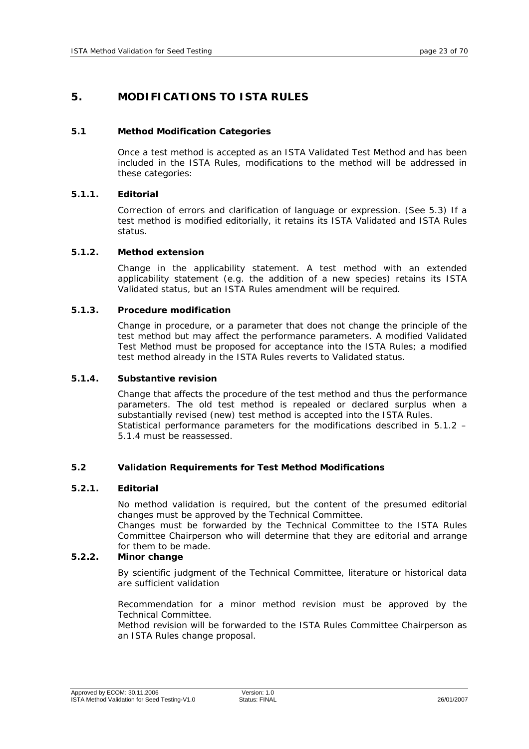### **5. MODIFICATIONS TO ISTA RULES**

### **5.1 Method Modification Categories**

 Once a test method is accepted as an ISTA Validated Test Method and has been included in the ISTA Rules, modifications to the method will be addressed in these categories:

### **5.1.1. Editorial**

 Correction of errors and clarification of language or expression. (See 5.3) If a test method is modified editorially, it retains its ISTA Validated and ISTA Rules status.

### **5.1.2. Method extension**

 Change in the applicability statement. A test method with an extended applicability statement (e.g. the addition of a new species) retains its ISTA Validated status, but an ISTA Rules amendment will be required.

### **5.1.3. Procedure modification**

 Change in procedure, or a parameter that does not change the principle of the test method but may affect the performance parameters. A modified Validated Test Method must be proposed for acceptance into the ISTA Rules; a modified test method already in the ISTA Rules reverts to Validated status.

### **5.1.4. Substantive revision**

 Change that affects the procedure of the test method and thus the performance parameters. The old test method is repealed or declared surplus when a substantially revised (new) test method is accepted into the ISTA Rules. Statistical performance parameters for the modifications described in 5.1.2 – 5.1.4 must be reassessed.

### **5.2 Validation Requirements for Test Method Modifications**

### **5.2.1. Editorial**

 No method validation is required, but the content of the presumed editorial changes must be approved by the Technical Committee.

 Changes must be forwarded by the Technical Committee to the ISTA Rules Committee Chairperson who will determine that they are editorial and arrange for them to be made.

### **5.2.2. Minor change**

 By scientific judgment of the Technical Committee, literature or historical data are sufficient validation

Recommendation for a minor method revision must be approved by the Technical Committee.

Method revision will be forwarded to the ISTA Rules Committee Chairperson as an ISTA Rules change proposal.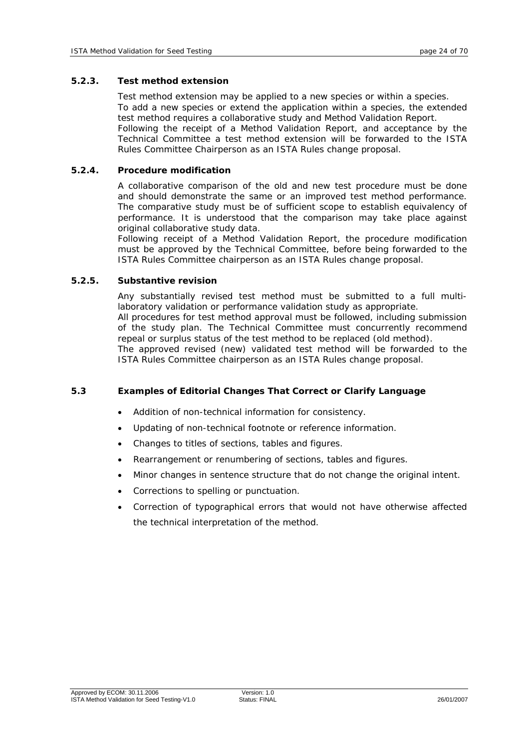### **5.2.3. Test method extension**

 Test method extension may be applied to a new species or within a species. To add a new species or extend the application within a species, the extended test method requires a collaborative study and Method Validation Report. Following the receipt of a Method Validation Report, and acceptance by the Technical Committee a test method extension will be forwarded to the ISTA Rules Committee Chairperson as an ISTA Rules change proposal.

### **5.2.4. Procedure modification**

A collaborative comparison of the old and new test procedure must be done and should demonstrate the same or an improved test method performance. The comparative study must be of sufficient scope to establish equivalency of performance. It is understood that the comparison may take place against original collaborative study data.

Following receipt of a Method Validation Report, the procedure modification must be approved by the Technical Committee, before being forwarded to the ISTA Rules Committee chairperson as an ISTA Rules change proposal.

### **5.2.5. Substantive revision**

Any substantially revised test method must be submitted to a full multilaboratory validation or performance validation study as appropriate. All procedures for test method approval must be followed, including submission of the study plan. The Technical Committee must concurrently recommend repeal or surplus status of the test method to be replaced (old method). The approved revised (new) validated test method will be forwarded to the ISTA Rules Committee chairperson as an ISTA Rules change proposal.

### **5.3 Examples of Editorial Changes That Correct or Clarify Language**

- Addition of non-technical information for consistency.
- Updating of non-technical footnote or reference information.
- Changes to titles of sections, tables and figures.
- Rearrangement or renumbering of sections, tables and figures.
- Minor changes in sentence structure that do not change the original intent.
- Corrections to spelling or punctuation.
- Correction of typographical errors that would not have otherwise affected the technical interpretation of the method.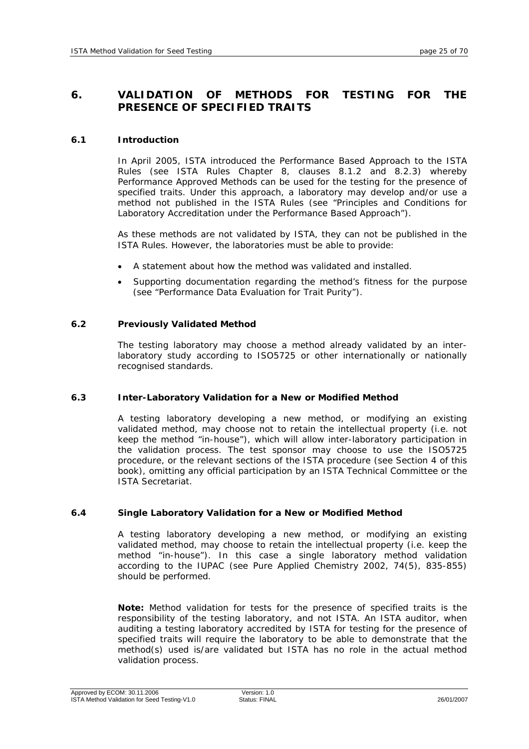### **6. VALIDATION OF METHODS FOR TESTING FOR THE PRESENCE OF SPECIFIED TRAITS**

### **6.1 Introduction**

In April 2005, ISTA introduced the Performance Based Approach to the ISTA Rules (see ISTA Rules Chapter 8, clauses 8.1.2 and 8.2.3) whereby Performance Approved Methods can be used for the testing for the presence of specified traits. Under this approach, a laboratory may develop and/or use a method not published in the ISTA Rules (see "Principles and Conditions for Laboratory Accreditation under the Performance Based Approach").

As these methods are not validated by ISTA, they can not be published in the ISTA Rules. However, the laboratories must be able to provide:

- A statement about how the method was validated and installed.
- Supporting documentation regarding the method's fitness for the purpose (see "Performance Data Evaluation for Trait Purity").

### **6.2 Previously Validated Method**

 The testing laboratory may choose a method already validated by an interlaboratory study according to ISO5725 or other internationally or nationally recognised standards.

### **6.3 Inter-Laboratory Validation for a New or Modified Method**

 A testing laboratory developing a new method, or modifying an existing validated method, may choose not to retain the intellectual property (i.e. not keep the method "in-house"), which will allow inter-laboratory participation in the validation process. The test sponsor may choose to use the ISO5725 procedure, or the relevant sections of the ISTA procedure (see Section 4 of this book), omitting any official participation by an ISTA Technical Committee or the ISTA Secretariat.

### **6.4 Single Laboratory Validation for a New or Modified Method**

 A testing laboratory developing a new method, or modifying an existing validated method, may choose to retain the intellectual property (i.e. keep the method "in-house"). In this case a single laboratory method validation according to the IUPAC (see Pure Applied Chemistry 2002, 74(5), 835-855) should be performed.

 **Note:** Method validation for tests for the presence of specified traits is the responsibility of the testing laboratory, and not ISTA. An ISTA auditor, when auditing a testing laboratory accredited by ISTA for testing for the presence of specified traits will require the laboratory to be able to demonstrate that the method(s) used is/are validated but ISTA has no role in the actual method validation process.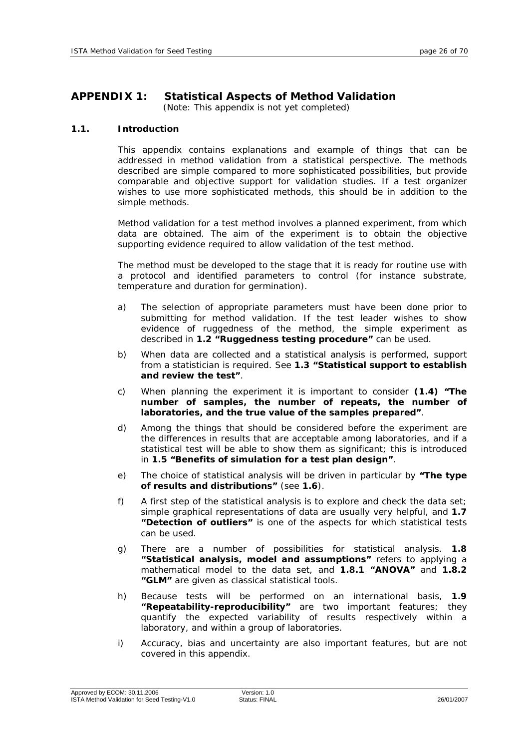### **APPENDIX 1: Statistical Aspects of Method Validation**

(Note: This appendix is not yet completed)

### **1.1. Introduction**

*This appendix contains explanations and example of things that can be addressed in method validation from a statistical perspective. The methods described are simple compared to more sophisticated possibilities, but provide comparable and objective support for validation studies. If a test organizer wishes to use more sophisticated methods, this should be in addition to the simple methods.* 

Method validation for a test method involves a planned experiment, from which data are obtained. The aim of the experiment is to obtain the objective supporting evidence required to allow validation of the test method.

The method must be developed to the stage that it is ready for routine use with a protocol and identified parameters to control (for instance substrate, temperature and duration for germination).

- a) The selection of appropriate parameters must have been done prior to submitting for method validation. If the test leader wishes to show evidence of ruggedness of the method, the simple experiment as described in **1.2 "Ruggedness testing procedure"** can be used.
- b) When data are collected and a statistical analysis is performed, support from a statistician is required. See **1.3 "Statistical support to establish and review the test"**.
- c) When planning the experiment it is important to consider **(1.4) "The number of samples, the number of repeats, the number of laboratories, and the true value of the samples prepared"**.
- d) Among the things that should be considered before the experiment are the differences in results that are acceptable among laboratories, and if a statistical test will be able to show them as significant; this is introduced in **1.5 "Benefits of simulation for a test plan design"**.
- e) The choice of statistical analysis will be driven in particular by **"The type of results and distributions"** (see **1.6**).
- f) A first step of the statistical analysis is to explore and check the data set; simple graphical representations of data are usually very helpful, and **1.7 "Detection of outliers"** is one of the aspects for which statistical tests can be used.
- g) There are a number of possibilities for statistical analysis. **1.8 "Statistical analysis, model and assumptions"** refers to applying a mathematical model to the data set, and **1.8.1 "ANOVA"** and **1.8.2 "GLM"** are given as classical statistical tools.
- h) Because tests will be performed on an international basis, **1.9 "Repeatability-reproducibility"** are two important features; they quantify the expected variability of results respectively within a laboratory, and within a group of laboratories.
- i) Accuracy, bias and uncertainty are also important features, but are not covered in this appendix.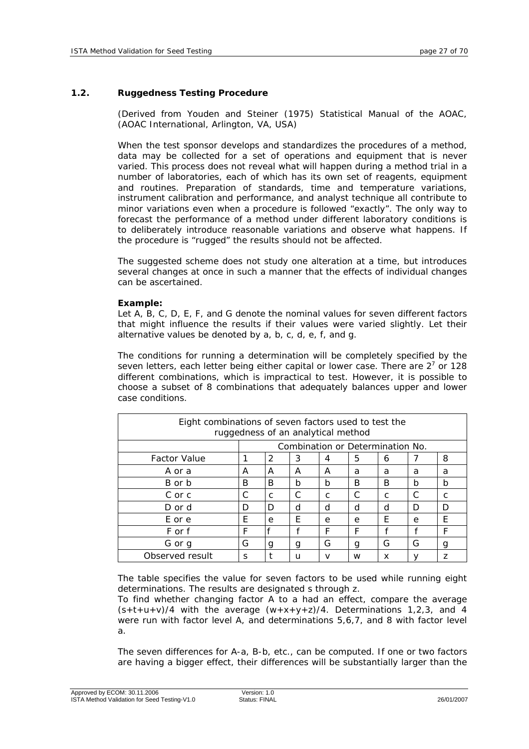### **1.2. Ruggedness Testing Procedure**

(Derived from Youden and Steiner (1975) *Statistical Manual of the AOAC*, (AOAC International, Arlington, VA, USA)

When the test sponsor develops and standardizes the procedures of a method, data may be collected for a set of operations and equipment that is never varied. This process does not reveal what will happen during a method trial in a number of laboratories, each of which has its own set of reagents, equipment and routines. Preparation of standards, time and temperature variations, instrument calibration and performance, and analyst technique all contribute to minor variations even when a procedure is followed "exactly". The only way to forecast the performance of a method under different laboratory conditions is to deliberately introduce reasonable variations and observe what happens. If the procedure is "rugged" the results should not be affected.

The suggested scheme does not study one alteration at a time, but introduces several changes at once in such a manner that the effects of individual changes can be ascertained.

### **Example:**

Let A, B, C, D, E, F, and G denote the nominal values for seven different factors that might influence the results if their values were varied slightly. Let their alternative values be denoted by a, b, c, d, e, f, and g.

The conditions for running a determination will be completely specified by the seven letters, each letter being either capital or lower case. There are  $2^7$  or 128 different combinations, which is impractical to test. However, it is possible to choose a subset of 8 combinations that adequately balances upper and lower case conditions.

| Eight combinations of seven factors used to test the<br>ruggedness of an analytical method |   |                                  |   |               |   |   |   |   |  |  |
|--------------------------------------------------------------------------------------------|---|----------------------------------|---|---------------|---|---|---|---|--|--|
|                                                                                            |   | Combination or Determination No. |   |               |   |   |   |   |  |  |
| <b>Factor Value</b>                                                                        |   | $\mathcal{P}$                    | 3 | 4             | 5 | 6 |   | 8 |  |  |
| A or a                                                                                     | A | Α                                | A | Α             | a | a | a | a |  |  |
| B or b                                                                                     | B | <sub>B</sub>                     | b | <sub>b</sub>  | R | B | h | h |  |  |
| C or c                                                                                     | C | C                                | C | C             | C | C |   | С |  |  |
| D or d                                                                                     | D | D                                | d | d             | d | d | D | D |  |  |
| E or e                                                                                     | F | e                                | F | e             | e | F | e | F |  |  |
| F or f                                                                                     | F |                                  | £ | F             | F |   |   | F |  |  |
| G or g                                                                                     | G | g                                | g | G             | g | G | G | g |  |  |
| Observed result                                                                            | S |                                  | u | $\mathcal{U}$ | w | x |   | 7 |  |  |

The table specifies the value for seven factors to be used while running eight determinations. The results are designated s through z.

To find whether changing factor A to a had an effect, compare the average  $(s+t+u+v)/4$  with the average  $(w+x+y+z)/4$ . Determinations 1,2,3, and 4 were run with factor level A, and determinations 5,6,7, and 8 with factor level a.

The seven differences for A-a, B-b, etc., can be computed. If one or two factors are having a bigger effect, their differences will be substantially larger than the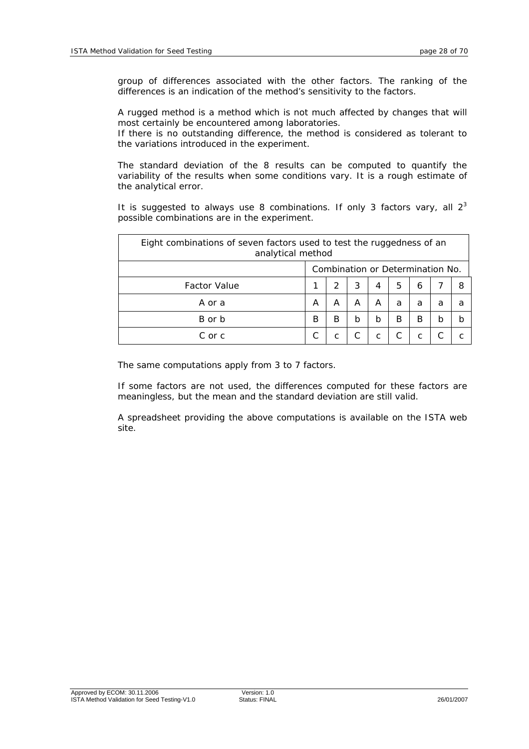group of differences associated with the other factors. The ranking of the differences is an indication of the method's sensitivity to the factors.

A rugged method is a method which is not much affected by changes that will most certainly be encountered among laboratories.

If there is no outstanding difference, the method is considered as tolerant to the variations introduced in the experiment.

The standard deviation of the 8 results can be computed to quantify the variability of the results when some conditions vary. It is a rough estimate of the analytical error.

It is suggested to always use 8 combinations. If only 3 factors vary, all  $2<sup>3</sup>$ possible combinations are in the experiment.

| Eight combinations of seven factors used to test the ruggedness of an<br>analytical method |                                  |   |   |   |   |   |   |   |  |
|--------------------------------------------------------------------------------------------|----------------------------------|---|---|---|---|---|---|---|--|
|                                                                                            | Combination or Determination No. |   |   |   |   |   |   |   |  |
| <b>Factor Value</b>                                                                        |                                  |   | 3 | 4 | 5 | 6 |   | 8 |  |
| A or a                                                                                     | А                                | А | А | A | a | a | a | a |  |
| B or b                                                                                     | B                                | B | b | b | B | B | b | b |  |
| C or c                                                                                     |                                  | C |   |   |   | C | С |   |  |

The same computations apply from 3 to 7 factors.

If some factors are not used, the differences computed for these factors are meaningless, but the mean and the standard deviation are still valid.

A spreadsheet providing the above computations is available on the ISTA web site.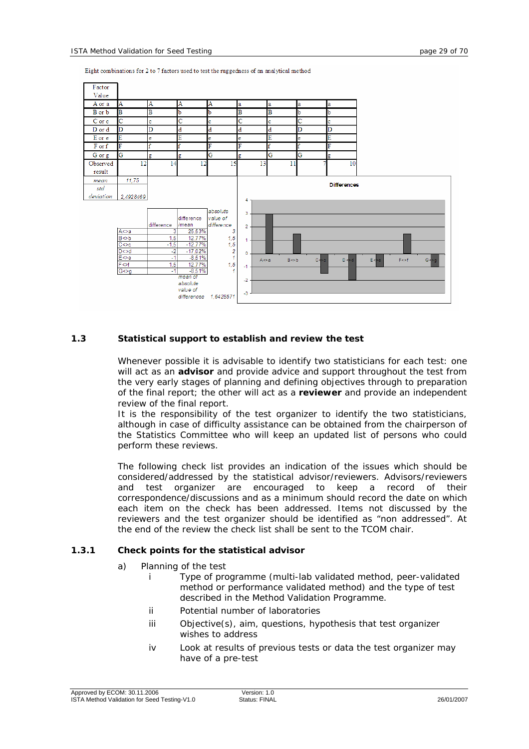| Factor    |                           |               |                         |                              |                |               |                       |     |                       |         |      |                 |
|-----------|---------------------------|---------------|-------------------------|------------------------------|----------------|---------------|-----------------------|-----|-----------------------|---------|------|-----------------|
| Value     |                           |               |                         |                              |                |               |                       |     |                       |         |      |                 |
| A or a    | А                         | Α             | Α                       | Α                            | a              |               | a                     | a   | a                     |         |      |                 |
| B or b    | в                         | B             | b                       | b                            | B              |               | B                     | b   | b                     |         |      |                 |
| C or c    | $\mathbf C$               | c             | Ċ                       | ċ                            | Ċ              |               | c                     | Ċ   | ċ                     |         |      |                 |
| D or d    | D                         | D             | $\mathbf d$             | d                            | $\mathbf d$    |               | $\mathbf d$           | D   | D                     |         |      |                 |
| E or e    | E                         | e             | E                       | e                            | e              |               | Ε                     | e   | E                     |         |      |                 |
| F or f    | F                         | f             |                         | F                            | F              |               | f                     | ¢   | F                     |         |      |                 |
| G or g    | G                         | g             | g                       | G                            | g              |               | G                     | Ġ   | g                     |         |      |                 |
| Observed  | 12                        | 14            | 12                      | 15                           |                | 13            | 11                    |     | 10                    |         |      |                 |
| result    |                           |               |                         |                              |                |               |                       |     |                       |         |      |                 |
| mean      | 11,75                     |               |                         |                              |                |               |                       |     | <b>Differences</b>    |         |      |                 |
| std       |                           |               |                         |                              |                |               |                       |     |                       |         |      |                 |
| deviation | 2,4928469                 |               |                         |                              |                |               |                       |     |                       |         |      |                 |
|           |                           |               |                         |                              |                |               |                       |     |                       |         |      |                 |
|           |                           |               |                         |                              | 4              |               |                       |     |                       |         |      |                 |
|           |                           |               |                         | absolute                     | 3              |               |                       |     |                       |         |      |                 |
|           |                           |               | difference              | value of                     |                |               |                       |     |                       |         |      |                 |
|           |                           | difference    | /me an                  | difference                   | $\overline{2}$ |               |                       |     |                       |         |      |                 |
|           | $A \ge a$                 | 3             | 25,53%                  | 3                            |                |               |                       |     |                       |         |      |                 |
|           | $B \circ b$<br>$C \infty$ | 1,5<br>$-1.5$ | 12,77%<br>$-12,77%$     |                              | 1              |               |                       |     |                       |         |      |                 |
|           | D < d                     | $-2$          | $-17,02%$               |                              | $\mathbf{0}$   |               |                       |     |                       |         |      |                 |
|           | E⇔e                       | $-1$          | $-8,51%$                | $7,5$<br>$7,5$<br>$2$<br>$7$ |                | $A \otimes a$ | $B \Leftrightarrow b$ | Coc | $D \Leftrightarrow d$ | E < b e | F<>f | $G \leqslant a$ |
|           | $F \leq f$                | 1.5           | 12,77%                  | 1,5                          | $-1$           |               |                       |     |                       |         |      |                 |
|           | $G \in \mathcal{G}$       | $-1$          | $-8.51%$                | $\overline{1}$               |                |               |                       |     |                       |         |      |                 |
|           |                           |               | mean of                 |                              | $-2$           |               |                       |     |                       |         |      |                 |
|           |                           |               | absolute                |                              |                |               |                       |     |                       |         |      |                 |
|           |                           |               | value of<br>differences | 1,6428571                    | $-3$           |               |                       |     |                       |         |      |                 |

Eight combinations for 2 to 7 factors used to test the ruggedness of an analytical method

### **1.3 Statistical support to establish and review the test**

 Whenever possible it is advisable to identify two statisticians for each test: one will act as an **advisor** and provide advice and support throughout the test from the very early stages of planning and defining objectives through to preparation of the final report; the other will act as a **reviewer** and provide an independent review of the final report.

 It is the responsibility of the test organizer to identify the two statisticians, although in case of difficulty assistance can be obtained from the chairperson of the Statistics Committee who will keep an updated list of persons who could perform these reviews.

 The following check list provides an indication of the issues which should be considered/addressed by the statistical advisor/reviewers. Advisors/reviewers and test organizer are encouraged to keep a record of their correspondence/discussions and as a minimum should record the date on which each item on the check has been addressed. Items not discussed by the reviewers and the test organizer should be identified as "non addressed". At the end of the review the check list shall be sent to the TCOM chair.

### **1.3.1 Check points for the statistical advisor**

- a) *Planning of the test* 
	- i Type of programme (multi-lab validated method, peer-validated method or performance validated method) and the type of test described in the Method Validation Programme.
	- ii Potential number of laboratories
	- iii Objective(s), aim, questions, hypothesis that test organizer wishes to address
	- iv Look at results of previous tests or data the test organizer may have of a pre-test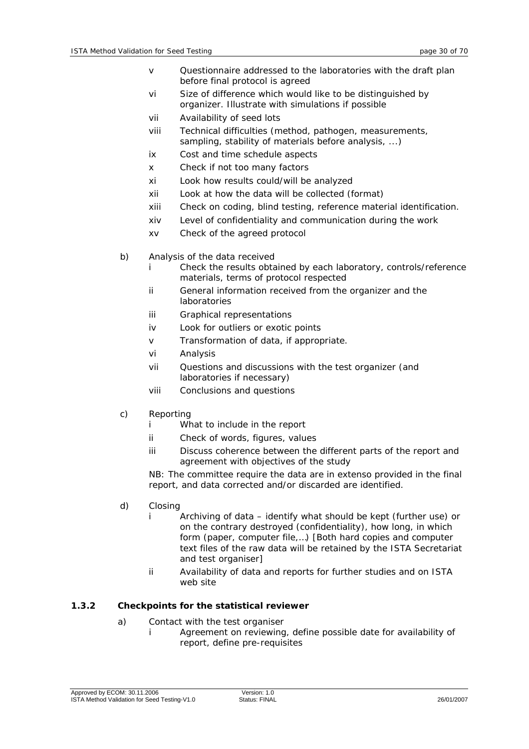- v Questionnaire addressed to the laboratories with the draft plan before final protocol is agreed
- vi Size of difference which would like to be distinguished by organizer. Illustrate with simulations if possible
- vii Availability of seed lots
- viii Technical difficulties (method, pathogen, measurements, sampling, stability of materials before analysis, ...)
- ix Cost and time schedule aspects
- x Check if not too many factors
- xi Look how results could/will be analyzed
- xii Look at how the data will be collected (format)
- xiii Check on coding, blind testing, reference material identification.
- xiv Level of confidentiality and communication during the work
- xv Check of the agreed protocol
- b) *Analysis of the data received*
	- Check the results obtained by each laboratory, controls/reference materials, terms of protocol respected
	- ii General information received from the organizer and the laboratories
	- iii Graphical representations
	- iv Look for outliers or exotic points
	- v Transformation of data, if appropriate.
	- vi Analysis
	- vii Questions and discussions with the test organizer (and laboratories if necessary)
	- viii Conclusions and questions
- c) *Reporting* 
	- i What to include in the report
	- ii Check of words, figures, values
	- iii Discuss coherence between the different parts of the report and agreement with objectives of the study

NB: The committee require the data are *in extenso* provided in the final report, and data corrected and/or discarded are identified.

### d) *Closing*

- i Archiving of data identify what should be kept (further use) or on the contrary destroyed (confidentiality), how long, in which form (paper, computer file,…) [Both hard copies and computer text files of the raw data will be retained by the ISTA Secretariat and test organiser]
- ii Availability of data and reports for further studies and on ISTA web site

### **1.3.2 Checkpoints for the statistical reviewer**

- a) *Contact with the test organiser* 
	- Agreement on reviewing, define possible date for availability of report, define pre-requisites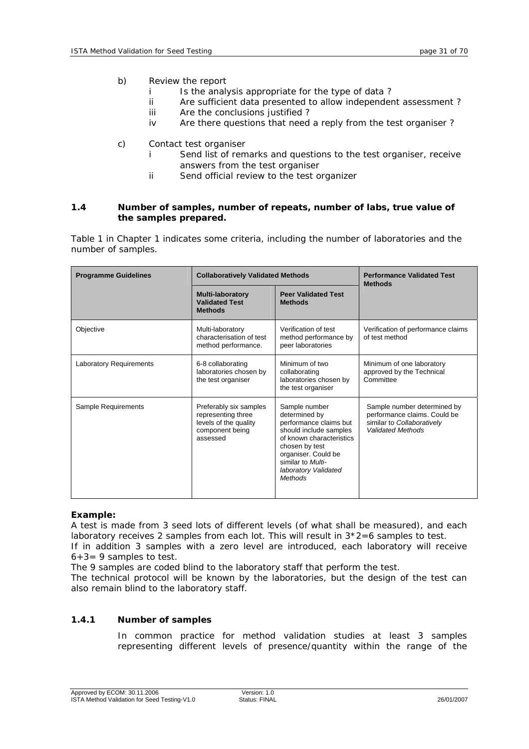- b) *Review the report*
	- i Is the analysis appropriate for the type of data?
	- ii Are sufficient data presented to allow independent assessment ?
	- iii Are the conclusions justified ?
	- iv Are there questions that need a reply from the test organiser ?
- c) *Contact test organiser* 
	- i Send list of remarks and questions to the test organiser, receive answers from the test organiser
	- ii Send official review to the test organizer

### **1.4 Number of samples, number of repeats, number of labs, true value of the samples prepared.**

Table 1 in Chapter 1 indicates some criteria, including the number of laboratories and the number of samples.

| <b>Programme Guidelines</b>    | <b>Collaboratively Validated Methods</b>                                                                           |                                                                                                                                                                                                                 | <b>Performance Validated Test</b><br><b>Methods</b>                                                                   |
|--------------------------------|--------------------------------------------------------------------------------------------------------------------|-----------------------------------------------------------------------------------------------------------------------------------------------------------------------------------------------------------------|-----------------------------------------------------------------------------------------------------------------------|
|                                | <b>Peer Validated Test</b><br><b>Multi-laboratory</b><br><b>Validated Test</b><br><b>Methods</b><br><b>Methods</b> |                                                                                                                                                                                                                 |                                                                                                                       |
| Objective                      | Multi-laboratory<br>characterisation of test<br>method performance.                                                | Verification of test<br>method performance by<br>peer laboratories                                                                                                                                              | Verification of performance claims<br>of test method                                                                  |
| <b>Laboratory Requirements</b> | 6-8 collaborating<br>laboratories chosen by<br>the test organiser                                                  | Minimum of two<br>collaborating<br>laboratories chosen by<br>the test organiser                                                                                                                                 | Minimum of one laboratory<br>approved by the Technical<br>Committee                                                   |
| Sample Requirements            | Preferably six samples<br>representing three<br>levels of the quality<br>component being<br>assessed               | Sample number<br>determined by<br>performance claims but<br>should include samples<br>of known characteristics<br>chosen by test<br>organiser. Could be<br>similar to Multi-<br>laboratory Validated<br>Methods | Sample number determined by<br>performance claims. Could be<br>similar to Collaboratively<br><b>Validated Methods</b> |

### **Example:**

A test is made from 3 seed lots of different levels (of what shall be measured), and each laboratory receives 2 samples from each lot. This will result in  $3*2=6$  samples to test.

If in addition 3 samples with a zero level are introduced, each laboratory will receive  $6+3=9$  samples to test.

The 9 samples are coded blind to the laboratory staff that perform the test.

The technical protocol will be known by the laboratories, but the design of the test can also remain blind to the laboratory staff.

### **1.4.1 Number of samples**

 In common practice for method validation studies at least 3 samples representing different levels of presence/quantity within the range of the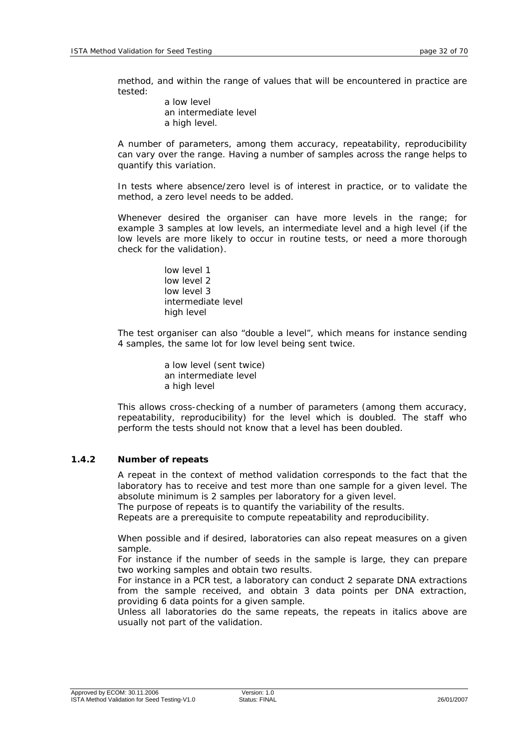method, and within the range of values that will be encountered in practice are tested:

> a low level an intermediate level a high level.

 A number of parameters, among them accuracy, repeatability, reproducibility can vary over the range. Having a number of samples across the range helps to quantify this variation.

 In tests where absence/zero level is of interest in practice, or to validate the method, a zero level needs to be added.

Whenever desired the organiser can have more levels in the range; for example 3 samples at low levels, an intermediate level and a high level (if the low levels are more likely to occur in routine tests, or need a more thorough check for the validation).

> low level 1 low level 2 low level 3 intermediate level high level

The test organiser can also "double a level", which means for instance sending 4 samples, the same lot for low level being sent twice.

> a low level (sent twice) an intermediate level a high level

This allows cross-checking of a number of parameters (among them accuracy, repeatability, reproducibility) for the level which is doubled. The staff who perform the tests should not know that a level has been doubled.

### **1.4.2 Number of repeats**

A repeat in the context of method validation corresponds to the fact that the laboratory has to receive and test more than one sample for a given level. The absolute minimum is 2 samples per laboratory for a given level.

The purpose of repeats is to quantify the variability of the results.

Repeats are a prerequisite to compute repeatability and reproducibility.

*When possible and if desired, laboratories can also repeat measures on a given sample.* 

For instance if the number of seeds in the sample is large, they can prepare *two working samples and obtain two results.* 

*For instance in a PCR test, a laboratory can conduct 2 separate DNA extractions from the sample received, and obtain 3 data points per DNA extraction, providing 6 data points for a given sample.* 

*Unless all laboratories do the same repeats, the repeats in italics above are usually not part of the validation.*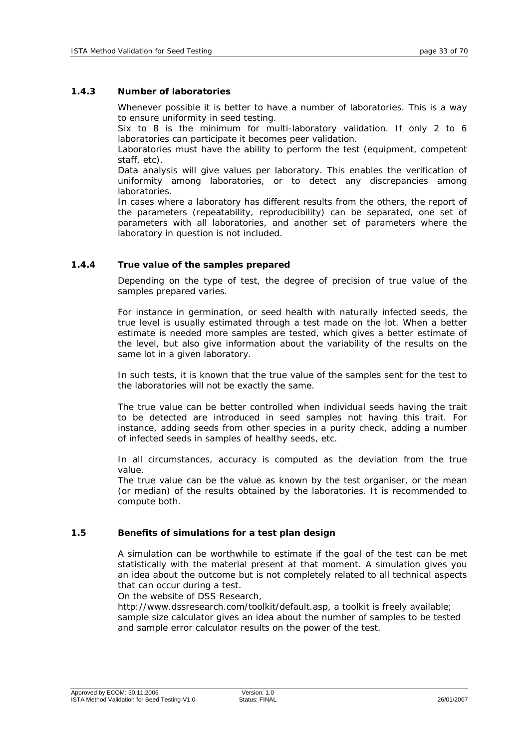### **1.4.3 Number of laboratories**

Whenever possible it is better to have a number of laboratories. This is a way to ensure uniformity in seed testing.

Six to 8 is the minimum for multi-laboratory validation. If only 2 to 6 laboratories can participate it becomes peer validation.

Laboratories must have the ability to perform the test (equipment, competent staff, etc).

Data analysis will give values per laboratory. This enables the verification of uniformity among laboratories, or to detect any discrepancies among laboratories.

In cases where a laboratory has different results from the others, the report of the parameters (repeatability, reproducibility) can be separated, one set of parameters with all laboratories, and another set of parameters where the laboratory in question is not included.

### **1.4.4 True value of the samples prepared**

Depending on the type of test, the degree of precision of true value of the samples prepared varies.

For instance in germination, or seed health with naturally infected seeds, the true level is usually estimated through a test made on the lot. When a better estimate is needed more samples are tested, which gives a better estimate of the level, but also give information about the variability of the results on the same lot in a given laboratory.

In such tests, it is known that the true value of the samples sent for the test to the laboratories will not be exactly the same.

The true value can be better controlled when individual seeds having the trait to be detected are introduced in seed samples not having this trait. For instance, adding seeds from other species in a purity check, adding a number of infected seeds in samples of healthy seeds, etc.

In all circumstances, accuracy is computed as the deviation from the true value.

The true value can be the value as known by the test organiser, or the mean (or median) of the results obtained by the laboratories. It is recommended to compute both.

### **1.5 Benefits of simulations for a test plan design**

A simulation can be worthwhile to estimate if the goal of the test can be met statistically with the material present at that moment. A simulation gives you an idea about the outcome but is not completely related to all technical aspects that can occur during a test.

On the website of DSS Research,

*http://www.dssresearch.com/toolkit/default.asp*, a toolkit is freely available; sample size calculator gives an idea about the number of samples to be tested and sample error calculator results on the power of the test.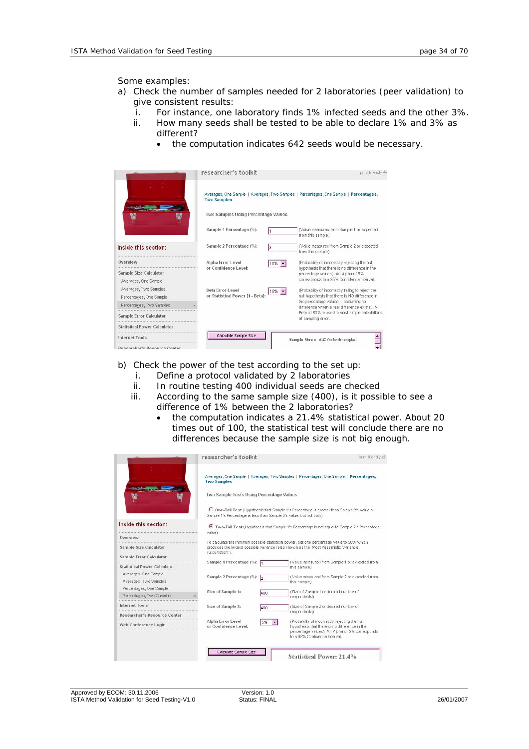Some examples:

- a) Check the number of samples needed for 2 laboratories (peer validation) to give consistent results:
	- i. For instance, one laboratory finds 1% infected seeds and the other 3%.
	- ii. How many seeds shall be tested to be able to declare 1% and 3% as different?
		- the computation indicates 642 seeds would be necessary.

|                                                  | researcher's toolkit                                       |     | print friendly &                                                                                                                 |
|--------------------------------------------------|------------------------------------------------------------|-----|----------------------------------------------------------------------------------------------------------------------------------|
|                                                  | <b>Two Samples</b><br>Two Samples Using Percentage Values  |     | Averages, One Sample   Averages, Two Samples   Percentages, One Sample   Percentages,                                            |
|                                                  | Sample 1 Percentage (%):                                   |     | (Value measured from Sample 1 or expected<br>from this sample)                                                                   |
| inside this section:                             | Sample 2 Percentage (%):                                   | Iз  | (Value measured from Sample 2 or expected<br>from this sample)                                                                   |
| Overview                                         | <b>Alpha Error Level</b>                                   | 10% | (Probability of incorrectly rejecting the null                                                                                   |
| Sample Size Calculator<br>Averages, One Sample   | or Confidence Level:                                       |     | hypothesis that there is no difference in the<br>percentage values). An Alpha of 5%<br>corresponds to a 95% Confidence Interval. |
| Averages, Two Samples<br>Percentages, One Sample | <b>Beta Error Level</b><br>or Statistical Power [1 - Beta] |     | (Probability of incorrectly failing to reject the<br>null hypothesis that there is NO difference in                              |
| Percentages, Two Samples                         |                                                            |     | the percentage values -- assuming no<br>difference when a real difference exists). A                                             |
| <b>Sample Error Calculator</b>                   |                                                            |     | Beta of 50% is used in most simple calculations<br>of sampling error.                                                            |
| <b>Statistical Power Calculator</b>              |                                                            |     |                                                                                                                                  |
| Internet Tools                                   | Calculate Sample Size                                      |     | Sample Size = 642 for both samples!                                                                                              |
| Reeestcher's Resource Center                     |                                                            |     |                                                                                                                                  |

- b) Check the power of the test according to the set up:
	- i. Define a protocol validated by 2 laboratories
	- ii. In routine testing 400 individual seeds are checked
	- iii. According to the same sample size (400), is it possible to see a difference of 1% between the 2 laboratories?
		- the computation indicates a 21.4% statistical power. About 20 times out of 100, the statistical test will conclude there are no differences because the sample size is not big enough.

|                                                                                        | researcher's toolkit                                               |     | print friendly &                                                                                                                                                                   |
|----------------------------------------------------------------------------------------|--------------------------------------------------------------------|-----|------------------------------------------------------------------------------------------------------------------------------------------------------------------------------------|
|                                                                                        | <b>Two Samples</b>                                                 |     | Averages, One Sample   Averages, Two Samples   Percentages, One Sample   Percentages,                                                                                              |
|                                                                                        | Two Sample Tests Using Percentage Values                           |     |                                                                                                                                                                                    |
|                                                                                        | Sample 1's Percentage is less than Sample 2's value, but not both) |     | O One-Tail Test (Hypothesis that Sample 1's Percentage is greater than Sample 2's value or                                                                                         |
| inside this section:                                                                   | value)                                                             |     | Two-Tail Test (Hypothesis that Sample 1's Percentage is not equal to Sample 2's Percentage                                                                                         |
| Overview                                                                               |                                                                    |     |                                                                                                                                                                                    |
| Sample Size Calculator                                                                 | Assumption").                                                      |     | To calculate the minimum possible statistical power, set one percentage value to 50% which<br>produces the largest possible variance (also known as the "Most Pessimistic Variance |
| <b>Sample Error Calculator</b><br><u> 1965 - 1966 - 1966 - 1966 - 1967 - 1968 - 19</u> |                                                                    |     |                                                                                                                                                                                    |
| <b>Statistical Power Calculator</b>                                                    | Sample 1 Percentage (%): 4                                         |     | (Value measured from Sample 1 or expected from<br>this sample)                                                                                                                     |
| Averages, One Sample<br>Averages, Two Samples                                          | Sample 2 Percentage $(\%)$ : $\boxed{2}$                           |     | (Value measured from Sample 2 or expected from<br>this sample)                                                                                                                     |
| Percentages, One Sample                                                                | Size of Sample 1:                                                  | 400 | (Size of Sample 1 or desired number of                                                                                                                                             |
| Percentages, Two Samples                                                               |                                                                    |     | respondents)                                                                                                                                                                       |
| Internet Tools                                                                         | Size of Sample 2:                                                  | 400 | (Size of Sample 2 or desired number of                                                                                                                                             |
| <b>Researcher's Resource Center</b>                                                    |                                                                    |     | respondents)                                                                                                                                                                       |
| Web Conference Login                                                                   | <b>Alpha Error Level</b><br>or Confidence Level:                   | 5%  | (Probability of incorrectly rejecting the null<br>hypothesis that there is no difference in the<br>percentage values). An Alpha of 5% corresponds<br>to a 95% Confidence Interval. |
|                                                                                        | Calculate Sample Size                                              |     | Statistical Power: 21.4%                                                                                                                                                           |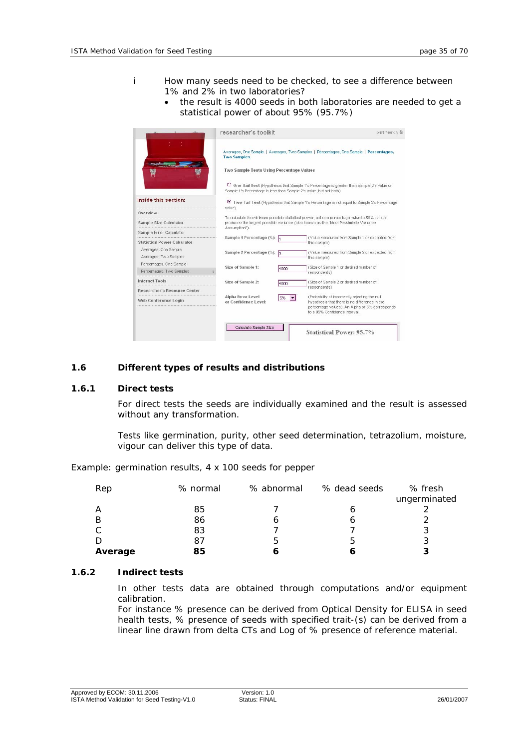- i How many seeds need to be checked, to see a difference between 1% and 2% in two laboratories?
	- the result is 4000 seeds in both laboratories are needed to get a statistical power of about 95% (95.7%)



### **1.6 Different types of results and distributions**

### **1.6.1 Direct tests**

For direct tests the seeds are individually examined and the result is assessed without any transformation.

Tests like germination, purity, other seed determination, tetrazolium, moisture, vigour can deliver this type of data.

Example: germination results, 4 x 100 seeds for pepper

| Rep     | % normal | % abnormal | % dead seeds | % fresh      |
|---------|----------|------------|--------------|--------------|
|         |          |            |              | ungerminated |
|         | 85       |            |              |              |
| B       | 86       |            |              |              |
| ٮ       | 83       |            |              |              |
|         | 87       | 5          |              |              |
| Average | 85       |            |              |              |

### **1.6.2 Indirect tests**

In other tests data are obtained through computations and/or equipment calibration.

For instance % presence can be derived from Optical Density for ELISA in seed health tests, % presence of seeds with specified trait-(s) can be derived from a linear line drawn from delta CTs and Log of % presence of reference material.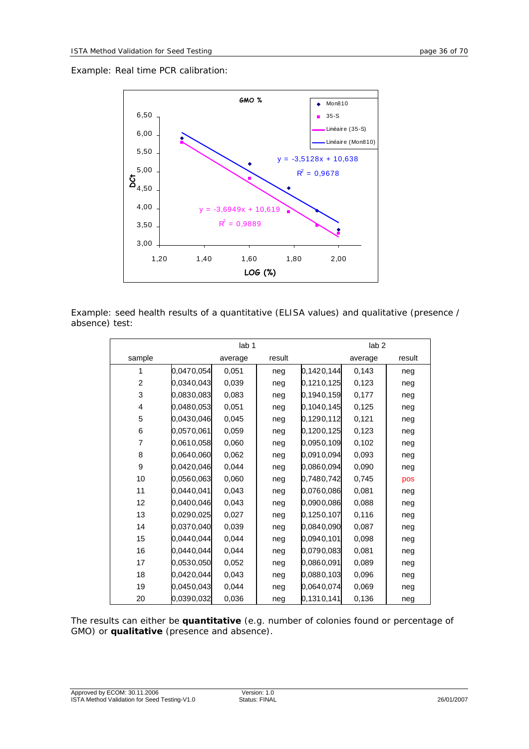Example: Real time PCR calibration:



|                |  |  | Example: seed health results of a quantitative (ELISA values) and qualitative (presence / |  |  |  |
|----------------|--|--|-------------------------------------------------------------------------------------------|--|--|--|
| absence) test: |  |  |                                                                                           |  |  |  |

|                | lab 1      |         |        | lab <sub>2</sub> |         |        |
|----------------|------------|---------|--------|------------------|---------|--------|
| sample         |            | average | result |                  | average | result |
| 1              | 0,0470,054 | 0,051   | neg    | 0,1420,144       | 0,143   | neg    |
| $\overline{c}$ | 0,0340,043 | 0,039   | neg    | 0,1210,125       | 0,123   | neg    |
| 3              | 0,0830,083 | 0,083   | neg    | 0,1940,159       | 0,177   | neg    |
| $\overline{4}$ | 0,0480,053 | 0,051   | neg    | 0,1040,145       | 0,125   | neg    |
| 5              | 0,0430,046 | 0,045   | neg    | 0,1290,112       | 0,121   | neg    |
| 6              | 0,0570,061 | 0,059   | neg    | 0,1200,125       | 0,123   | neg    |
| 7              | 0,0610,058 | 0,060   | neg    | 0,0950,109       | 0,102   | neg    |
| 8              | 0,0640,060 | 0,062   | neg    | 0,0910,094       | 0,093   | neg    |
| 9              | 0,0420,046 | 0,044   | neg    | 0,0860,094       | 0,090   | neg    |
| 10             | 0,0560,063 | 0,060   | neg    | 0,7480,742       | 0,745   | pos    |
| 11             | 0,0440,041 | 0,043   | neg    | 0,0760,086       | 0,081   | neg    |
| 12             | 0,0400,046 | 0,043   | neg    | 0,0900,086       | 0,088   | neg    |
| 13             | 0,0290,025 | 0,027   | neg    | 0,1250,107       | 0,116   | neg    |
| 14             | 0,0370,040 | 0,039   | neg    | 0,0840,090       | 0,087   | neg    |
| 15             | 0,0440,044 | 0,044   | neg    | 0,0940,101       | 0,098   | neg    |
| 16             | 0,0440,044 | 0,044   | neg    | 0,0790,083       | 0,081   | neg    |
| 17             | 0,0530,050 | 0,052   | neg    | 0,0860,091       | 0,089   | neg    |
| 18             | 0,0420,044 | 0,043   | neg    | 0,0880,103       | 0,096   | neg    |
| 19             | 0,0450,043 | 0,044   | neg    | 0,0640,074       | 0,069   | neg    |
| 20             | 0,0390,032 | 0,036   | neg    | 0,1310,141       | 0,136   | neg    |

The results can either be **quantitative** (e.g. number of colonies found or percentage of GMO) or **qualitative** (presence and absence).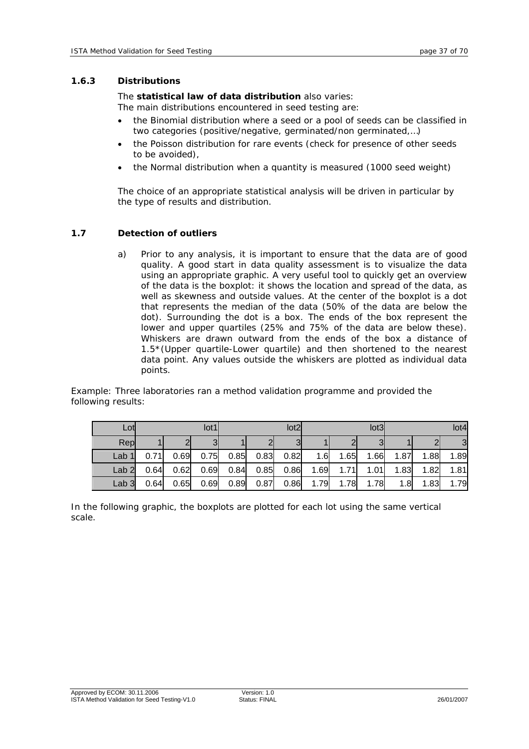### **1.6.3 Distributions**

The **statistical law of data distribution** also varies:

The main distributions encountered in seed testing are:

- the Binomial distribution where a seed or a pool of seeds can be classified in two categories (positive/negative, germinated/non germinated,…)
- the Poisson distribution for rare events (check for presence of other seeds to be avoided),
- the Normal distribution when a quantity is measured (1000 seed weight)

The choice of an appropriate statistical analysis will be driven in particular by the type of results and distribution.

### **1.7 Detection of outliers**

a) Prior to any analysis, it is important to ensure that the data are of good quality. A good start in data quality assessment is to visualize the data using an appropriate graphic. A very useful tool to quickly get an overview of the data is the boxplot: it shows the location and spread of the data, as well as skewness and outside values. At the center of the boxplot is a dot that represents the median of the data (50% of the data are below the dot). Surrounding the dot is a box. The ends of the box represent the lower and upper quartiles (25% and 75% of the data are below these). Whiskers are drawn outward from the ends of the box a distance of 1.5\*(Upper quartile-Lower quartile) and then shortened to the nearest data point. Any values outside the whiskers are plotted as individual data points.

 Example: Three laboratories ran a method validation programme and provided the following results:

| Lot                 |      |      | lot1 |      |      | lot2 | lot3 |      |              | lot4 |        |                |
|---------------------|------|------|------|------|------|------|------|------|--------------|------|--------|----------------|
| Rep                 |      | ി    | 3    |      |      | 3    |      |      | $\mathbf{a}$ |      | $\sim$ | $\overline{3}$ |
| $\perp$ Lab $\perp$ | 0.71 | 0.69 | 0.75 | 0.85 | 0.83 | 0.82 | 1.6  | 1.65 | 1.66         | 1.87 | 1.88   | 1.89           |
| Lab <sub>2</sub>    | 0.64 | 0.62 | 0.69 | 0.84 | 0.85 | 0.86 | 1.69 | 1.71 | 1.01         | 1.83 | 1.82   | 1.81           |
| Lab <sub>3</sub>    | 0.64 | 0.65 | 0.69 | 0.89 | 0.87 | 0.86 | 1.79 | 1.78 | 1.78         | 1.8  | 1.83   | 1.79           |

In the following graphic, the boxplots are plotted for each lot using the same vertical scale.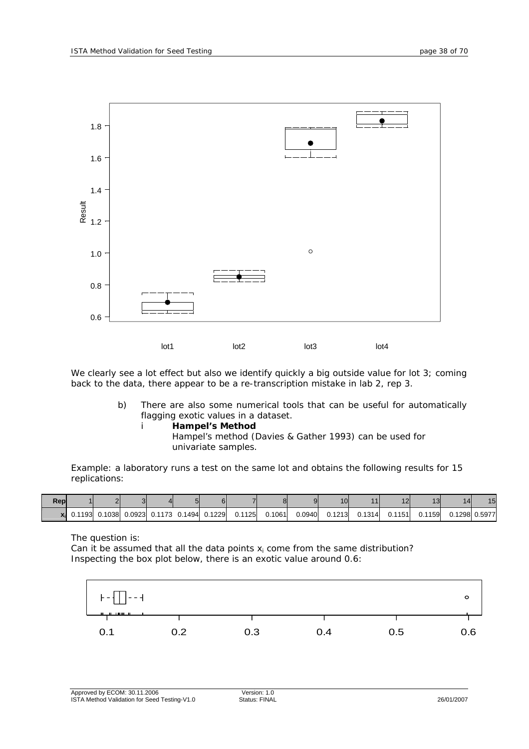

We clearly see a lot effect but also we identify quickly a big outside value for lot 3; coming back to the data, there appear to be a re-transcription mistake in lab 2, rep 3.

> b) There are also some numerical tools that can be useful for automatically flagging exotic values in a dataset.

### i *Hampel's Method*

Hampel's method (Davies & Gather 1993) can be used for univariate samples.

Example: a laboratory runs a test on the same lot and obtains the following results for 15 replications:

| Repl |               |        |        |        |        |        |        |        |        | 10     |        | ור ו   |        | 14 | 15 <sub>1</sub> |
|------|---------------|--------|--------|--------|--------|--------|--------|--------|--------|--------|--------|--------|--------|----|-----------------|
|      | .1193<br>. U. | 0.1038 | 0.0923 | 0.1173 | 0.1494 | 0.1229 | 0.1125 | 0.1061 | 0.0940 | 0.1213 | 0.1314 | 0.1151 | 0.1159 |    | 0.1298 0.5977   |

The question is:

Can it be assumed that all the data points  $x_i$  come from the same distribution? Inspecting the box plot below, there is an exotic value around 0.6:

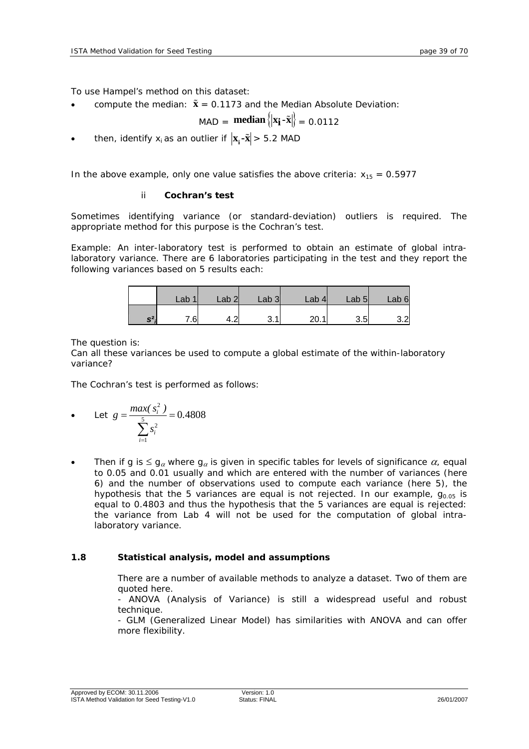To use Hampel's method on this dataset:

compute the median:  $\tilde{\mathbf{x}} = 0.1173$  and the Median Absolute Deviation:

$$
MAD = \text{median}\left\{ \left| \mathbf{x}_i - \tilde{\mathbf{x}} \right| \right\} = 0.0112
$$

• then, identify  $x_i$  as an outlier if  $|\mathbf{x} - \tilde{\mathbf{x}}| > 5.2$  MAD

In the above example, only one value satisfies the above criteria:  $x_{15} = 0.5977$ 

### ii *Cochran's test*

Sometimes identifying variance (or standard-deviation) outliers is required. The appropriate method for this purpose is the Cochran's test.

Example: An inter-laboratory test is performed to obtain an estimate of global intralaboratory variance. There are 6 laboratories participating in the test and they report the following variances based on 5 results each:

|       | Lab | $\textsf{Lab} 2$ | $\text{Lab } 3$ | Lab<br>$\vert$ 4 | Lab $5$ | Lab <sub>6</sub> |
|-------|-----|------------------|-----------------|------------------|---------|------------------|
| $S^2$ | .6  |                  | ا ، ب           | ാറ<br>20. I      | 3.5     | 3.2              |

The question is:

Can all these variances be used to compute a global estimate of the within-laboratory variance?

The Cochran's test is performed as follows:

• Let 
$$
g = \frac{max(s_i^2)}{\sum_{i=1}^5 s_i^2} = 0.4808
$$

Then if  $g$  is  $\leq g_\alpha$  where  $g_\alpha$  is given in specific tables for levels of significance  $\alpha$ , equal to 0.05 and 0.01 usually and which are entered with the number of variances (here 6) and the number of observations used to compute each variance (here 5), the hypothesis that the 5 variances are equal is not rejected. In our example,  $q_{0.05}$  is equal to 0.4803 and thus the hypothesis that the 5 variances are equal is rejected: the variance from Lab 4 will not be used for the computation of global intralaboratory variance.

### **1.8 Statistical analysis, model and assumptions**

There are a number of available methods to analyze a dataset. Two of them are quoted here.

- ANOVA (Analysis of Variance) is still a widespread useful and robust technique.

- GLM (Generalized Linear Model) has similarities with ANOVA and can offer more flexibility.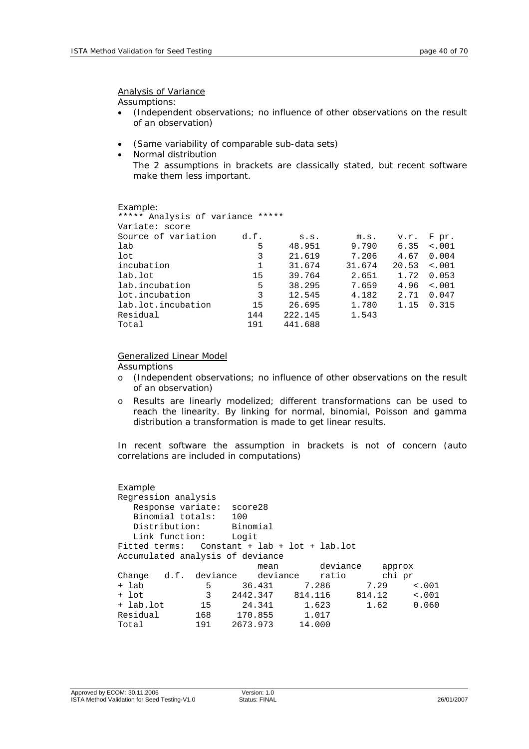#### Analysis of Variance

*Assumptions:* 

- (Independent observations; no influence of other observations on the result of an observation)
- (Same variability of comparable sub-data sets)
- Normal distribution The 2 assumptions in brackets are classically stated, but recent software make them less important.

| Example:<br>***** Analysis of variance |      | *****   |        |       |        |
|----------------------------------------|------|---------|--------|-------|--------|
| Variate: score                         |      |         |        |       |        |
| Source of variation                    | d.f. | S.S.    | m.s.   | v.r.  | F pr.  |
| lab                                    | 5    | 48.951  | 9.790  | 6.35  | < .001 |
| lot                                    | 3    | 21.619  | 7.206  | 4.67  | 0.004  |
| incubation                             | 1    | 31.674  | 31.674 | 20.53 | < 0.01 |
| lab.lot                                | 15   | 39.764  | 2.651  | 1.72  | 0.053  |
| lab.incubation                         | 5    | 38.295  | 7.659  | 4.96  | < 0.01 |
| lot.incubation                         | 3    | 12.545  | 4.182  | 2.71  | 0.047  |
| lab.lot.incubation                     | 15   | 26.695  | 1.780  | 1.15  | 0.315  |
| Residual                               | 144  | 222.145 | 1.543  |       |        |
| Total                                  | 191  | 441.688 |        |       |        |

Generalized Linear Model

*Assumptions* 

- o (Independent observations; no influence of other observations on the result of an observation)
- o Results are linearly modelized; different transformations can be used to reach the linearity. By linking for normal, binomial, Poisson and gamma distribution a transformation is made to get linear results.

In recent software the assumption in brackets is not of concern (auto correlations are included in computations)

| Example                                        |             |          |                         |                    |            |
|------------------------------------------------|-------------|----------|-------------------------|--------------------|------------|
| Regression analysis                            |             |          |                         |                    |            |
| Response variate: score28                      |             |          |                         |                    |            |
| Binomial totals:                               |             | 100      |                         |                    |            |
| Distribution: Binomial                         |             |          |                         |                    |            |
| Link function: Logit                           |             |          |                         |                    |            |
| Fitted terms: $Constant + lab + lot + lab.lot$ |             |          |                         |                    |            |
| Accumulated analysis of deviance               |             |          |                         |                    |            |
|                                                |             | mean     |                         | deviance<br>approx |            |
| Change d.f. deviance deviance                  |             |          | ratio                   | chi pr             |            |
| + lab                                          | 5           |          | 36.431 7.286 7.29       |                    | < .001     |
| + lot                                          | $3^{\circ}$ |          | 2442.347 814.116 814.12 |                    | < .001     |
| + lab.lot                                      | 15          |          | 24.341 1.623            |                    | 1.62 0.060 |
| Residual 168 170.855 1.017                     |             |          |                         |                    |            |
| Total                                          | 191         | 2673.973 | 14.000                  |                    |            |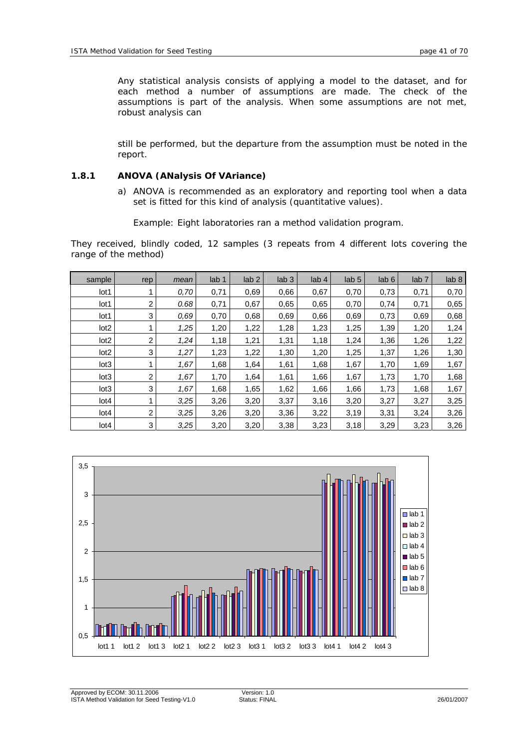Any statistical analysis consists of applying a model to the dataset, and for each method a number of assumptions are made. The check of the assumptions is part of the analysis. When some assumptions are not met, robust analysis can

still be performed, but the departure from the assumption must be noted in the report.

### **1.8.1 ANOVA (ANalysis Of VAriance)**

 a) ANOVA is recommended as an exploratory and reporting tool when a data set is fitted for this kind of analysis (quantitative values).

Example: Eight laboratories ran a method validation program.

They received, blindly coded, 12 samples (3 repeats from 4 different lots covering the range of the method)

| sample           | rep            | mean | lab <sub>1</sub> | lab <sub>2</sub> | lab <sub>3</sub> | lab <sub>4</sub> | lab <sub>5</sub> | lab <sub>6</sub> | lab <sub>7</sub> | lab 8 |
|------------------|----------------|------|------------------|------------------|------------------|------------------|------------------|------------------|------------------|-------|
| lot1             |                | 0.70 | 0,71             | 0.69             | 0.66             | 0,67             | 0,70             | 0,73             | 0,71             | 0,70  |
| lot1             | 2              | 0.68 | 0,71             | 0,67             | 0.65             | 0,65             | 0,70             | 0,74             | 0,71             | 0,65  |
| lot1             | 3              | 0.69 | 0,70             | 0.68             | 0,69             | 0,66             | 0.69             | 0,73             | 0,69             | 0,68  |
| lot <sub>2</sub> |                | 1,25 | 1,20             | 1,22             | 1,28             | 1,23             | 1,25             | 1,39             | 1,20             | 1,24  |
| lot2             | $\overline{2}$ | 1,24 | 1,18             | 1,21             | 1,31             | 1,18             | 1,24             | 1,36             | 1,26             | 1,22  |
| lot2             | 3              | 1,27 | 1,23             | 1,22             | 1,30             | 1,20             | 1,25             | 1,37             | 1,26             | 1,30  |
| lot3             |                | 1,67 | 1,68             | 1,64             | 1,61             | 1,68             | 1,67             | 1,70             | 1,69             | 1,67  |
| lot <sub>3</sub> | 2              | 1,67 | 1,70             | 1,64             | 1,61             | 1,66             | 1,67             | 1,73             | 1,70             | 1,68  |
| lot3             | 3              | 1,67 | 1,68             | 1,65             | 1,62             | 1,66             | 1,66             | 1,73             | 1,68             | 1,67  |
| lot4             |                | 3.25 | 3,26             | 3,20             | 3,37             | 3,16             | 3,20             | 3,27             | 3,27             | 3,25  |
| lot4             | 2              | 3.25 | 3,26             | 3,20             | 3,36             | 3,22             | 3,19             | 3,31             | 3,24             | 3,26  |
| lot4             | 3              | 3.25 | 3,20             | 3,20             | 3,38             | 3,23             | 3,18             | 3,29             | 3,23             | 3,26  |

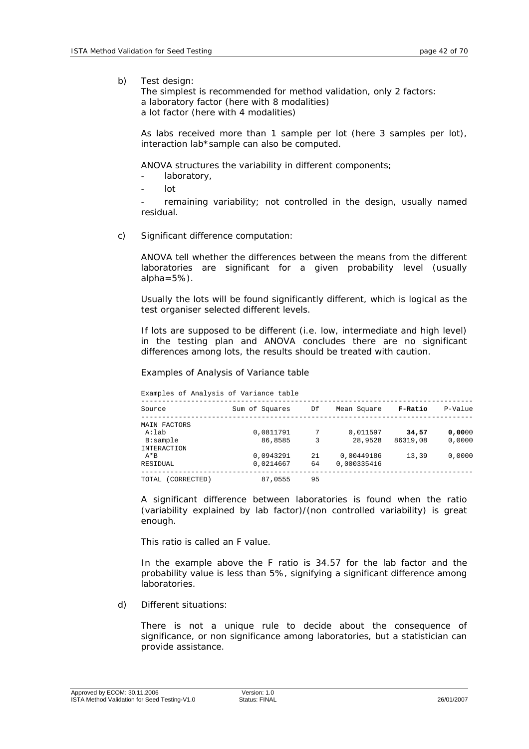b) Test design:

 The simplest is recommended for method validation, only 2 factors: a laboratory factor (here with 8 modalities) a lot factor (here with 4 modalities)

As labs received more than 1 sample per lot (here 3 samples per lot), interaction lab\*sample can also be computed.

ANOVA structures the variability in different components;

- laboratory,
- lot

remaining variability; not controlled in the design, usually named residual.

c) Significant difference computation:

ANOVA tell whether the differences between the means from the different laboratories are significant for a given probability level (usually  $alpha=5%$ ).

Usually the lots will be found significantly different, which is logical as the test organiser selected different levels.

If lots are supposed to be different (i.e. low, intermediate and high level) in the testing plan and ANOVA concludes there are no significant differences among lots, the results should be treated with caution.

Examples of Analysis of Variance table

| EAU DIO OI ANUIVOIS OI VULIUNCO CUDIO |                |    |             |          |         |  |  |
|---------------------------------------|----------------|----|-------------|----------|---------|--|--|
| Source                                | Sum of Squares | Df | Mean Square | F-Ratio  | P-Value |  |  |
| <b>MAIN FACTORS</b>                   |                |    |             |          |         |  |  |
| A:lab                                 | 0,0811791      | 7  | 0,011597    | 34,57    | 0,0000  |  |  |
| B:sample                              | 86,8585        | 3  | 28,9528     | 86319,08 | 0,0000  |  |  |
| INTERACTION                           |                |    |             |          |         |  |  |
| $A*R$                                 | 0,0943291      | 21 | 0,00449186  | 13,39    | 0.0000  |  |  |
| RESIDUAL                              | 0.0214667      | 64 | 0,000335416 |          |         |  |  |
|                                       |                |    |             |          |         |  |  |
| TOTAL (CORRECTED)                     | 87,0555        | 95 |             |          |         |  |  |

Examples of Analysis of Variance table

A significant difference between laboratories is found when the ratio (variability explained by lab factor)/(non controlled variability) is great enough.

This ratio is called an F value.

In the example above the F ratio is 34.57 for the lab factor and the probability value is less than 5%, signifying a significant difference among laboratories.

d) Different situations:

There is not a unique rule to decide about the consequence of significance, or non significance among laboratories, but a statistician can provide assistance.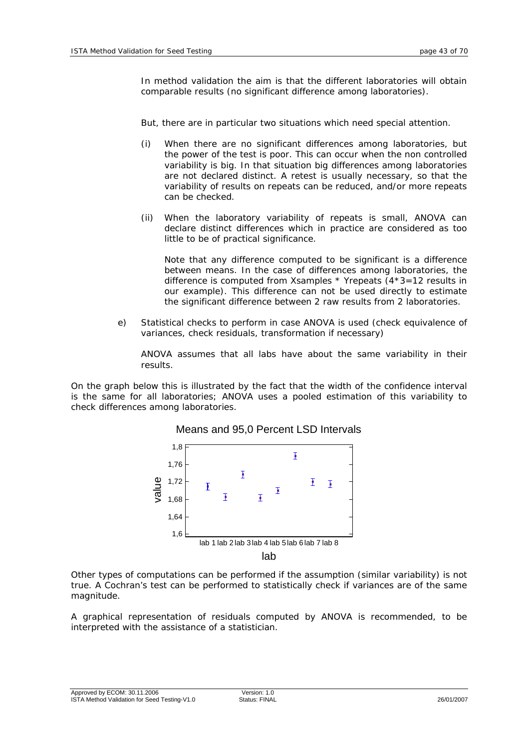In method validation the aim is that the different laboratories will obtain comparable results (no significant difference among laboratories).

But, there are in particular two situations which need special attention.

- (i) When there are no significant differences among laboratories, but the power of the test is poor. This can occur when the non controlled variability is big. In that situation big differences among laboratories are not declared distinct. A retest is usually necessary, so that the variability of results on repeats can be reduced, and/or more repeats can be checked.
- (ii) When the laboratory variability of repeats is small, ANOVA can declare distinct differences which in practice are considered as too little to be of practical significance.

Note that any difference computed to be significant is a difference between means. In the case of differences among laboratories, the difference is computed from Xsamples \* Yrepeats (4\*3=12 results in our example). This difference can not be used directly to estimate the significant difference between 2 raw results from 2 laboratories.

e) Statistical checks to perform in case ANOVA is used (check equivalence of variances, check residuals, transformation if necessary)

ANOVA assumes that all labs have about the same variability in their results.

On the graph below this is illustrated by the fact that the width of the confidence interval is the same for all laboratories; ANOVA uses a pooled estimation of this variability to check differences among laboratories.



### Means and 95,0 Percent LSD Intervals

Other types of computations can be performed if the assumption (similar variability) is not true. A Cochran's test can be performed to statistically check if variances are of the same magnitude.

A graphical representation of residuals computed by ANOVA is recommended, to be interpreted with the assistance of a statistician.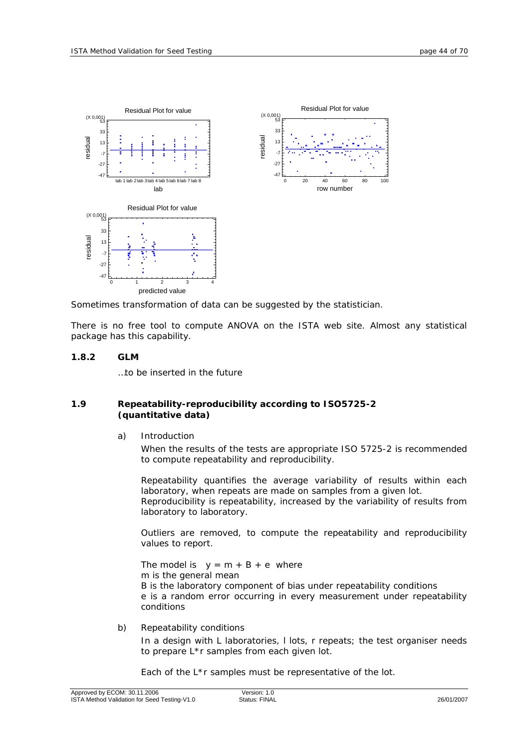

Sometimes transformation of data can be suggested by the statistician.

There is no free tool to compute ANOVA on the ISTA web site. Almost any statistical package has this capability.

### **1.8.2 GLM**

*…to be inserted in the future* 

### **1.9 Repeatability-reproducibility according to ISO5725-2 (quantitative data)**

a) Introduction

When the results of the tests are appropriate ISO 5725-2 is recommended to compute repeatability and reproducibility.

Repeatability quantifies the average variability of results within each laboratory, when repeats are made on samples from a given lot. Reproducibility is repeatability, increased by the variability of results from laboratory to laboratory.

Outliers are removed, to compute the repeatability and reproducibility values to report.

The model is  $y = m + B + e$  where m is the general mean B is the laboratory component of bias under repeatability conditions e is a random error occurring in every measurement under repeatability conditions

### b) Repeatability conditions

In a design with L laboratories, I lots, r repeats; the test organiser needs to prepare L\*r samples from each given lot.

Each of the L\*r samples must be representative of the lot.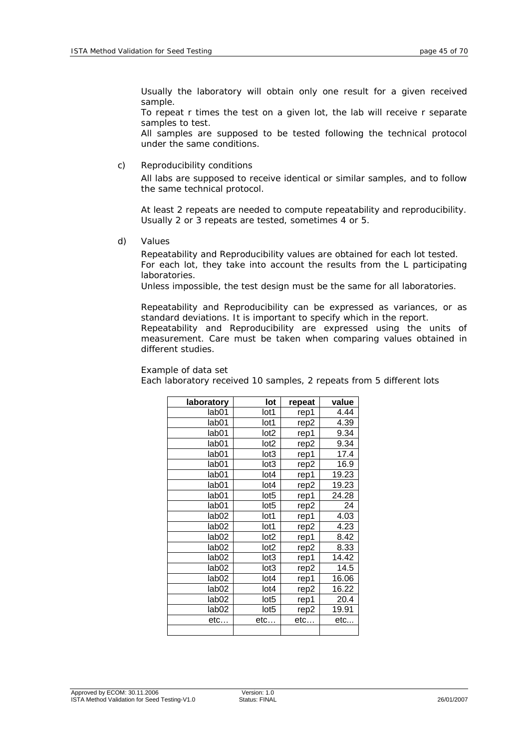Usually the laboratory will obtain only one result for a given received sample.

To repeat r times the test on a given lot, the lab will receive r separate samples to test.

All samples are supposed to be tested following the technical protocol under the same conditions.

c) Reproducibility conditions

All labs are supposed to receive identical or similar samples, and to follow the same technical protocol.

At least 2 repeats are needed to compute repeatability and reproducibility. Usually 2 or 3 repeats are tested, sometimes 4 or 5.

d) Values

Repeatability and Reproducibility values are obtained for each lot tested. For each lot, they take into account the results from the L participating laboratories.

Unless impossible, the test design must be the same for all laboratories.

Repeatability and Reproducibility can be expressed as variances, or as standard deviations. It is important to specify which in the report. Repeatability and Reproducibility are expressed using the units of measurement. Care must be taken when comparing values obtained in

Example of data set

different studies.

Each laboratory received 10 samples, 2 repeats from 5 different lots

| laboratory        | lot              | repeat | value |
|-------------------|------------------|--------|-------|
| lab01             | lot1             | rep1   | 4.44  |
| lab01             | lot1             | rep2   | 4.39  |
| lab01             | lot <sub>2</sub> | rep1   | 9.34  |
| lab01             | lot <sub>2</sub> | rep2   | 9.34  |
| lab01             | lot3             | rep1   | 17.4  |
| lab01             | lot3             | rep2   | 16.9  |
| lab <sub>01</sub> | lot4             | rep1   | 19.23 |
| lab01             | lot4             | rep2   | 19.23 |
| lab <sub>01</sub> | lot <sub>5</sub> | rep1   | 24.28 |
| lab01             | lot <sub>5</sub> | rep2   | 24    |
| lab02             | lot1             | rep1   | 4.03  |
| lab02             | lot1             | rep2   | 4.23  |
| lab02             | lot <sub>2</sub> | rep1   | 8.42  |
| lab <sub>02</sub> | lot2             | rep2   | 8.33  |
| lab02             | lot3             | rep1   | 14.42 |
| lab02             | lot <sub>3</sub> | rep2   | 14.5  |
| lab02             | lot4             | rep1   | 16.06 |
| lab02             | lot4             | rep2   | 16.22 |
| lab02             | lot <sub>5</sub> | rep1   | 20.4  |
| lab02             | lot <sub>5</sub> | rep2   | 19.91 |
| etc…              | etc…             | etc    | etc   |
|                   |                  |        |       |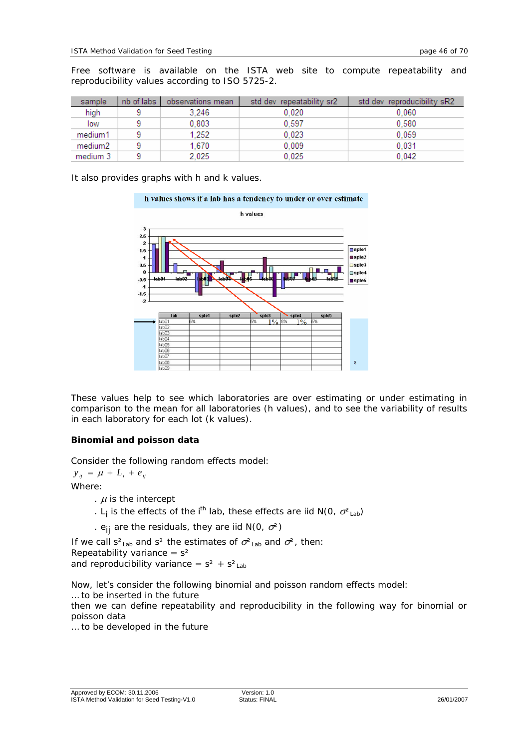| sample   | nb of labs | observations mean | repeatability sr2<br>std dev | reproducibility sR2<br>std dev |
|----------|------------|-------------------|------------------------------|--------------------------------|
| high     |            | 3.246             | 0.020                        | 0.060                          |
| low      |            | 0.803             | 0.597                        | 0.580                          |
| medium1  |            | 1.252             | 0.023                        | 0.059                          |
| medium2  |            | 1.670             | 0.009                        | 0.031                          |
| medium 3 |            | 2.025             | 0.025                        | 0.042                          |

Free software is available on the ISTA web site to compute repeatability and reproducibility values according to ISO 5725-2.

It also provides graphs with h and k values.



These values help to see which laboratories are over estimating or under estimating in comparison to the mean for all laboratories (h values), and to see the variability of results in each laboratory for each lot (k values).

### **Binomial and poisson data**

Consider the following random effects model:

 $y_{ij} = \mu + L_i + e_{ij}$ 

Where:

- .  $\mu$  is the intercept
- .  $L_j$  is the effects of the  $i^{\text{th}}$  lab, these effects are iid N(0,  $\sigma^2_{\text{Lab}}$ )
- .  $e_{ij}$  are the residuals, they are iid N(0,  $\sigma^2$ )

If we call  $s^2_{lab}$  and  $s^2$  the estimates of  $\sigma^2_{lab}$  and  $\sigma^2$ , then: Repeatability variance =  $s^2$ and reproducibility variance =  $s^2 + s^2_{lab}$ 

Now, let's consider the following binomial and poisson random effects model:

*… to be inserted in the future* 

then we can define repeatability and reproducibility in the following way for binomial or poisson data

*… to be developed in the future*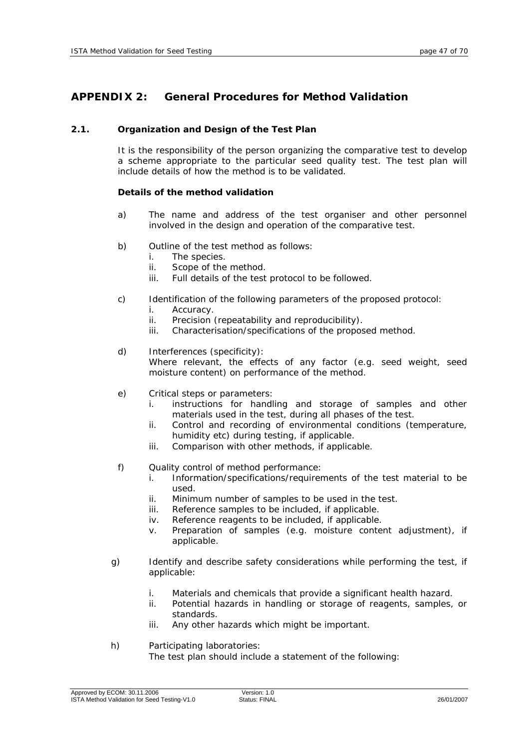### **APPENDIX 2: General Procedures for Method Validation**

### **2.1. Organization and Design of the Test Plan**

 It is the responsibility of the person organizing the comparative test to develop a scheme appropriate to the particular seed quality test. The test plan will include details of how the method is to be validated.

### **Details of the method validation**

- a) The name and address of the test organiser and other personnel involved in the design and operation of the comparative test.
- b) Outline of the test method as follows:
	- i. The species.
	- ii. Scope of the method.
	- iii. Full details of the test protocol to be followed.
- c) Identification of the following parameters of the proposed protocol:
	- i. Accuracy.
	- ii. Precision (repeatability and reproducibility).
	- iii. Characterisation/specifications of the proposed method.
- d) Interferences (specificity):

Where relevant, the effects of any factor (e.g. seed weight, seed moisture content) on performance of the method.

- e) Critical steps or parameters:
	- i. instructions for handling and storage of samples and other materials used in the test, during all phases of the test.
	- ii. Control and recording of environmental conditions (temperature, humidity etc) during testing, if applicable.
	- iii. Comparison with other methods, if applicable.
- f) Quality control of method performance:
	- i. Information/specifications/requirements of the test material to be used.
	- ii. Minimum number of samples to be used in the test.
	- iii. Reference samples to be included, if applicable.
	- iv. Reference reagents to be included, if applicable.
	- v. Preparation of samples (e.g. moisture content adjustment), if applicable.
- g) Identify and describe safety considerations while performing the test, if applicable:
	- i. Materials and chemicals that provide a significant health hazard.
	- ii. Potential hazards in handling or storage of reagents, samples, or standards.
	- iii. Any other hazards which might be important.

### h) Participating laboratories:

The test plan should include a statement of the following: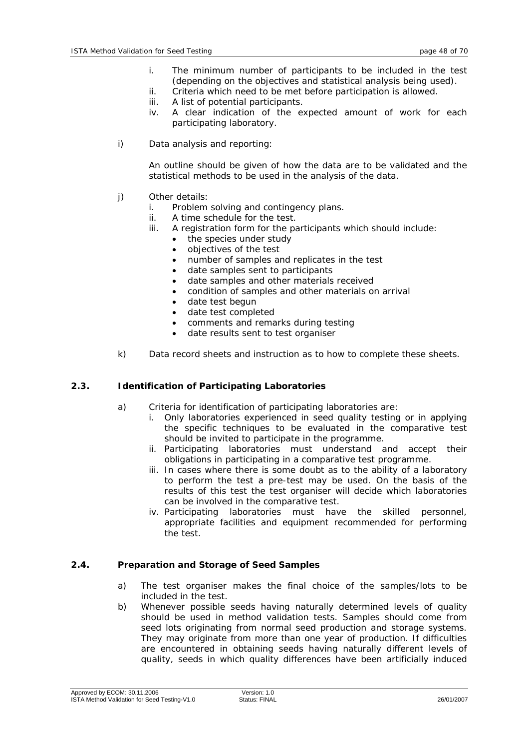- i. The minimum number of participants to be included in the test (depending on the objectives and statistical analysis being used).
- ii. Criteria which need to be met before participation is allowed.
- iii. A list of potential participants.
- iv. A clear indication of the expected amount of work for each participating laboratory.
- i) Data analysis and reporting:

An outline should be given of how the data are to be validated and the statistical methods to be used in the analysis of the data.

- j) Other details:
	- i. Problem solving and contingency plans.
	- ii. A time schedule for the test.
	- iii. A registration form for the participants which should include:
		- the species under study
			- objectives of the test
			- number of samples and replicates in the test
		- date samples sent to participants
		- date samples and other materials received
		- condition of samples and other materials on arrival
		- date test begun
		- date test completed
		- comments and remarks during testing
		- date results sent to test organiser
- k) Data record sheets and instruction as to how to complete these sheets.

### **2.3. Identification of Participating Laboratories**

- a) Criteria for identification of participating laboratories are:
	- i. Only laboratories experienced in seed quality testing or in applying the specific techniques to be evaluated in the comparative test should be invited to participate in the programme.
	- ii. Participating laboratories must understand and accept their obligations in participating in a comparative test programme.
	- iii. In cases where there is some doubt as to the ability of a laboratory to perform the test a *pre-test* may be used. On the basis of the results of this test the test organiser will decide which laboratories can be involved in the comparative test.
	- iv. Participating laboratories must have the skilled personnel, appropriate facilities and equipment recommended for performing the test.

### **2.4. Preparation and Storage of Seed Samples**

- a) The test organiser makes the final choice of the samples/lots to be included in the test.
- b) Whenever possible seeds having naturally determined levels of quality should be used in method validation tests. Samples should come from seed lots originating from normal seed production and storage systems. They may originate from more than one year of production. If difficulties are encountered in obtaining seeds having naturally different levels of quality, seeds in which quality differences have been artificially induced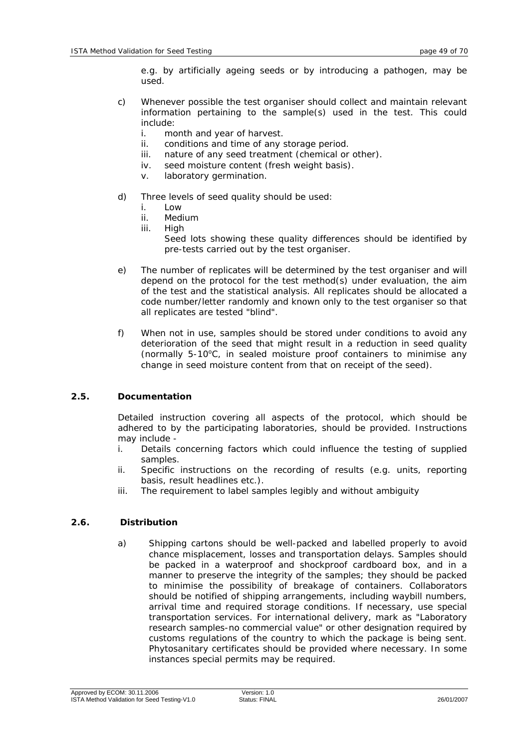e.g. by artificially ageing seeds or by introducing a pathogen, may be used.

- c) Whenever possible the test organiser should collect and maintain relevant information pertaining to the sample(s) used in the test. This could include:
	- i. month and year of harvest.
	- ii. conditions and time of any storage period.
	- iii. nature of any seed treatment (chemical or other).
	- iv. seed moisture content (fresh weight basis).
	- v. laboratory germination.
- d) Three levels of seed quality should be used:
	- i. Low
	- ii. Medium
	- iii. High

Seed lots showing these quality differences should be identified by pre-tests carried out by the test organiser.

- e) The number of replicates will be determined by the test organiser and will depend on the protocol for the test method(s) under evaluation, the aim of the test and the statistical analysis. All replicates should be allocated a code number/letter randomly and known only to the test organiser so that all replicates are tested "blind".
- f) When not in use, samples should be stored under conditions to avoid any deterioration of the seed that might result in a reduction in seed quality (normally 5-10°C, in sealed moisture proof containers to minimise any change in seed moisture content from that on receipt of the seed).

### **2.5. Documentation**

Detailed instruction covering all aspects of the protocol, which should be adhered to by the participating laboratories, should be provided. Instructions may include -

- i. Details concerning factors which could influence the testing of supplied samples.
- ii. Specific instructions on the recording of results (e.g. units, reporting basis, result headlines etc.).
- iii. The requirement to label samples legibly and without ambiguity

### **2.6. Distribution**

a) Shipping cartons should be well-packed and labelled properly to avoid chance misplacement, losses and transportation delays. Samples should be packed in a waterproof and shockproof cardboard box, and in a manner to preserve the integrity of the samples; they should be packed to minimise the possibility of breakage of containers. Collaborators should be notified of shipping arrangements, including waybill numbers, arrival time and required storage conditions. If necessary, use special transportation services. For international delivery, mark as *"Laboratory research samples-no commercial value"* or other designation required by customs regulations of the country to which the package is being sent. Phytosanitary certificates should be provided where necessary. In some instances special permits may be required.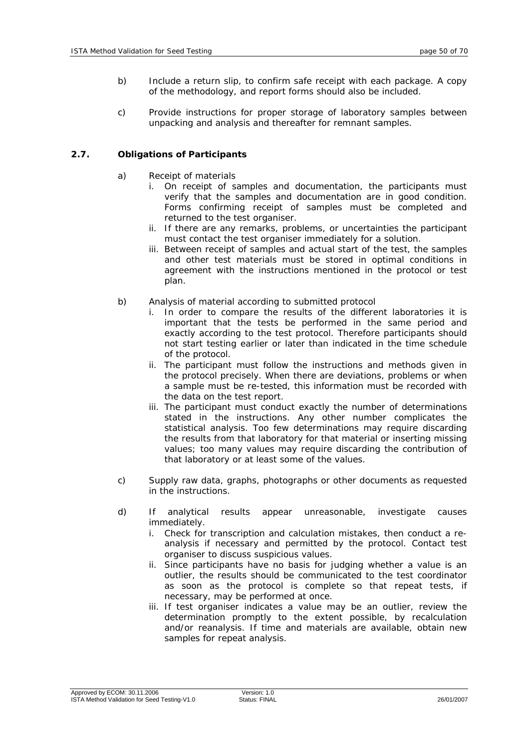- b) Include a return slip, to confirm safe receipt with each package. A copy of the methodology, and report forms should also be included.
- c) Provide instructions for proper storage of laboratory samples between unpacking and analysis and thereafter for remnant samples.

### **2.7. Obligations of Participants**

- a) Receipt of materials
	- i. On receipt of samples and documentation, the participants must verify that the samples and documentation are in good condition. Forms confirming receipt of samples must be completed and returned to the test organiser.
	- ii. If there are any remarks, problems, or uncertainties the participant must contact the test organiser immediately for a solution.
	- iii. Between receipt of samples and actual start of the test, the samples and other test materials must be stored in optimal conditions in agreement with the instructions mentioned in the protocol or test plan.
- b) Analysis of material according to submitted protocol
	- In order to compare the results of the different laboratories it is important that the tests be performed in the same period and exactly according to the test protocol. Therefore participants should not start testing earlier or later than indicated in the time schedule of the protocol.
	- ii. The participant must follow the instructions and methods given in the protocol precisely. When there are deviations, problems or when a sample must be re-tested, this information must be recorded with the data on the test report.
	- iii. The participant must conduct exactly the number of determinations stated in the instructions. Any other number complicates the statistical analysis. Too few determinations may require discarding the results from that laboratory for that material or inserting missing values; too many values may require discarding the contribution of that laboratory or at least some of the values.
- c) Supply raw data, graphs, photographs or other documents as requested in the instructions.
- d) If analytical results appear unreasonable, investigate causes immediately.
	- i. Check for transcription and calculation mistakes, then conduct a reanalysis if necessary and permitted by the protocol. Contact test organiser to discuss suspicious values.
	- ii. Since participants have no basis for judging whether a value is an outlier, the results should be communicated to the test coordinator as soon as the protocol is complete so that repeat tests, if necessary, may be performed at once.
	- iii. If test organiser indicates a value may be an outlier, review the determination promptly to the extent possible, by recalculation and/or reanalysis. If time and materials are available, obtain new samples for repeat analysis.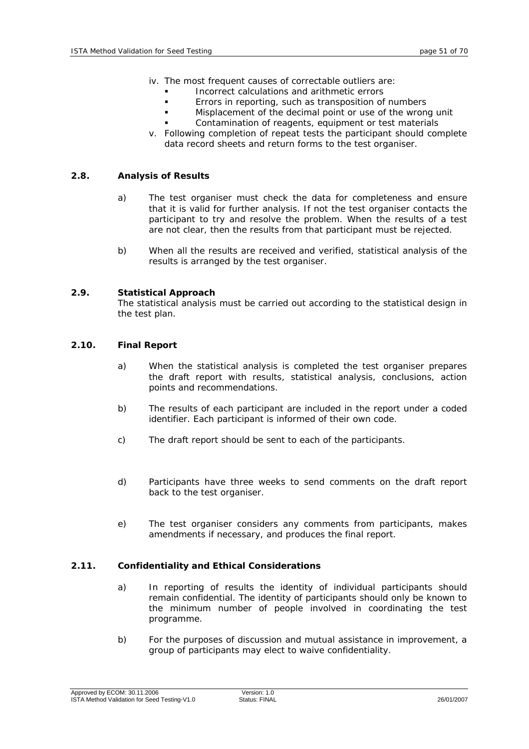- iv. The most frequent causes of correctable outliers are:
	- Incorrect calculations and arithmetic errors
	- Errors in reporting, such as transposition of numbers
	- Misplacement of the decimal point or use of the wrong unit
	- Contamination of reagents, equipment or test materials
- v. Following completion of repeat tests the participant should complete data record sheets and return forms to the test organiser.

### **2.8. Analysis of Results**

- a) The test organiser must check the data for completeness and ensure that it is valid for further analysis. If not the test organiser contacts the participant to try and resolve the problem. When the results of a test are not clear, then the results from that participant must be rejected.
- b) When all the results are received and verified, statistical analysis of the results is arranged by the test organiser.

### **2.9. Statistical Approach**

 The statistical analysis must be carried out according to the statistical design in the test plan.

### **2.10. Final Report**

- a) When the statistical analysis is completed the test organiser prepares the draft report with results, statistical analysis, conclusions, action points and recommendations.
- b) The results of each participant are included in the report under a coded identifier. Each participant is informed of their own code.
- c) The draft report should be sent to each of the participants.
- d) Participants have three weeks to send comments on the draft report back to the test organiser.
- e) The test organiser considers any comments from participants, makes amendments if necessary, and produces the final report.

### **2.11. Confidentiality and Ethical Considerations**

- a) In reporting of results the identity of individual participants should remain confidential. The identity of participants should only be known to the minimum number of people involved in coordinating the test programme.
- b) For the purposes of discussion and mutual assistance in improvement, a group of participants may elect to waive confidentiality.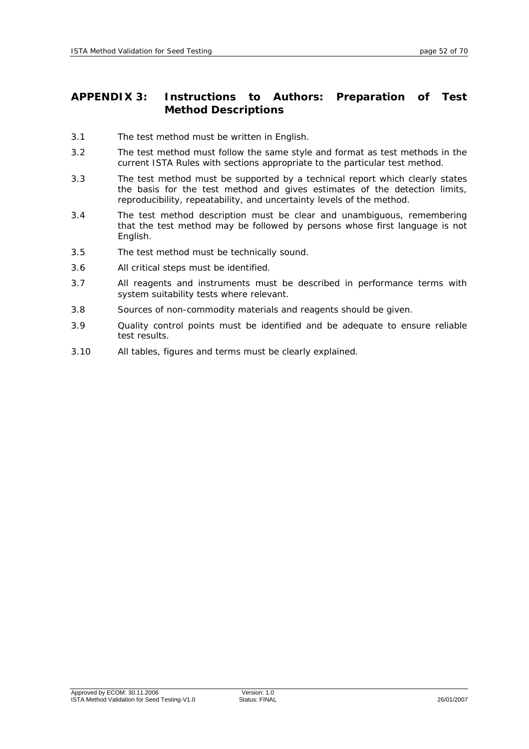### **APPENDIX 3: Instructions to Authors: Preparation of Test Method Descriptions**

- 3.1 The test method must be written in English.
- 3.2 The test method must follow the same style and format as test methods in the current ISTA Rules with sections appropriate to the particular test method.
- 3.3 The test method must be supported by a technical report which clearly states the basis for the test method and gives estimates of the detection limits, reproducibility, repeatability, and uncertainty levels of the method.
- 3.4 The test method description must be clear and unambiguous, remembering that the test method may be followed by persons whose first language is not English.
- 3.5 The test method must be technically sound.
- 3.6 All critical steps must be identified.
- 3.7 All reagents and instruments must be described in performance terms with system suitability tests where relevant.
- 3.8 Sources of non-commodity materials and reagents should be given.
- 3.9 Quality control points must be identified and be adequate to ensure reliable test results.
- 3.10 All tables, figures and terms must be clearly explained.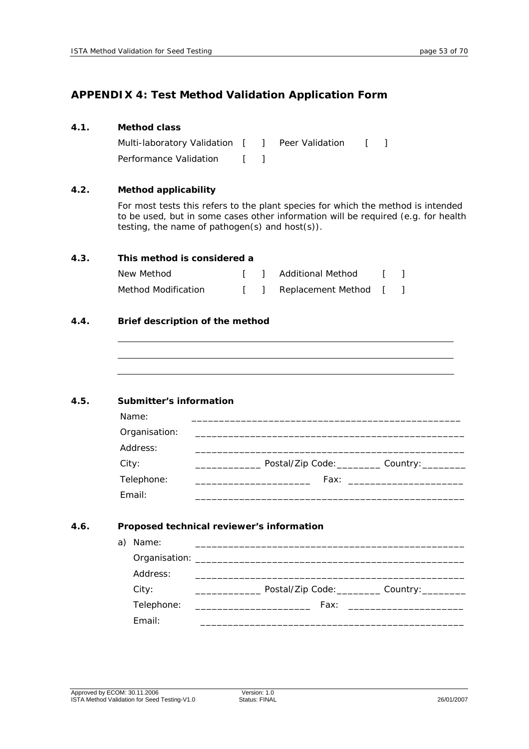### **APPENDIX 4: Test Method Validation Application Form**

### **4.1. Method class**

Multi-laboratory Validation [ ] Peer Validation [ ] Performance Validation [ ]

### **4.2. Method applicability**

For most tests this refers to the plant species for which the method is intended to be used, but in some cases other information will be required (e.g. for health testing, the name of pathogen(s) and host(s)).

### **4.3. This method is considered a**

| New Method          |  | [ ] Additional Method      |  |
|---------------------|--|----------------------------|--|
| Method Modification |  | [ ] Replacement Method [ ] |  |

### **4.4. Brief description of the method**

**4.5. Submitter's information** 

| Name:         |                                                                                                                       |
|---------------|-----------------------------------------------------------------------------------------------------------------------|
| Organisation: | <u> 1980 - John Stein, mars and der Stein and der Stein and der Stein and der Stein and der Stein and der Stein a</u> |
| Address:      |                                                                                                                       |
| City:         | Postal/Zip Code: ________<br>Country: $\frac{1}{2}$ Country:                                                          |
| Telephone:    |                                                                                                                       |
| Email:        |                                                                                                                       |

### **4.6. Proposed technical reviewer's information**

a) Name:

| Address:   |                                                         |                                             |
|------------|---------------------------------------------------------|---------------------------------------------|
| City:      | Postal/Zip Code: _______                                | Country: $\frac{\phantom{1}}{\phantom{1}}$  |
| Telephone: | Fax:<br><u> 1980 - Jan Samuel Barbara, politik a po</u> | <u> 1980 - Jan Samuel Barbara, martin a</u> |
| Fmail:     |                                                         |                                             |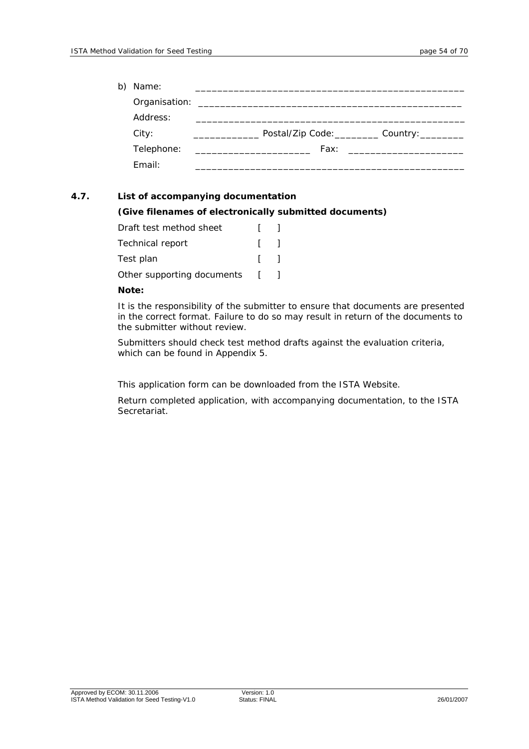| b) Name:      |                                                                                                                                                                                                                                      |                                                  |
|---------------|--------------------------------------------------------------------------------------------------------------------------------------------------------------------------------------------------------------------------------------|--------------------------------------------------|
| Organisation: |                                                                                                                                                                                                                                      |                                                  |
| Address:      |                                                                                                                                                                                                                                      |                                                  |
| City:         | Postal/Zip Code: ________                                                                                                                                                                                                            | Country: $\frac{\phantom{aaaa}}{\phantom{aaaa}}$ |
| Telephone:    | <u> 1940 - Jan Alexandria de Alexandro de Alexandro de Alexandro de Alexandro de Alexandro de Alexandro de Alexandro de Alexandro de Alexandro de Alexandro de Alexandro de Alexandro de Alexandro de Alexandro de Alexandro de </u> |                                                  |
| Email:        |                                                                                                                                                                                                                                      |                                                  |

### **4.7. List of accompanying documentation**

### **(Give filenames of electronically submitted documents)**

| Draft test method sheet    |                              |  |
|----------------------------|------------------------------|--|
| <b>Technical report</b>    |                              |  |
| Test plan                  |                              |  |
| Other supporting documents | and the property of the con- |  |
|                            |                              |  |

### **Note:**

It is the responsibility of the submitter to ensure that documents are presented in the correct format. Failure to do so may result in return of the documents to the submitter without review.

Submitters should check test method drafts against the evaluation criteria, which can be found in Appendix 5.

This application form can be downloaded from the ISTA Website.

Return completed application, with accompanying documentation, to the ISTA Secretariat.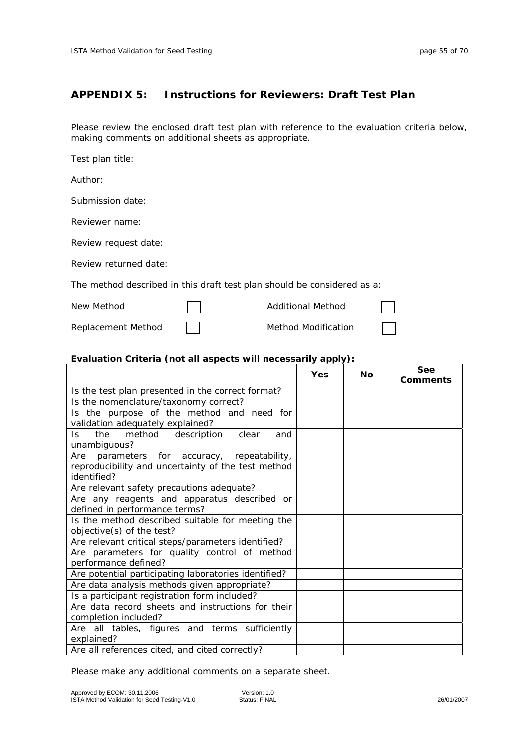### **APPENDIX 5: Instructions for Reviewers: Draft Test Plan**

Please review the enclosed draft test plan with reference to the evaluation criteria below, making comments on additional sheets as appropriate.

Test plan title:

Author:

Submission date:

Reviewer name:

Review request date:

Review returned date:

The method described in this draft test plan should be considered as a:

New Method **Additional Method** 

Replacement Method **Nethod Method Modification** 

### **Evaluation Criteria (not all aspects will necessarily apply):**

|                                                                                                                  | Yes | No | See<br>Comments |
|------------------------------------------------------------------------------------------------------------------|-----|----|-----------------|
| Is the test plan presented in the correct format?                                                                |     |    |                 |
| Is the nomenclature/taxonomy correct?                                                                            |     |    |                 |
| Is the purpose of the method and need for<br>validation adequately explained?                                    |     |    |                 |
| Is the method description clear<br>and<br>unambiguous?                                                           |     |    |                 |
| Are parameters for accuracy, repeatability,<br>reproducibility and uncertainty of the test method<br>identified? |     |    |                 |
| Are relevant safety precautions adequate?                                                                        |     |    |                 |
| Are any reagents and apparatus described or<br>defined in performance terms?                                     |     |    |                 |
| Is the method described suitable for meeting the<br>objective(s) of the test?                                    |     |    |                 |
| Are relevant critical steps/parameters identified?                                                               |     |    |                 |
| Are parameters for quality control of method<br>performance defined?                                             |     |    |                 |
| Are potential participating laboratories identified?                                                             |     |    |                 |
| Are data analysis methods given appropriate?                                                                     |     |    |                 |
| Is a participant registration form included?                                                                     |     |    |                 |
| Are data record sheets and instructions for their<br>completion included?                                        |     |    |                 |
| Are all tables, figures and terms sufficiently<br>explained?                                                     |     |    |                 |
| Are all references cited, and cited correctly?                                                                   |     |    |                 |

Please make any additional comments on a separate sheet.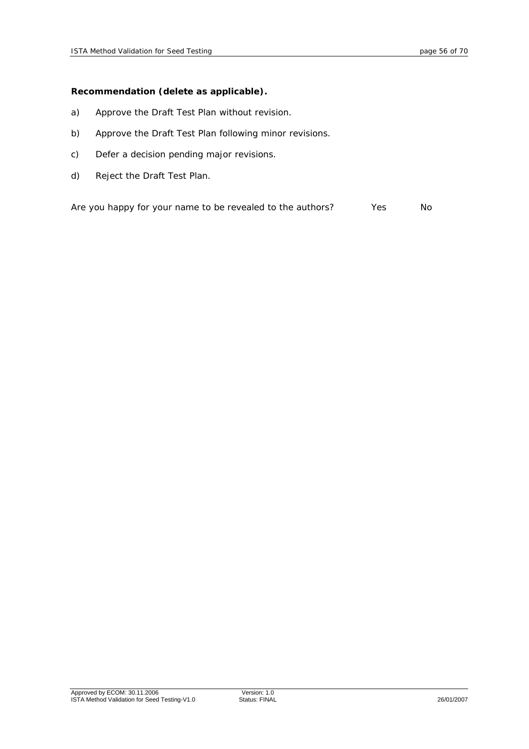### **Recommendation (delete as applicable).**

- a) Approve the Draft Test Plan without revision.
- b) Approve the Draft Test Plan following minor revisions.
- c) Defer a decision pending major revisions.
- d) Reject the Draft Test Plan.

Are you happy for your name to be revealed to the authors? Yes No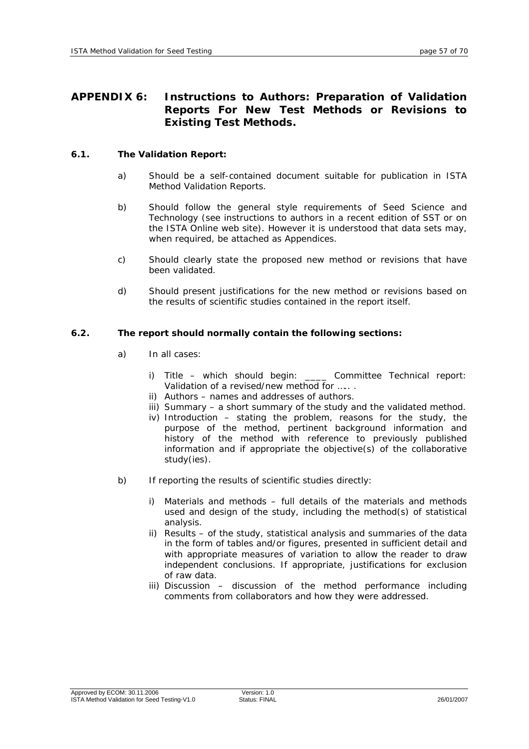### **APPENDIX 6: Instructions to Authors: Preparation of Validation Reports For New Test Methods or Revisions to Existing Test Methods.**

### **6.1. The Validation Report:**

- a) Should be a self-contained document suitable for publication in ISTA Method Validation Reports.
- b) Should follow the general style requirements of Seed Science and Technology (see instructions to authors in a recent edition of SST or on the ISTA Online web site). However it is understood that data sets may, when required, be attached as Appendices.
- c) Should clearly state the proposed new method or revisions that have been validated.
- d) Should present justifications for the new method or revisions based on the results of scientific studies contained in the report itself.

### **6.2. The report should normally contain the following sections:**

- a) In all cases:
	- i) Title which should begin: \_\_\_\_\_ Committee Technical report: Validation of a revised/new method for ….. .
	- ii) Authors names and addresses of authors.
	- iii) Summary a short summary of the study and the validated method.
	- iv) Introduction stating the problem, reasons for the study, the purpose of the method, pertinent background information and history of the method with reference to previously published information and if appropriate the objective(s) of the collaborative study(ies).
- b) If reporting the results of scientific studies directly:
	- i) Materials and methods full details of the materials and methods used and design of the study, including the method(s) of statistical analysis.
	- ii) Results of the study, statistical analysis and summaries of the data in the form of tables and/or figures, presented in sufficient detail and with appropriate measures of variation to allow the reader to draw independent conclusions. If appropriate, justifications for exclusion of raw data.
	- iii) Discussion discussion of the method performance including comments from collaborators and how they were addressed.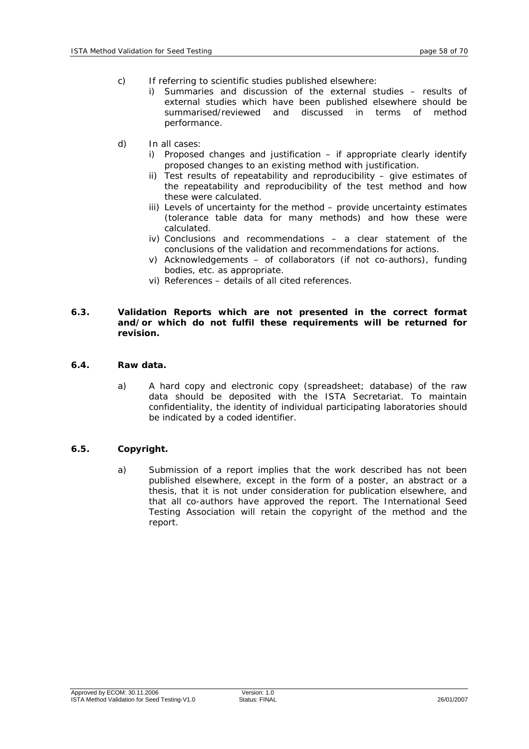- c) If referring to scientific studies published elsewhere:
	- i) Summaries and discussion of the external studies results of external studies which have been published elsewhere should be summarised/reviewed and discussed in terms of method performance.
- d) In all cases:
	- i) Proposed changes and justification if appropriate clearly identify proposed changes to an existing method with justification.
	- ii) Test results of repeatability and reproducibility give estimates of the repeatability and reproducibility of the test method and how these were calculated.
	- iii) Levels of uncertainty for the method provide uncertainty estimates (tolerance table data for many methods) and how these were calculated.
	- iv) Conclusions and recommendations a clear statement of the conclusions of the validation and recommendations for actions.
	- v) Acknowledgements of collaborators (if not co-authors), funding bodies, etc. as appropriate.
	- vi) References details of all cited references.

### **6.3. Validation Reports which are not presented in the correct format and/or which do not fulfil these requirements will be returned for revision.**

### **6.4. Raw data.**

 a) A hard copy and electronic copy (spreadsheet; database) of the raw data should be deposited with the ISTA Secretariat. To maintain confidentiality, the identity of individual participating laboratories should be indicated by a coded identifier.

### **6.5. Copyright.**

 a) Submission of a report implies that the work described has not been published elsewhere, except in the form of a poster, an abstract or a thesis, that it is not under consideration for publication elsewhere, and that all co-authors have approved the report. The International Seed Testing Association will retain the copyright of the method and the report.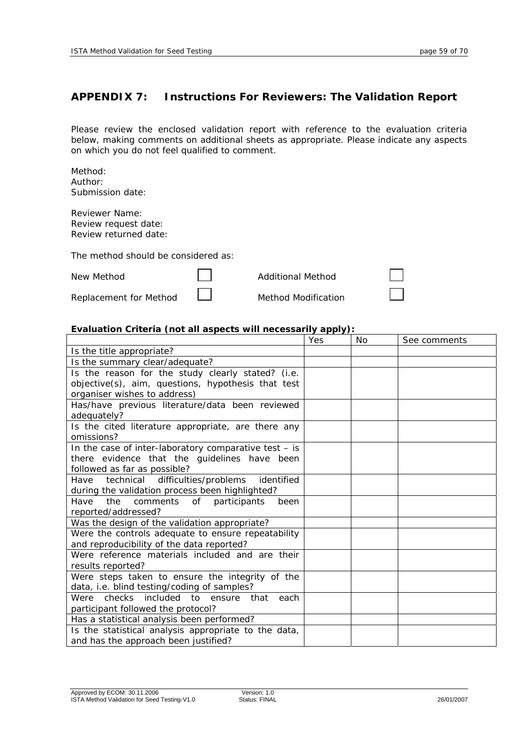### **APPENDIX 7: Instructions For Reviewers: The Validation Report**

Please review the enclosed validation report with reference to the evaluation criteria below, making comments on additional sheets as appropriate. Please indicate any aspects on which you do not feel qualified to comment.

| Method:          |
|------------------|
| Author:          |
| Submission date: |

Reviewer Name: Review request date: Review returned date:

The method should be considered as:

New Method **Additional Method** 

Replacement for Method  $\Box$  Method Modification

### **Evaluation Criteria (not all aspects will necessarily apply):**

|                                                         | Yes | No. | See comments |
|---------------------------------------------------------|-----|-----|--------------|
| Is the title appropriate?                               |     |     |              |
| Is the summary clear/adequate?                          |     |     |              |
| Is the reason for the study clearly stated? (i.e.       |     |     |              |
| objective(s), aim, questions, hypothesis that test      |     |     |              |
| organiser wishes to address)                            |     |     |              |
| Has/have previous literature/data been reviewed         |     |     |              |
| adequately?                                             |     |     |              |
| Is the cited literature appropriate, are there any      |     |     |              |
| omissions?                                              |     |     |              |
| In the case of inter-laboratory comparative test $-$ is |     |     |              |
| there evidence that the guidelines have been            |     |     |              |
| followed as far as possible?                            |     |     |              |
| technical difficulties/problems<br>Have<br>identified   |     |     |              |
| during the validation process been highlighted?         |     |     |              |
| comments of<br>participants<br>Have<br>the<br>been      |     |     |              |
| reported/addressed?                                     |     |     |              |
| Was the design of the validation appropriate?           |     |     |              |
| Were the controls adequate to ensure repeatability      |     |     |              |
| and reproducibility of the data reported?               |     |     |              |
| Were reference materials included and are their         |     |     |              |
| results reported?                                       |     |     |              |
| Were steps taken to ensure the integrity of the         |     |     |              |
| data, i.e. blind testing/coding of samples?             |     |     |              |
| Were checks included to ensure that<br>each             |     |     |              |
| participant followed the protocol?                      |     |     |              |
| Has a statistical analysis been performed?              |     |     |              |
| Is the statistical analysis appropriate to the data,    |     |     |              |
| and has the approach been justified?                    |     |     |              |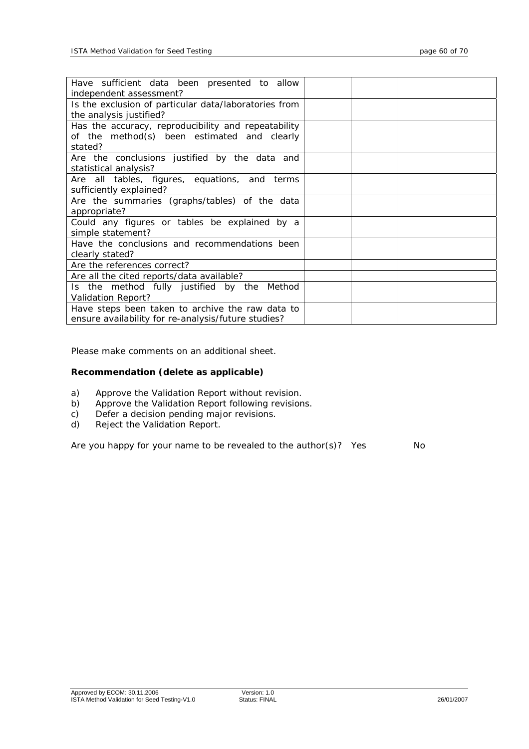| Have sufficient data been presented to allow<br>independent assessment?                                       |  |
|---------------------------------------------------------------------------------------------------------------|--|
| Is the exclusion of particular data/laboratories from<br>the analysis justified?                              |  |
| Has the accuracy, reproducibility and repeatability<br>of the method(s) been estimated and clearly<br>stated? |  |
| Are the conclusions justified by the data and<br>statistical analysis?                                        |  |
| Are all tables, figures, equations, and terms<br>sufficiently explained?                                      |  |
| Are the summaries (graphs/tables) of the data<br>appropriate?                                                 |  |
| Could any figures or tables be explained by a<br>simple statement?                                            |  |
| Have the conclusions and recommendations been<br>clearly stated?                                              |  |
| Are the references correct?                                                                                   |  |
| Are all the cited reports/data available?                                                                     |  |
| Is the method fully justified by the Method<br>Validation Report?                                             |  |
| Have steps been taken to archive the raw data to<br>ensure availability for re-analysis/future studies?       |  |

Please make comments on an additional sheet.

### **Recommendation (delete as applicable)**

- a) Approve the Validation Report without revision.<br>b) Approve the Validation Report following revision
- Approve the Validation Report following revisions.
- c) Defer a decision pending major revisions.
- d) Reject the Validation Report.

Are you happy for your name to be revealed to the author(s)? Yes  $N$ o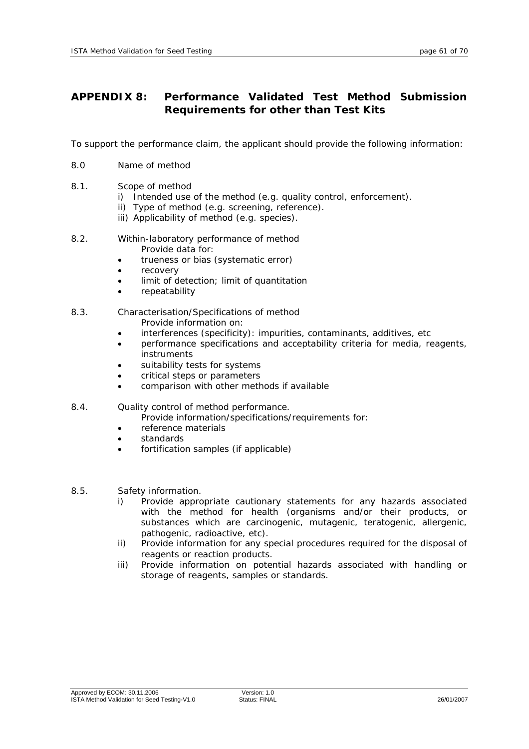### **APPENDIX 8: Performance Validated Test Method Submission Requirements for other than Test Kits**

To support the performance claim, the applicant should provide the following information:

- 8.0 Name of method
- 8.1. Scope of method
	- i) Intended use of the method (e.g. quality control, enforcement).
	- ii) Type of method (e.g. screening, reference).
	- iii) Applicability of method (e.g. species).
- 8.2. Within-laboratory performance of method Provide data for:
	- trueness or bias (systematic error)
	- recovery
	- limit of detection; limit of quantitation
	- repeatability

### 8.3. Characterisation/Specifications of method

- Provide information on:
- interferences (specificity): impurities, contaminants, additives, etc
- performance specifications and acceptability criteria for media, reagents, instruments
- suitability tests for systems
- critical steps or parameters
- comparison with other methods if available
- 8.4. Quality control of method performance.
	- Provide information/specifications/requirements for:
	- reference materials
	- standards
	- fortification samples (if applicable)
- 8.5. Safety information.
	- i) Provide appropriate cautionary statements for any hazards associated with the method for health (organisms and/or their products, or substances which are carcinogenic, mutagenic, teratogenic, allergenic, pathogenic, radioactive, etc).
	- ii) Provide information for any special procedures required for the disposal of reagents or reaction products.
	- iii) Provide information on potential hazards associated with handling or storage of reagents, samples or standards.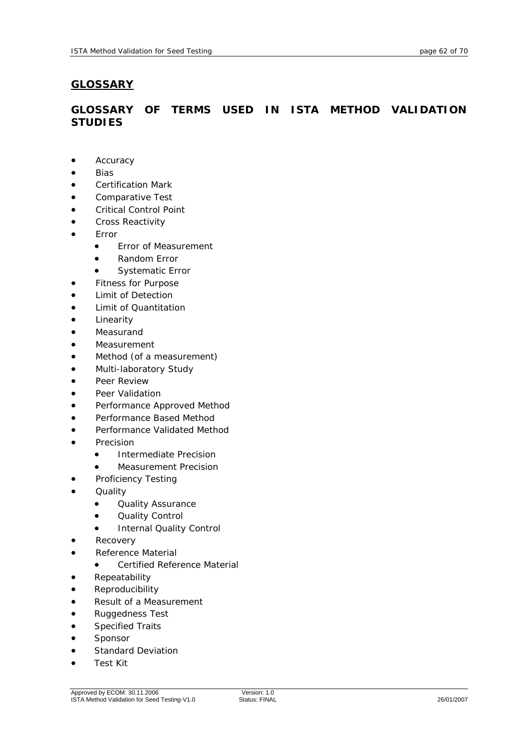### **GLOSSARY**

### **GLOSSARY OF TERMS USED IN ISTA METHOD VALIDATION STUDIES**

- **Accuracy**
- Bias
- Certification Mark
- Comparative Test
- Critical Control Point
- Cross Reactivity
- **Error** 
	- Error of Measurement
	- Random Error
	- Systematic Error
- Fitness for Purpose
- Limit of Detection
- Limit of Quantitation
- **Linearity**
- **Measurand**
- **Measurement**
- Method (of a measurement)
- Multi-laboratory Study
- Peer Review
- Peer Validation
- Performance Approved Method
- Performance Based Method
- Performance Validated Method
- **Precision** 
	- Intermediate Precision
	- Measurement Precision
- Proficiency Testing
- Quality
	- Quality Assurance
	- Quality Control
	- Internal Quality Control
- **Recovery**
- Reference Material
	- Certified Reference Material
- **Repeatability**
- **Reproducibility**
- Result of a Measurement
- Ruggedness Test
- Specified Traits
- Sponsor
- Standard Deviation
- Test Kit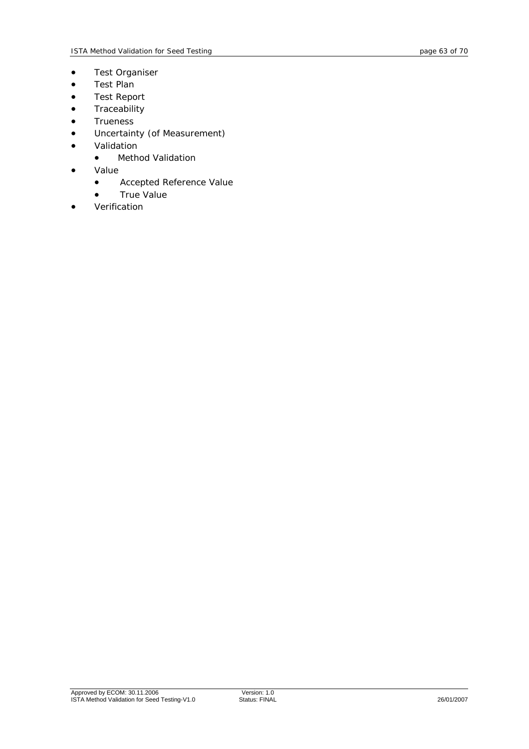- Test Organiser
- Test Plan
- Test Report
- Traceability
- Trueness
- Uncertainty (of Measurement)
- Validation
	- Method Validation
- Value
	- Accepted Reference Value
	- True Value
- **Verification**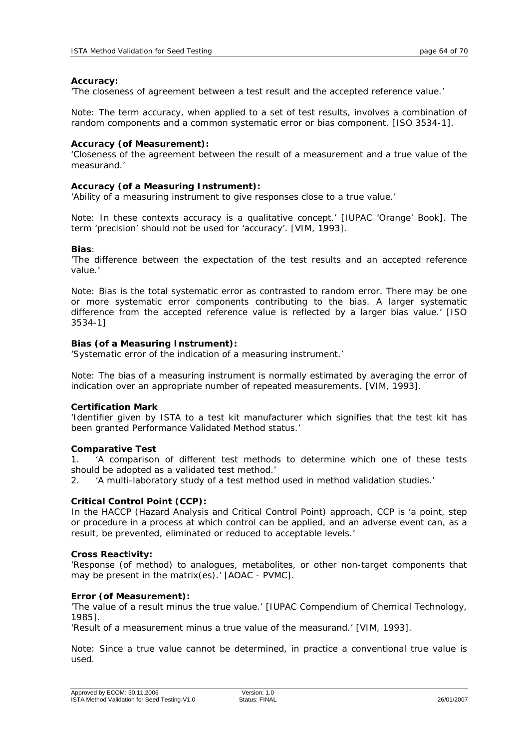### **Accuracy:**

'The closeness of agreement between a test result and the accepted reference value.'

Note: *The term accuracy, when applied to a set of test results, involves a combination of random components and a common systematic error or bias component.* [ISO 3534-1].

#### **Accuracy (of Measurement):**

'Closeness of the agreement between the result of a measurement and a true value of the measurand.'

### **Accuracy (of a Measuring Instrument):**

'Ability of a measuring instrument to give responses close to a true value.'

Note: *In these contexts accuracy is a qualitative concept.*' [IUPAC 'Orange' Book]. The term 'precision' should not be used for 'accuracy'. [VIM, 1993].

### **Bias**:

'The difference between the expectation of the test results and an accepted reference value.'

Note: *Bias is the total systematic error as contrasted to random error. There may be one or more systematic error components contributing to the bias. A larger systematic difference from the accepted reference value is reflected by a larger bias value.*' [ISO 3534-1]

### **Bias (of a Measuring Instrument):**

'Systematic error of the indication of a measuring instrument.'

Note: *The bias of a measuring instrument is normally estimated by averaging the error of indication over an appropriate number of repeated measurements. [VIM, 1993].* 

### **Certification Mark**

'Identifier given by ISTA to a test kit manufacturer which signifies that the test kit has been granted Performance Validated Method status.'

### **Comparative Test**

1. 'A comparison of different test methods to determine which one of these tests should be adopted as a validated test method.'

2. 'A multi-laboratory study of a test method used in method validation studies.'

### **Critical Control Point (CCP):**

In the HACCP (Hazard Analysis and Critical Control Point) approach, CCP is 'a point, step or procedure in a process at which control can be applied, and an adverse event can, as a result, be prevented, eliminated or reduced to acceptable levels.'

#### **Cross Reactivity:**

'Response (of method) to analogues, metabolites, or other non-target components that may be present in the matrix(es).' [AOAC - PVMC].

### **Error (of Measurement):**

'The value of a result minus the true value.' [IUPAC Compendium of Chemical Technology, 1985].

'Result of a measurement minus a true value of the measurand.' [VIM, 1993].

Note: *Since a true value cannot be determined, in practice a conventional true value is used.*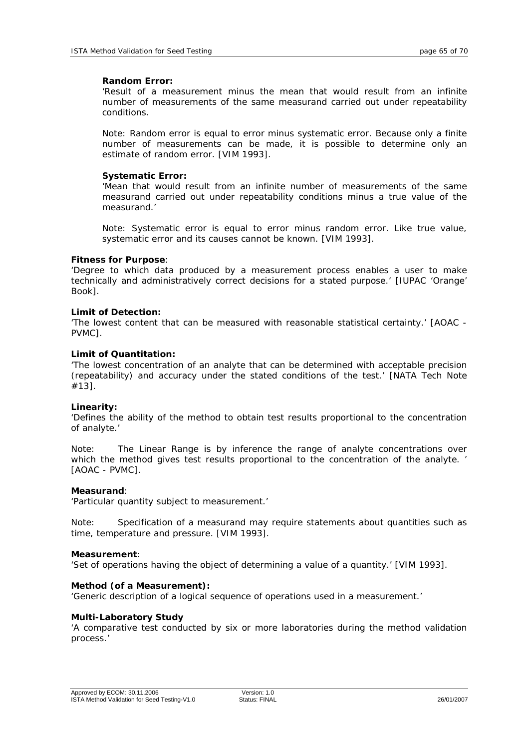### **Random Error:**

'Result of a measurement minus the mean that would result from an infinite number of measurements of the same measurand carried out under repeatability conditions.

Note: *Random error is equal to error minus systematic error. Because only a finite number of measurements can be made, it is possible to determine only an estimate of random error.* [VIM 1993].

### **Systematic Error:**

'Mean that would result from an infinite number of measurements of the same measurand carried out under repeatability conditions minus a true value of the measurand.'

Note: *Systematic error is equal to error minus random error. Like true value, systematic error and its causes cannot be known.* [VIM 1993].

### **Fitness for Purpose**:

'Degree to which data produced by a measurement process enables a user to make technically and administratively correct decisions for a stated purpose.' [IUPAC 'Orange' Book].

### **Limit of Detection:**

'The lowest content that can be measured with reasonable statistical certainty.' [AOAC - PVMC].

### **Limit of Quantitation:**

'The lowest concentration of an analyte that can be determined with acceptable precision (repeatability) and accuracy under the stated conditions of the test.' [NATA Tech Note #13].

### **Linearity:**

'Defines the ability of the method to obtain test results proportional to the concentration of analyte.'

Note: *The Linear Range is by inference the range of analyte concentrations over which the method gives test results proportional to the concentration of the analyte*. ' [AOAC - PVMC].

### **Measurand**:

'Particular quantity subject to measurement.'

Note: *Specification of a measurand may require statements about quantities such as time, temperature and pressure.* [VIM 1993].

### **Measurement**:

'Set of operations having the object of determining a value of a quantity.' [VIM 1993].

### **Method (of a Measurement):**

'Generic description of a logical sequence of operations used in a measurement.'

### **Multi-Laboratory Study**

'A comparative test conducted by six or more laboratories during the method validation process.'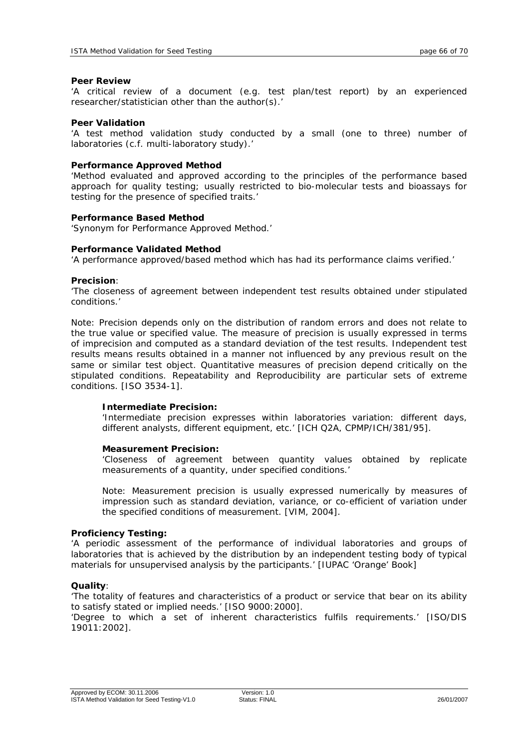### **Peer Review**

'A critical review of a document (e.g. test plan/test report) by an experienced researcher/statistician other than the author(s).'

### **Peer Validation**

'A test method validation study conducted by a small (one to three) number of laboratories (c.f. multi-laboratory study).'

### **Performance Approved Method**

'Method evaluated and approved according to the principles of the performance based approach for quality testing; usually restricted to bio-molecular tests and bioassays for testing for the presence of specified traits.'

### **Performance Based Method**

'Synonym for Performance Approved Method.'

### **Performance Validated Method**

'A performance approved/based method which has had its performance claims verified.'

### **Precision**:

'The closeness of agreement between independent test results obtained under stipulated conditions.'

Note: *Precision depends only on the distribution of random errors and does not relate to the true value or specified value. The measure of precision is usually expressed in terms of imprecision and computed as a standard deviation of the test results. Independent test results means results obtained in a manner not influenced by any previous result on the same or similar test object. Quantitative measures of precision depend critically on the stipulated conditions. Repeatability and Reproducibility are particular sets of extreme conditions.* [ISO 3534-1].

### **Intermediate Precision:**

'Intermediate precision expresses within laboratories variation: different days, different analysts, different equipment, etc.' [ICH Q2A, CPMP/ICH/381/95].

### **Measurement Precision:**

'Closeness of agreement between quantity values obtained by replicate measurements of a quantity, under specified conditions.'

Note: *Measurement precision is usually expressed numerically by measures of impression such as standard deviation, variance, or co-efficient of variation under the specified conditions of measurement.* [VIM, 2004]*.* 

### **Proficiency Testing:**

'A periodic assessment of the performance of individual laboratories and groups of laboratories that is achieved by the distribution by an independent testing body of typical materials for unsupervised analysis by the participants.' [IUPAC 'Orange' Book]

### **Quality**:

'The totality of features and characteristics of a product or service that bear on its ability to satisfy stated or implied needs.' [ISO 9000:2000].

'Degree to which a set of inherent characteristics fulfils requirements.' [ISO/DIS 19011:2002].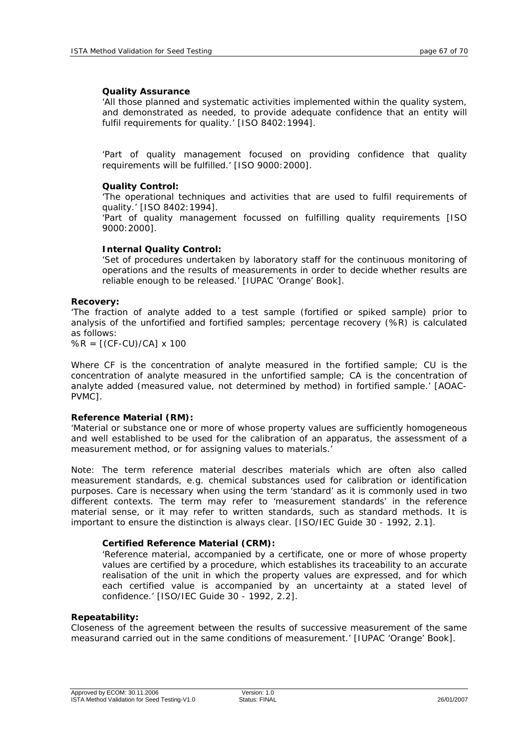### **Quality Assurance**

'All those planned and systematic activities implemented within the quality system, and demonstrated as needed, to provide adequate confidence that an entity will fulfil requirements for quality.' [ISO 8402:1994].

'Part of quality management focused on providing confidence that quality requirements will be fulfilled.' [ISO 9000:2000].

### **Quality Control:**

'The operational techniques and activities that are used to fulfil requirements of quality.' [ISO 8402:1994].

'Part of quality management focussed on fulfilling quality requirements [ISO 9000:2000].

### **Internal Quality Control:**

'Set of procedures undertaken by laboratory staff for the continuous monitoring of operations and the results of measurements in order to decide whether results are reliable enough to be released.' [IUPAC 'Orange' Book].

### **Recovery:**

'The fraction of analyte added to a test sample (fortified or spiked sample) prior to analysis of the unfortified and fortified samples; percentage recovery (%R) is calculated as follows:

 $%R = [(CF-CU)/CA] \times 100$ 

Where CF is the concentration of analyte measured in the fortified sample; CU is the concentration of analyte measured in the unfortified sample; CA is the concentration of analyte added (measured value, not determined by method) in fortified sample.' [AOAC-PVMC].

### **Reference Material (RM):**

'Material or substance one or more of whose property values are sufficiently homogeneous and well established to be used for the calibration of an apparatus, the assessment of a measurement method, or for assigning values to materials.'

Note: *The term reference material describes materials which are often also called measurement standards, e.g. chemical substances used for calibration or identification purposes. Care is necessary when using the term 'standard' as it is commonly used in two different contexts. The term may refer to 'measurement standards' in the reference material sense, or it may refer to written standards, such as standard methods. It is important to ensure the distinction is always clear.* [ISO/IEC Guide 30 - 1992, 2.1].

### **Certified Reference Material (CRM):**

'Reference material, accompanied by a certificate, one or more of whose property values are certified by a procedure, which establishes its traceability to an accurate realisation of the unit in which the property values are expressed, and for which each certified value is accompanied by an uncertainty at a stated level of confidence.' [ISO/IEC Guide 30 - 1992, 2.2].

### **Repeatability:**

Closeness of the agreement between the results of successive measurement of the same measurand carried out in the same conditions of measurement.' [IUPAC 'Orange' Book].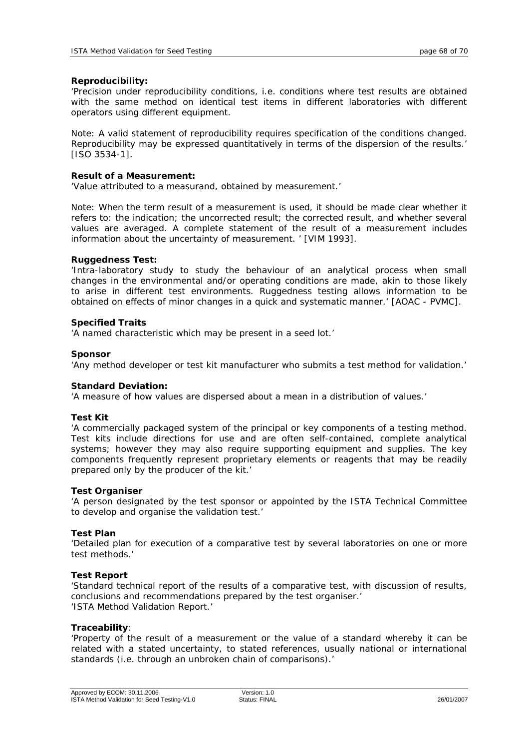### **Reproducibility:**

'Precision under reproducibility conditions, i.e. conditions where test results are obtained with the same method on identical test items in different laboratories with different operators using different equipment.

Note: *A valid statement of reproducibility requires specification of the conditions changed. Reproducibility may be expressed quantitatively in terms of the dispersion of the results.*' [ISO 3534-1].

### **Result of a Measurement:**

'Value attributed to a measurand, obtained by measurement.'

Note: *When the term result of a measurement is used, it should be made clear whether it refers to: the indication; the uncorrected result; the corrected result, and whether several values are averaged. A complete statement of the result of a measurement includes information about the uncertainty of measurement. '* [VIM 1993].

### **Ruggedness Test:**

'Intra-laboratory study to study the behaviour of an analytical process when small changes in the environmental and/or operating conditions are made, akin to those likely to arise in different test environments. Ruggedness testing allows information to be obtained on effects of minor changes in a quick and systematic manner.' [AOAC - PVMC].

### **Specified Traits**

'A named characteristic which may be present in a seed lot.'

### **Sponsor**

'Any method developer or test kit manufacturer who submits a test method for validation.'

### **Standard Deviation:**

'A measure of how values are dispersed about a mean in a distribution of values.'

### **Test Kit**

'A commercially packaged system of the principal or key components of a testing method. Test kits include directions for use and are often self-contained, complete analytical systems; however they may also require supporting equipment and supplies. The key components frequently represent proprietary elements or reagents that may be readily prepared only by the producer of the kit.'

### **Test Organiser**

'A person designated by the test sponsor or appointed by the ISTA Technical Committee to develop and organise the validation test.'

### **Test Plan**

'Detailed plan for execution of a comparative test by several laboratories on one or more test methods.'

### **Test Report**

'Standard technical report of the results of a comparative test, with discussion of results, conclusions and recommendations prepared by the test organiser.' 'ISTA Method Validation Report.'

### **Traceability**:

'Property of the result of a measurement or the value of a standard whereby it can be related with a stated uncertainty, to stated references, usually national or international standards (i.e. through an unbroken chain of comparisons).'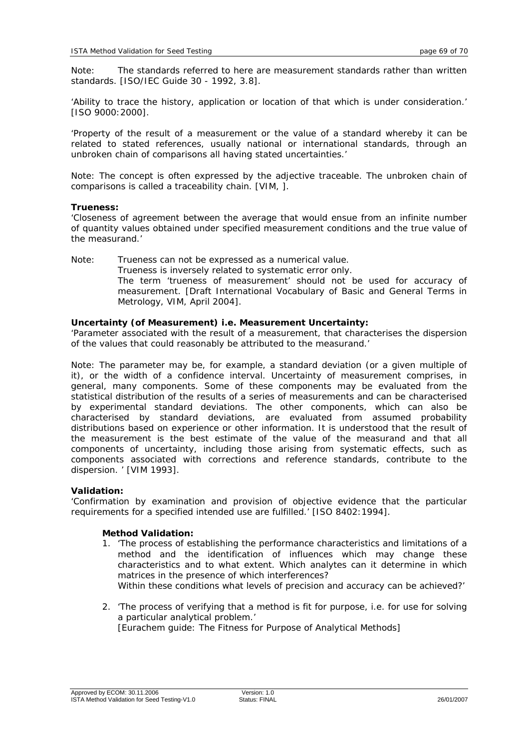Note: *The standards referred to here are measurement standards rather than written standards.* [ISO/IEC Guide 30 - 1992, 3.8].

'Ability to trace the history, application or location of that which is under consideration.' [ISO 9000:2000].

'Property of the result of a measurement or the value of a standard whereby it can be related to stated references, usually national or international standards, through an unbroken chain of comparisons all having stated uncertainties.'

Note: *The concept is often expressed by the adjective traceable. The unbroken chain of comparisons is called a traceability chain*. [VIM, ].

### **Trueness:**

'Closeness of agreement between the average that would ensue from an infinite number of quantity values obtained under specified measurement conditions and the true value of the measurand.'

Note: *Trueness can not be expressed as a numerical value. Trueness is inversely related to systematic error only. The term 'trueness of measurement' should not be used for accuracy of measurement.* [Draft International Vocabulary of Basic and General Terms in Metrology, VIM, April 2004].

### **Uncertainty (of Measurement) i.e. Measurement Uncertainty:**

'Parameter associated with the result of a measurement, that characterises the dispersion of the values that could reasonably be attributed to the measurand.'

Note: *The parameter may be, for example, a standard deviation (or a given multiple of it), or the width of a confidence interval. Uncertainty of measurement comprises, in general, many components. Some of these components may be evaluated from the statistical distribution of the results of a series of measurements and can be characterised by experimental standard deviations. The other components, which can also be characterised by standard deviations, are evaluated from assumed probability distributions based on experience or other information. It is understood that the result of the measurement is the best estimate of the value of the measurand and that all components of uncertainty, including those arising from systematic effects, such as components associated with corrections and reference standards, contribute to the dispersion.* ' [VIM 1993].

### **Validation:**

'Confirmation by examination and provision of objective evidence that the particular requirements for a specified intended use are fulfilled.' [ISO 8402:1994].

### **Method Validation:**

1. 'The process of establishing the performance characteristics and limitations of a method and the identification of influences which may change these characteristics and to what extent. Which analytes can it determine in which matrices in the presence of which interferences?

Within these conditions what levels of precision and accuracy can be achieved?'

2. 'The process of verifying that a method is fit for purpose, i.e. for use for solving a particular analytical problem.' [Eurachem guide: The Fitness for Purpose of Analytical Methods]